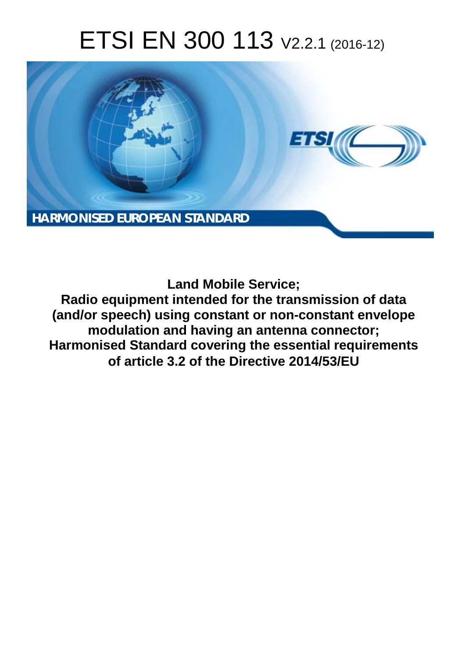# ETSI EN 300 113 V2.2.1 (2016-12)



**Land Mobile Service;**

**Radio equipment intended for the transmission of data (and/or speech) using constant or non-constant envelope modulation and having an antenna connector; Harmonised Standard covering the essential requirements of article 3.2 of the Directive 2014/53/EU**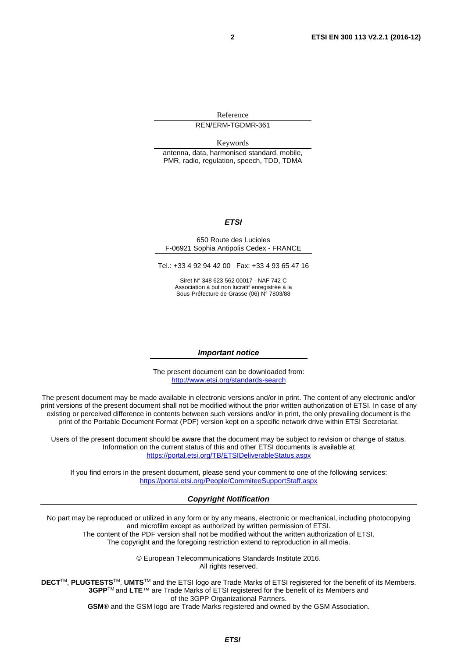Reference REN/ERM-TGDMR-361

Keywords

antenna, data, harmonised standard, mobile, PMR, radio, regulation, speech, TDD, TDMA

#### *ETSI*

#### 650 Route des Lucioles F-06921 Sophia Antipolis Cedex - FRANCE

Tel.: +33 4 92 94 42 00 Fax: +33 4 93 65 47 16

Siret N° 348 623 562 00017 - NAF 742 C Association à but non lucratif enregistrée à la Sous-Préfecture de Grasse (06) N° 7803/88

#### *Important notice*

The present document can be downloaded from: <http://www.etsi.org/standards-search>

The present document may be made available in electronic versions and/or in print. The content of any electronic and/or print versions of the present document shall not be modified without the prior written authorization of ETSI. In case of any existing or perceived difference in contents between such versions and/or in print, the only prevailing document is the print of the Portable Document Format (PDF) version kept on a specific network drive within ETSI Secretariat.

Users of the present document should be aware that the document may be subject to revision or change of status. Information on the current status of this and other ETSI documents is available at <https://portal.etsi.org/TB/ETSIDeliverableStatus.aspx>

If you find errors in the present document, please send your comment to one of the following services: <https://portal.etsi.org/People/CommiteeSupportStaff.aspx>

#### *Copyright Notification*

No part may be reproduced or utilized in any form or by any means, electronic or mechanical, including photocopying and microfilm except as authorized by written permission of ETSI.

The content of the PDF version shall not be modified without the written authorization of ETSI. The copyright and the foregoing restriction extend to reproduction in all media.

> © European Telecommunications Standards Institute 2016. All rights reserved.

**DECT**TM, **PLUGTESTS**TM, **UMTS**TM and the ETSI logo are Trade Marks of ETSI registered for the benefit of its Members. **3GPP**TM and **LTE**™ are Trade Marks of ETSI registered for the benefit of its Members and of the 3GPP Organizational Partners.

**GSM**® and the GSM logo are Trade Marks registered and owned by the GSM Association.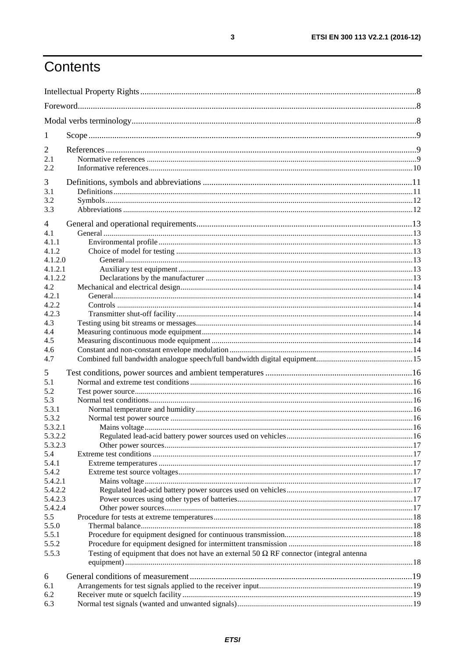# Contents

| 1                     |                                                                                                |  |
|-----------------------|------------------------------------------------------------------------------------------------|--|
| 2                     |                                                                                                |  |
| 2.1                   |                                                                                                |  |
| 2.2                   |                                                                                                |  |
| 3                     |                                                                                                |  |
| 3.1                   |                                                                                                |  |
| 3.2                   |                                                                                                |  |
| 3.3                   |                                                                                                |  |
|                       |                                                                                                |  |
| $\overline{4}$<br>4.1 |                                                                                                |  |
| 4.1.1                 |                                                                                                |  |
| 4.1.2                 |                                                                                                |  |
| 4.1.2.0               |                                                                                                |  |
| 4.1.2.1               |                                                                                                |  |
| 4.1.2.2               |                                                                                                |  |
| 4.2                   |                                                                                                |  |
| 4.2.1                 |                                                                                                |  |
| 4.2.2                 |                                                                                                |  |
| 4.2.3                 |                                                                                                |  |
| 4.3                   |                                                                                                |  |
| 4.4                   |                                                                                                |  |
| 4.5<br>4.6            |                                                                                                |  |
| 4.7                   |                                                                                                |  |
|                       |                                                                                                |  |
| 5                     |                                                                                                |  |
| 5.1                   |                                                                                                |  |
| 5.2                   |                                                                                                |  |
| 5.3<br>5.3.1          |                                                                                                |  |
| 5.3.2                 |                                                                                                |  |
| 5.3.2.1               |                                                                                                |  |
| 5.3.2.2               |                                                                                                |  |
| 5.3.2.3               |                                                                                                |  |
| 5.4                   |                                                                                                |  |
| 5.4.1                 |                                                                                                |  |
| 5.4.2                 |                                                                                                |  |
| 5.4.2.1               |                                                                                                |  |
| 5.4.2.2               |                                                                                                |  |
| 5.4.2.3               |                                                                                                |  |
| 5.4.2.4               |                                                                                                |  |
| 5.5<br>5.5.0          |                                                                                                |  |
| 5.5.1                 |                                                                                                |  |
| 5.5.2                 |                                                                                                |  |
| 5.5.3                 | Testing of equipment that does not have an external 50 $\Omega$ RF connector (integral antenna |  |
|                       |                                                                                                |  |
| 6                     |                                                                                                |  |
| 6.1                   |                                                                                                |  |
| 6.2                   |                                                                                                |  |
| 6.3                   |                                                                                                |  |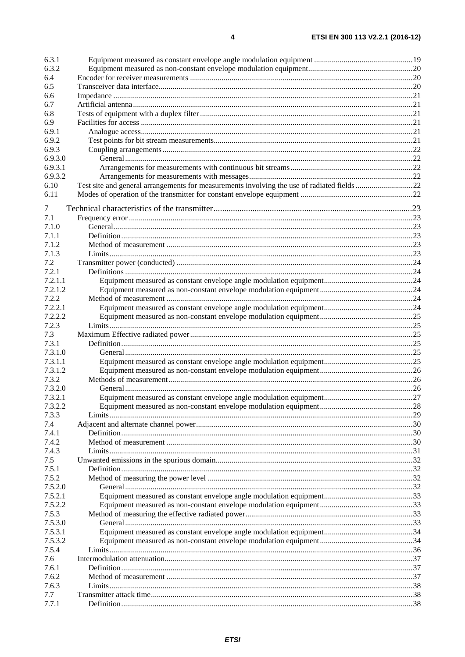| 6.3.1   |                                                                                            |  |
|---------|--------------------------------------------------------------------------------------------|--|
| 6.3.2   |                                                                                            |  |
| 6.4     |                                                                                            |  |
| 6.5     |                                                                                            |  |
| 6.6     |                                                                                            |  |
| 6.7     |                                                                                            |  |
| 6.8     |                                                                                            |  |
| 6.9     |                                                                                            |  |
| 6.9.1   |                                                                                            |  |
| 6.9.2   |                                                                                            |  |
| 6.9.3   |                                                                                            |  |
| 6.9.3.0 |                                                                                            |  |
| 6.9.3.1 |                                                                                            |  |
| 6.9.3.2 |                                                                                            |  |
| 6.10    | Test site and general arrangements for measurements involving the use of radiated fields22 |  |
| 6.11    |                                                                                            |  |
| 7       |                                                                                            |  |
| 7.1     |                                                                                            |  |
| 7.1.0   |                                                                                            |  |
| 7.1.1   |                                                                                            |  |
| 7.1.2   |                                                                                            |  |
| 7.1.3   |                                                                                            |  |
| 7.2     |                                                                                            |  |
| 7.2.1   |                                                                                            |  |
| 7.2.1.1 |                                                                                            |  |
| 7.2.1.2 |                                                                                            |  |
| 7.2.2   |                                                                                            |  |
| 7.2.2.1 |                                                                                            |  |
| 7.2.2.2 |                                                                                            |  |
| 7.2.3   |                                                                                            |  |
| 7.3     |                                                                                            |  |
| 7.3.1   |                                                                                            |  |
| 7.3.1.0 |                                                                                            |  |
| 7.3.1.1 |                                                                                            |  |
| 7.3.1.2 |                                                                                            |  |
| 7.3.2   |                                                                                            |  |
| 7.3.2.0 |                                                                                            |  |
| 7.3.2.1 |                                                                                            |  |
| 7.3.2.2 |                                                                                            |  |
| 7.3.3   |                                                                                            |  |
| 7.4     |                                                                                            |  |
| 7.4.1   |                                                                                            |  |
| 7.4.2   |                                                                                            |  |
| 7.4.3   |                                                                                            |  |
| 7.5     |                                                                                            |  |
| 7.5.1   |                                                                                            |  |
| 7.5.2   |                                                                                            |  |
| 7.5.2.0 |                                                                                            |  |
| 7.5.2.1 |                                                                                            |  |
| 7.5.2.2 |                                                                                            |  |
| 7.5.3   |                                                                                            |  |
| 7.5.3.0 |                                                                                            |  |
| 7.5.3.1 |                                                                                            |  |
| 7.5.3.2 |                                                                                            |  |
| 7.5.4   |                                                                                            |  |
| 7.6     |                                                                                            |  |
| 7.6.1   |                                                                                            |  |
| 7.6.2   |                                                                                            |  |
| 7.6.3   |                                                                                            |  |
| 7.7     |                                                                                            |  |
| 7.7.1   |                                                                                            |  |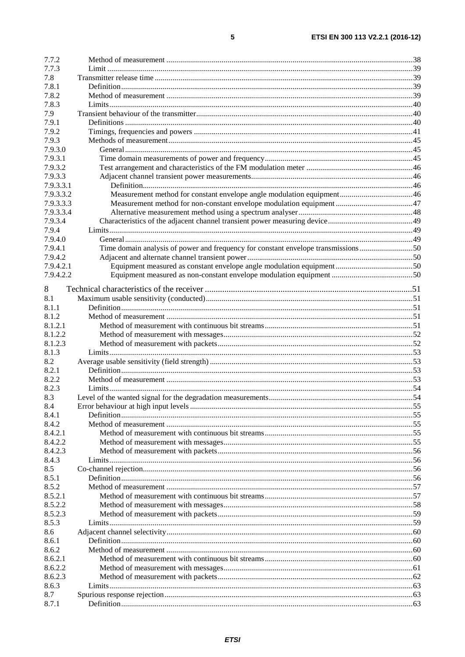| 7.7.2     |                                                                                   |  |
|-----------|-----------------------------------------------------------------------------------|--|
| 7.7.3     |                                                                                   |  |
| 7.8       |                                                                                   |  |
| 7.8.1     |                                                                                   |  |
| 7.8.2     |                                                                                   |  |
| 7.8.3     |                                                                                   |  |
| 7.9       |                                                                                   |  |
| 7.9.1     |                                                                                   |  |
| 7.9.2     |                                                                                   |  |
| 7.9.3     |                                                                                   |  |
| 7.9.3.0   |                                                                                   |  |
| 7.9.3.1   |                                                                                   |  |
| 7.9.3.2   |                                                                                   |  |
| 7.9.3.3   |                                                                                   |  |
|           |                                                                                   |  |
| 7.9.3.3.1 |                                                                                   |  |
| 7.9.3.3.2 |                                                                                   |  |
| 7.9.3.3.3 |                                                                                   |  |
| 7.9.3.3.4 |                                                                                   |  |
| 7.9.3.4   |                                                                                   |  |
| 7.9.4     |                                                                                   |  |
| 7.9.4.0   |                                                                                   |  |
| 7.9.4.1   | Time domain analysis of power and frequency for constant envelope transmissions50 |  |
| 7.9.4.2   |                                                                                   |  |
| 7.9.4.2.1 |                                                                                   |  |
| 7.9.4.2.2 |                                                                                   |  |
|           |                                                                                   |  |
| 8         |                                                                                   |  |
| 8.1       |                                                                                   |  |
| 8.1.1     |                                                                                   |  |
| 8.1.2     |                                                                                   |  |
| 8.1.2.1   |                                                                                   |  |
| 8.1.2.2   |                                                                                   |  |
| 8.1.2.3   |                                                                                   |  |
| 8.1.3     |                                                                                   |  |
| 8.2       |                                                                                   |  |
| 8.2.1     |                                                                                   |  |
| 8.2.2     |                                                                                   |  |
| 8.2.3     |                                                                                   |  |
| 8.3       |                                                                                   |  |
| 8.4       |                                                                                   |  |
| 8.4.1     |                                                                                   |  |
| 8.4.2     |                                                                                   |  |
| 8.4.2.1   |                                                                                   |  |
| 8.4.2.2   |                                                                                   |  |
| 8.4.2.3   |                                                                                   |  |
| 8.4.3     |                                                                                   |  |
| 8.5       |                                                                                   |  |
| 8.5.1     |                                                                                   |  |
| 8.5.2     |                                                                                   |  |
| 8.5.2.1   |                                                                                   |  |
| 8.5.2.2   |                                                                                   |  |
|           |                                                                                   |  |
| 8.5.2.3   |                                                                                   |  |
| 8.5.3     |                                                                                   |  |
| 8.6       |                                                                                   |  |
| 8.6.1     |                                                                                   |  |
| 8.6.2     |                                                                                   |  |
| 8.6.2.1   |                                                                                   |  |
| 8.6.2.2   |                                                                                   |  |
| 8.6.2.3   |                                                                                   |  |
| 8.6.3     |                                                                                   |  |
| 8.7       |                                                                                   |  |
| 8.7.1     |                                                                                   |  |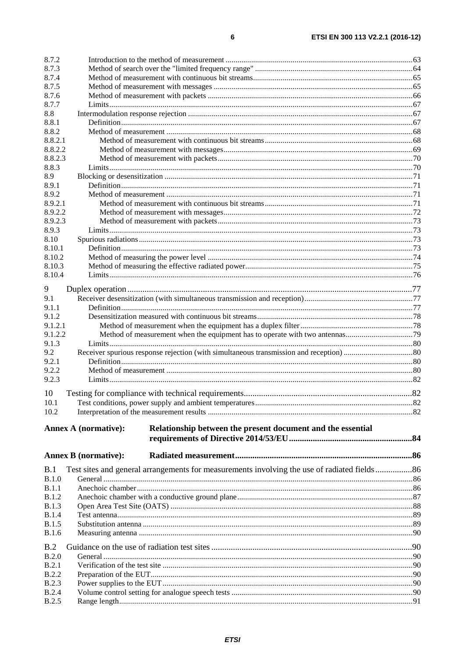| 8.7.2            |                                                                                             |    |  |
|------------------|---------------------------------------------------------------------------------------------|----|--|
| 8.7.3            |                                                                                             |    |  |
| 8.7.4            |                                                                                             |    |  |
| 8.7.5            |                                                                                             |    |  |
| 8.7.6            |                                                                                             |    |  |
| 8.7.7            |                                                                                             |    |  |
| 8.8              |                                                                                             |    |  |
| 8.8.1            |                                                                                             |    |  |
| 8.8.2            |                                                                                             |    |  |
| 8.8.2.1          |                                                                                             |    |  |
| 8.8.2.2          |                                                                                             |    |  |
| 8.8.2.3<br>8.8.3 |                                                                                             |    |  |
| 8.9              |                                                                                             |    |  |
| 8.9.1            |                                                                                             |    |  |
| 8.9.2            |                                                                                             |    |  |
| 8.9.2.1          |                                                                                             |    |  |
| 8.9.2.2          |                                                                                             |    |  |
| 8.9.2.3          |                                                                                             |    |  |
| 8.9.3            |                                                                                             |    |  |
| 8.10             |                                                                                             |    |  |
| 8.10.1           |                                                                                             |    |  |
| 8.10.2           |                                                                                             |    |  |
| 8.10.3           |                                                                                             |    |  |
| 8.10.4           |                                                                                             |    |  |
| 9                |                                                                                             |    |  |
| 9.1              |                                                                                             |    |  |
| 9.1.1            |                                                                                             |    |  |
| 9.1.2            |                                                                                             |    |  |
| 9.1.2.1          |                                                                                             |    |  |
| 9.1.2.2          |                                                                                             |    |  |
| 9.1.3            |                                                                                             |    |  |
| 9.2              |                                                                                             |    |  |
| 9.2.1            |                                                                                             |    |  |
| 9.2.2            |                                                                                             |    |  |
| 9.2.3            |                                                                                             |    |  |
| 10               |                                                                                             |    |  |
| 10 <sub>1</sub>  |                                                                                             | 82 |  |
| 10.2             |                                                                                             |    |  |
|                  |                                                                                             |    |  |
|                  | Relationship between the present document and the essential<br><b>Annex A (normative):</b>  |    |  |
|                  |                                                                                             |    |  |
|                  |                                                                                             |    |  |
|                  | <b>Annex B</b> (normative):                                                                 |    |  |
| B.1              | Test sites and general arrangements for measurements involving the use of radiated fields86 |    |  |
| B.1.0            |                                                                                             |    |  |
| B.1.1            |                                                                                             |    |  |
| <b>B.1.2</b>     |                                                                                             |    |  |
| <b>B.1.3</b>     |                                                                                             |    |  |
| <b>B.1.4</b>     |                                                                                             |    |  |
| <b>B.1.5</b>     |                                                                                             |    |  |
| <b>B.1.6</b>     |                                                                                             |    |  |
|                  |                                                                                             |    |  |
| B.2<br>B.2.0     |                                                                                             |    |  |
| B.2.1            |                                                                                             |    |  |
| <b>B.2.2</b>     |                                                                                             |    |  |
| <b>B.2.3</b>     |                                                                                             |    |  |
| <b>B.2.4</b>     |                                                                                             |    |  |
| B.2.5            |                                                                                             |    |  |
|                  |                                                                                             |    |  |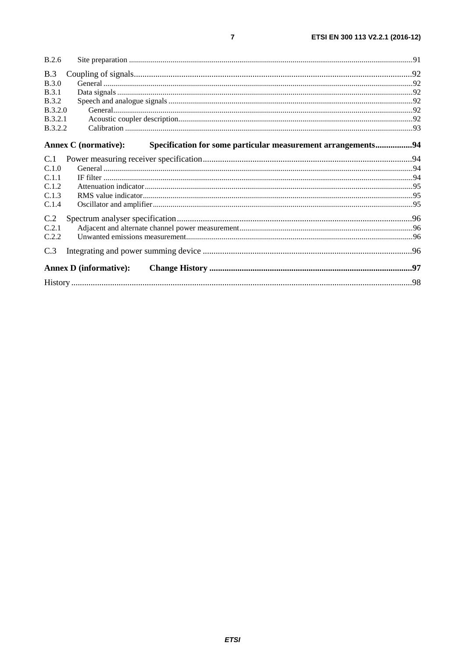| <b>B.2.6</b>   |                                                                                                    |  |
|----------------|----------------------------------------------------------------------------------------------------|--|
| B.3            |                                                                                                    |  |
| B.3.0          |                                                                                                    |  |
| <b>B.3.1</b>   |                                                                                                    |  |
| <b>B.3.2</b>   |                                                                                                    |  |
| B.3.2.0        |                                                                                                    |  |
| B.3.2.1        |                                                                                                    |  |
| <b>B.3.2.2</b> |                                                                                                    |  |
|                | <b>Annex C</b> (normative):<br><b>Specification for some particular measurement arrangements94</b> |  |
| C.1            |                                                                                                    |  |
| C.1.0          |                                                                                                    |  |
| C.1.1          |                                                                                                    |  |
| C.1.2          |                                                                                                    |  |
| C.1.3          |                                                                                                    |  |
| C.1.4          |                                                                                                    |  |
| C.2            |                                                                                                    |  |
| C.2.1          |                                                                                                    |  |
| C.2.2          |                                                                                                    |  |
| C.3            |                                                                                                    |  |
|                | <b>Annex D</b> (informative):                                                                      |  |
|                |                                                                                                    |  |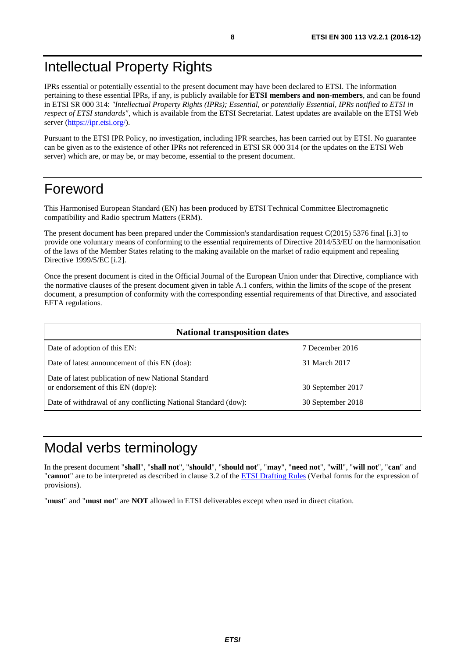# <span id="page-7-0"></span>Intellectual Property Rights

IPRs essential or potentially essential to the present document may have been declared to ETSI. The information pertaining to these essential IPRs, if any, is publicly available for **ETSI members and non-members**, and can be found in ETSI SR 000 314: *"Intellectual Property Rights (IPRs); Essential, or potentially Essential, IPRs notified to ETSI in respect of ETSI standards"*, which is available from the ETSI Secretariat. Latest updates are available on the ETSI Web server (<https://ipr.etsi.org/>).

Pursuant to the ETSI IPR Policy, no investigation, including IPR searches, has been carried out by ETSI. No guarantee can be given as to the existence of other IPRs not referenced in ETSI SR 000 314 (or the updates on the ETSI Web server) which are, or may be, or may become, essential to the present document.

# Foreword

This Harmonised European Standard (EN) has been produced by ETSI Technical Committee Electromagnetic compatibility and Radio spectrum Matters (ERM).

The present document has been prepared under the Commission's standardisation request C(2015) 5376 final [i.3] to provide one voluntary means of conforming to the essential requirements of Directive 2014/53/EU on the harmonisation of the laws of the Member States relating to the making available on the market of radio equipment and repealing Directive 1999/5/EC [i.2].

Once the present document is cited in the Official Journal of the European Union under that Directive, compliance with the normative clauses of the present document given in table A.1 confers, within the limits of the scope of the present document, a presumption of conformity with the corresponding essential requirements of that Directive, and associated EFTA regulations.

| <b>National transposition dates</b>                                                         |                   |  |  |  |
|---------------------------------------------------------------------------------------------|-------------------|--|--|--|
| Date of adoption of this EN:                                                                | 7 December 2016   |  |  |  |
| Date of latest announcement of this EN (doa):                                               | 31 March 2017     |  |  |  |
| Date of latest publication of new National Standard<br>or endorsement of this $EN$ (dop/e): | 30 September 2017 |  |  |  |
| Date of withdrawal of any conflicting National Standard (dow):                              | 30 September 2018 |  |  |  |

# Modal verbs terminology

In the present document "**shall**", "**shall not**", "**should**", "**should not**", "**may**", "**need not**", "**will**", "**will not**", "**can**" and "**cannot**" are to be interpreted as described in clause 3.2 of the [ETSI Drafting Rules](https://portal.etsi.org/Services/editHelp!/Howtostart/ETSIDraftingRules.aspx) (Verbal forms for the expression of provisions).

"**must**" and "**must not**" are **NOT** allowed in ETSI deliverables except when used in direct citation.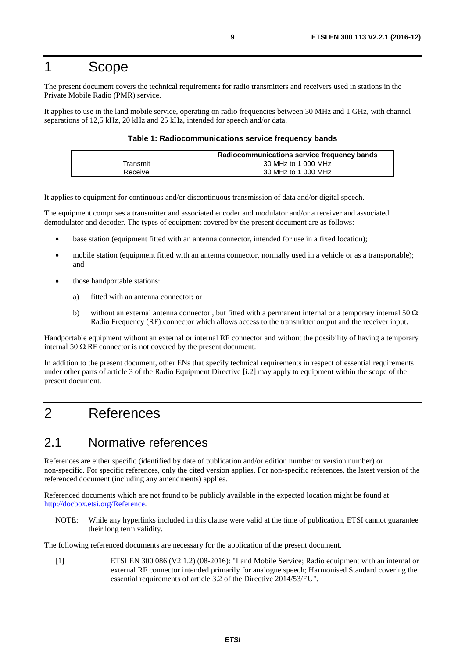# <span id="page-8-0"></span>1 Scope

The present document covers the technical requirements for radio transmitters and receivers used in stations in the Private Mobile Radio (PMR) service.

It applies to use in the land mobile service, operating on radio frequencies between 30 MHz and 1 GHz, with channel separations of 12,5 kHz, 20 kHz and 25 kHz, intended for speech and/or data.

#### **Table 1: Radiocommunications service frequency bands**

|          | Radiocommunications service frequency bands |  |  |
|----------|---------------------------------------------|--|--|
| Fransmit | 30 MHz to 1 000 MHz                         |  |  |
| Receive  | 30 MHz to 1 000 MHz                         |  |  |

It applies to equipment for continuous and/or discontinuous transmission of data and/or digital speech.

The equipment comprises a transmitter and associated encoder and modulator and/or a receiver and associated demodulator and decoder. The types of equipment covered by the present document are as follows:

- base station (equipment fitted with an antenna connector, intended for use in a fixed location);
- mobile station (equipment fitted with an antenna connector, normally used in a vehicle or as a transportable); and
- those handportable stations:
	- a) fitted with an antenna connector; or
	- b) without an external antenna connector, but fitted with a permanent internal or a temporary internal 50  $\Omega$ Radio Frequency (RF) connector which allows access to the transmitter output and the receiver input.

Handportable equipment without an external or internal RF connector and without the possibility of having a temporary internal 50  $\Omega$  RF connector is not covered by the present document.

In addition to the present document, other ENs that specify technical requirements in respect of essential requirements under other parts of article 3 of the Radio Equipment Directive [[i.2](#page-9-0)] may apply to equipment within the scope of the present document.

# 2 References

# 2.1 Normative references

References are either specific (identified by date of publication and/or edition number or version number) or non-specific. For specific references, only the cited version applies. For non-specific references, the latest version of the referenced document (including any amendments) applies.

Referenced documents which are not found to be publicly available in the expected location might be found at <http://docbox.etsi.org/Reference>.

NOTE: While any hyperlinks included in this clause were valid at the time of publication, ETSI cannot guarantee their long term validity.

The following referenced documents are necessary for the application of the present document.

[1] ETSI EN 300 086 (V2.1.2) (08-2016): "Land Mobile Service; Radio equipment with an internal or external RF connector intended primarily for analogue speech; Harmonised Standard covering the essential requirements of article 3.2 of the Directive 2014/53/EU".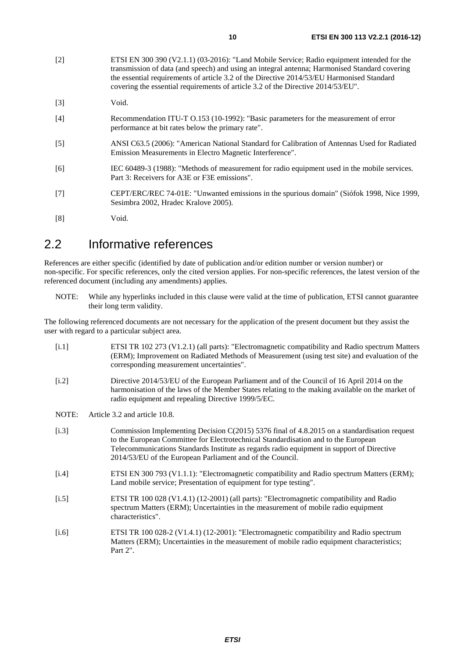- <span id="page-9-0"></span>[2] ETSI EN 300 390 (V2.1.1) (03-2016): "Land Mobile Service; Radio equipment intended for the transmission of data (and speech) and using an integral antenna; Harmonised Standard covering the essential requirements of article 3.2 of the Directive 2014/53/EU Harmonised Standard covering the essential requirements of article 3.2 of the Directive 2014/53/EU".
- [3] Void.
- [4] Recommendation ITU-T O.153 (10-1992): "Basic parameters for the measurement of error performance at bit rates below the primary rate".
- [5] ANSI C63.5 (2006): "American National Standard for Calibration of Antennas Used for Radiated Emission Measurements in Electro Magnetic Interference".
- [6] IEC 60489-3 (1988): "Methods of measurement for radio equipment used in the mobile services. Part 3: Receivers for A3E or F3E emissions".
- [7] CEPT/ERC/REC 74-01E: "Unwanted emissions in the spurious domain" (Siófok 1998, Nice 1999, Sesimbra 2002, Hradec Kralove 2005).
- [8] Void.

# 2.2 Informative references

References are either specific (identified by date of publication and/or edition number or version number) or non-specific. For specific references, only the cited version applies. For non-specific references, the latest version of the referenced document (including any amendments) applies.

NOTE: While any hyperlinks included in this clause were valid at the time of publication, ETSI cannot guarantee their long term validity.

The following referenced documents are not necessary for the application of the present document but they assist the user with regard to a particular subject area.

| [i.1]   | ETSI TR 102 273 (V1.2.1) (all parts): "Electromagnetic compatibility and Radio spectrum Matters<br>(ERM); Improvement on Radiated Methods of Measurement (using test site) and evaluation of the<br>corresponding measurement uncertainties".                                                                                                |
|---------|----------------------------------------------------------------------------------------------------------------------------------------------------------------------------------------------------------------------------------------------------------------------------------------------------------------------------------------------|
| $[1.2]$ | Directive 2014/53/EU of the European Parliament and of the Council of 16 April 2014 on the<br>harmonisation of the laws of the Member States relating to the making available on the market of<br>radio equipment and repealing Directive 1999/5/EC.                                                                                         |
| NOTE:   | Article 3.2 and article 10.8.                                                                                                                                                                                                                                                                                                                |
| $[1.3]$ | Commission Implementing Decision C(2015) 5376 final of 4.8.2015 on a standardisation request<br>to the European Committee for Electrotechnical Standardisation and to the European<br>Telecommunications Standards Institute as regards radio equipment in support of Directive<br>2014/53/EU of the European Parliament and of the Council. |
| [i.4]   | ETSI EN 300 793 (V1.1.1): "Electromagnetic compatibility and Radio spectrum Matters (ERM);<br>Land mobile service; Presentation of equipment for type testing".                                                                                                                                                                              |
| $[1.5]$ | ETSI TR 100 028 (V1.4.1) (12-2001) (all parts): "Electromagnetic compatibility and Radio<br>spectrum Matters (ERM); Uncertainties in the measurement of mobile radio equipment<br>characteristics".                                                                                                                                          |
| $[1.6]$ | ETSI TR 100 028-2 (V1.4.1) (12-2001): "Electromagnetic compatibility and Radio spectrum<br>Matters (ERM); Uncertainties in the measurement of mobile radio equipment characteristics;<br>Part $2"$ .                                                                                                                                         |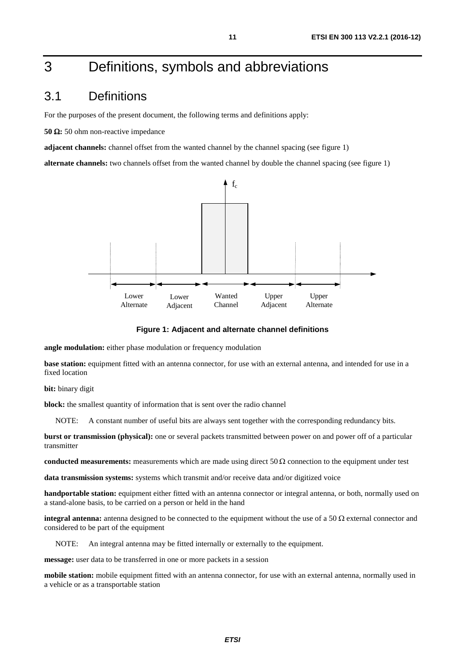# <span id="page-10-0"></span>3 Definitions, symbols and abbreviations

### 3.1 Definitions

For the purposes of the present document, the following terms and definitions apply:

**50** Ω**:** 50 ohm non-reactive impedance

**adjacent channels:** channel offset from the wanted channel by the channel spacing (see figure 1)

**alternate channels:** two channels offset from the wanted channel by double the channel spacing (see figure 1)



**Figure 1: Adjacent and alternate channel definitions** 

**angle modulation:** either phase modulation or frequency modulation

**base station:** equipment fitted with an antenna connector, for use with an external antenna, and intended for use in a fixed location

**bit:** binary digit

**block:** the smallest quantity of information that is sent over the radio channel

NOTE: A constant number of useful bits are always sent together with the corresponding redundancy bits.

**burst or transmission (physical):** one or several packets transmitted between power on and power off of a particular transmitter

**conducted measurements:** measurements which are made using direct 50  $\Omega$  connection to the equipment under test

**data transmission systems:** systems which transmit and/or receive data and/or digitized voice

**handportable station:** equipment either fitted with an antenna connector or integral antenna, or both, normally used on a stand-alone basis, to be carried on a person or held in the hand

**integral antenna:** antenna designed to be connected to the equipment without the use of a 50  $\Omega$  external connector and considered to be part of the equipment

NOTE: An integral antenna may be fitted internally or externally to the equipment.

**message:** user data to be transferred in one or more packets in a session

**mobile station:** mobile equipment fitted with an antenna connector, for use with an external antenna, normally used in a vehicle or as a transportable station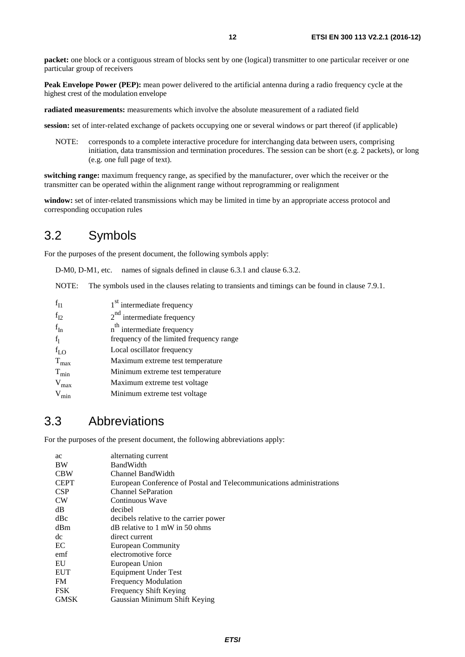<span id="page-11-0"></span>**packet:** one block or a contiguous stream of blocks sent by one (logical) transmitter to one particular receiver or one particular group of receivers

**Peak Envelope Power (PEP):** mean power delivered to the artificial antenna during a radio frequency cycle at the highest crest of the modulation envelope

**radiated measurements:** measurements which involve the absolute measurement of a radiated field

**session:** set of inter-related exchange of packets occupying one or several windows or part thereof (if applicable)

NOTE: corresponds to a complete interactive procedure for interchanging data between users, comprising initiation, data transmission and termination procedures. The session can be short (e.g. 2 packets), or long (e.g. one full page of text).

**switching range:** maximum frequency range, as specified by the manufacturer, over which the receiver or the transmitter can be operated within the alignment range without reprogramming or realignment

**window:** set of inter-related transmissions which may be limited in time by an appropriate access protocol and corresponding occupation rules

# 3.2 Symbols

For the purposes of the present document, the following symbols apply:

D-M0, D-M1, etc. names of signals defined in clause 6.3.1 and clause 6.3.2.

NOTE: The symbols used in the clauses relating to transients and timings can be found in clause 7.9.1.

| $f_{I1}$         | 1 <sup>st</sup> intermediate frequency   |
|------------------|------------------------------------------|
| $f_{I2}$         | $2nd$ intermediate frequency             |
| $f_{In}$         | n <sup>th</sup> intermediate frequency   |
| $f_1$            | frequency of the limited frequency range |
| $f_{LO}$         | Local oscillator frequency               |
| $T_{\text{max}}$ | Maximum extreme test temperature         |
| $T_{min}$        | Minimum extreme test temperature         |
| $V_{max}$        | Maximum extreme test voltage             |
| $V_{\rm min}$    | Minimum extreme test voltage             |

# 3.3 Abbreviations

For the purposes of the present document, the following abbreviations apply:

| alternating current                                                  |
|----------------------------------------------------------------------|
| <b>BandWidth</b>                                                     |
| Channel BandWidth                                                    |
| European Conference of Postal and Telecommunications administrations |
| <b>Channel SeParation</b>                                            |
| Continuous Wave                                                      |
| decibel                                                              |
| decibels relative to the carrier power                               |
| $dB$ relative to 1 mW in 50 ohms                                     |
| direct current                                                       |
| <b>European Community</b>                                            |
| electromotive force                                                  |
| European Union                                                       |
| Equipment Under Test                                                 |
| <b>Frequency Modulation</b>                                          |
| Frequency Shift Keying                                               |
| Gaussian Minimum Shift Keying                                        |
|                                                                      |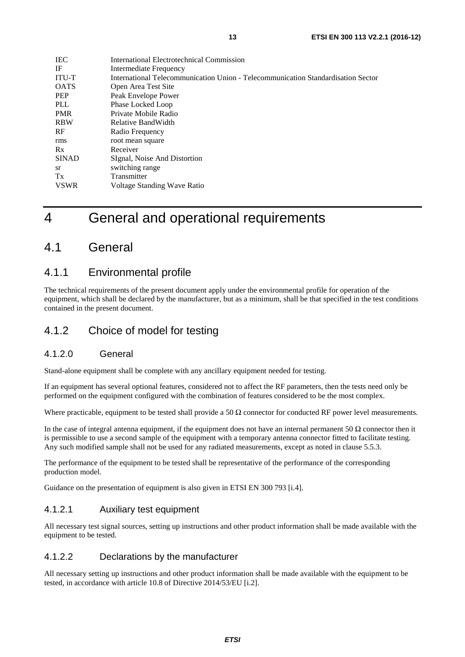<span id="page-12-0"></span>

| <b>IEC</b>   | International Electrotechnical Commission                                        |
|--------------|----------------------------------------------------------------------------------|
| IF           | Intermediate Frequency                                                           |
| <b>ITU-T</b> | International Telecommunication Union - Telecommunication Standardisation Sector |
| <b>OATS</b>  | Open Area Test Site                                                              |
| <b>PEP</b>   | Peak Envelope Power                                                              |
| PLL          | Phase Locked Loop                                                                |
| <b>PMR</b>   | Private Mobile Radio                                                             |
| <b>RBW</b>   | Relative BandWidth                                                               |
| RF           | Radio Frequency                                                                  |
| rms          | root mean square                                                                 |
| Rx           | Receiver                                                                         |
| <b>SINAD</b> | SIgnal, Noise And Distortion                                                     |
| <b>sr</b>    | switching range                                                                  |
| Tx           | Transmitter                                                                      |
| <b>VSWR</b>  | Voltage Standing Wave Ratio                                                      |

# 4 General and operational requirements

# 4.1 General

### 4.1.1 Environmental profile

The technical requirements of the present document apply under the environmental profile for operation of the equipment, which shall be declared by the manufacturer, but as a minimum, shall be that specified in the test conditions contained in the present document.

### 4.1.2 Choice of model for testing

#### 4.1.2.0 General

Stand-alone equipment shall be complete with any ancillary equipment needed for testing.

If an equipment has several optional features, considered not to affect the RF parameters, then the tests need only be performed on the equipment configured with the combination of features considered to be the most complex.

Where practicable, equipment to be tested shall provide a 50  $\Omega$  connector for conducted RF power level measurements.

In the case of integral antenna equipment, if the equipment does not have an internal permanent 50  $\Omega$  connector then it is permissible to use a second sample of the equipment with a temporary antenna connector fitted to facilitate testing. Any such modified sample shall not be used for any radiated measurements, except as noted in clause 5.5.3.

The performance of the equipment to be tested shall be representative of the performance of the corresponding production model.

Guidance on the presentation of equipment is also given in ETSI EN 300 793 [\[i.4](#page-9-0)].

### 4.1.2.1 Auxiliary test equipment

All necessary test signal sources, setting up instructions and other product information shall be made available with the equipment to be tested.

### 4.1.2.2 Declarations by the manufacturer

All necessary setting up instructions and other product information shall be made available with the equipment to be tested, in accordance with article 10.8 of Directive 2014/53/EU [[i.2\]](#page-9-0).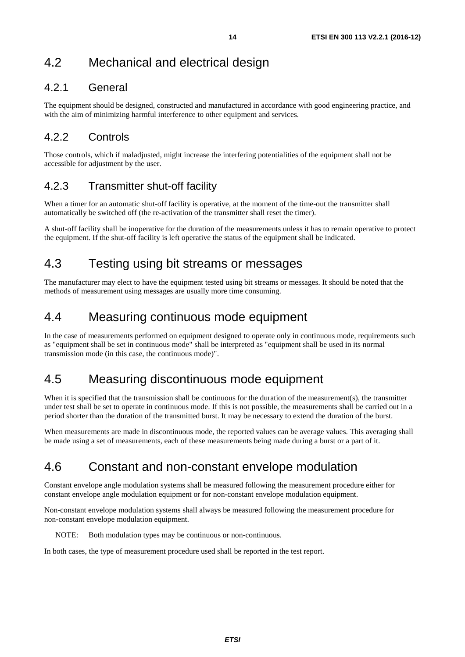# <span id="page-13-0"></span>4.2 Mechanical and electrical design

### 4.2.1 General

The equipment should be designed, constructed and manufactured in accordance with good engineering practice, and with the aim of minimizing harmful interference to other equipment and services.

# 4.2.2 Controls

Those controls, which if maladjusted, might increase the interfering potentialities of the equipment shall not be accessible for adjustment by the user.

# 4.2.3 Transmitter shut-off facility

When a timer for an automatic shut-off facility is operative, at the moment of the time-out the transmitter shall automatically be switched off (the re-activation of the transmitter shall reset the timer).

A shut-off facility shall be inoperative for the duration of the measurements unless it has to remain operative to protect the equipment. If the shut-off facility is left operative the status of the equipment shall be indicated.

# 4.3 Testing using bit streams or messages

The manufacturer may elect to have the equipment tested using bit streams or messages. It should be noted that the methods of measurement using messages are usually more time consuming.

# 4.4 Measuring continuous mode equipment

In the case of measurements performed on equipment designed to operate only in continuous mode, requirements such as "equipment shall be set in continuous mode" shall be interpreted as "equipment shall be used in its normal transmission mode (in this case, the continuous mode)".

# 4.5 Measuring discontinuous mode equipment

When it is specified that the transmission shall be continuous for the duration of the measurement(s), the transmitter under test shall be set to operate in continuous mode. If this is not possible, the measurements shall be carried out in a period shorter than the duration of the transmitted burst. It may be necessary to extend the duration of the burst.

When measurements are made in discontinuous mode, the reported values can be average values. This averaging shall be made using a set of measurements, each of these measurements being made during a burst or a part of it.

# 4.6 Constant and non-constant envelope modulation

Constant envelope angle modulation systems shall be measured following the measurement procedure either for constant envelope angle modulation equipment or for non-constant envelope modulation equipment.

Non-constant envelope modulation systems shall always be measured following the measurement procedure for non-constant envelope modulation equipment.

NOTE: Both modulation types may be continuous or non-continuous.

In both cases, the type of measurement procedure used shall be reported in the test report.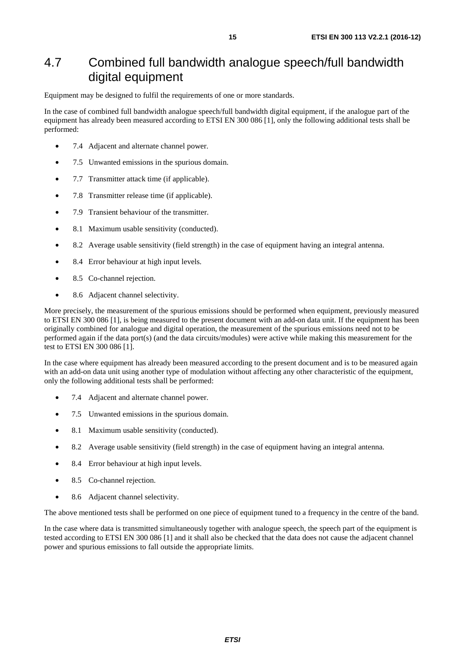# <span id="page-14-0"></span>4.7 Combined full bandwidth analogue speech/full bandwidth digital equipment

Equipment may be designed to fulfil the requirements of one or more standards.

In the case of combined full bandwidth analogue speech/full bandwidth digital equipment, if the analogue part of the equipment has already been measured according to ETSI EN 300 086 [\[1](#page-8-0)], only the following additional tests shall be performed:

- 7.4 Adjacent and alternate channel power.
- 7.5 Unwanted emissions in the spurious domain.
- 7.7 Transmitter attack time (if applicable).
- 7.8 Transmitter release time (if applicable).
- 7.9 Transient behaviour of the transmitter.
- 8.1 Maximum usable sensitivity (conducted).
- 8.2 Average usable sensitivity (field strength) in the case of equipment having an integral antenna.
- 8.4 Error behaviour at high input levels.
- 8.5 Co-channel rejection.
- 8.6 Adjacent channel selectivity.

More precisely, the measurement of the spurious emissions should be performed when equipment, previously measured to ETSI EN 300 086 [[1\]](#page-8-0), is being measured to the present document with an add-on data unit. If the equipment has been originally combined for analogue and digital operation, the measurement of the spurious emissions need not to be performed again if the data port(s) (and the data circuits/modules) were active while making this measurement for the test to ETSI EN 300 086 [\[1](#page-8-0)].

In the case where equipment has already been measured according to the present document and is to be measured again with an add-on data unit using another type of modulation without affecting any other characteristic of the equipment, only the following additional tests shall be performed:

- 7.4 Adjacent and alternate channel power.
- 7.5 Unwanted emissions in the spurious domain.
- 8.1 Maximum usable sensitivity (conducted).
- 8.2 Average usable sensitivity (field strength) in the case of equipment having an integral antenna.
- 8.4 Error behaviour at high input levels.
- 8.5 Co-channel rejection.
- 8.6 Adjacent channel selectivity.

The above mentioned tests shall be performed on one piece of equipment tuned to a frequency in the centre of the band.

In the case where data is transmitted simultaneously together with analogue speech, the speech part of the equipment is tested according to ETSI EN 300 086 [\[1](#page-8-0)] and it shall also be checked that the data does not cause the adjacent channel power and spurious emissions to fall outside the appropriate limits.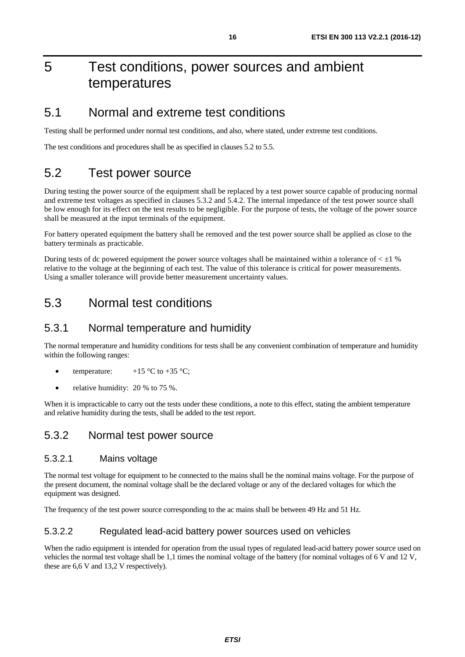# <span id="page-15-0"></span>5 Test conditions, power sources and ambient temperatures

### 5.1 Normal and extreme test conditions

Testing shall be performed under normal test conditions, and also, where stated, under extreme test conditions.

The test conditions and procedures shall be as specified in clauses 5.2 to 5.5.

# 5.2 Test power source

During testing the power source of the equipment shall be replaced by a test power source capable of producing normal and extreme test voltages as specified in clauses 5.3.2 and 5.4.2. The internal impedance of the test power source shall be low enough for its effect on the test results to be negligible. For the purpose of tests, the voltage of the power source shall be measured at the input terminals of the equipment.

For battery operated equipment the battery shall be removed and the test power source shall be applied as close to the battery terminals as practicable.

During tests of dc powered equipment the power source voltages shall be maintained within a tolerance of  $\lt \pm 1$  % relative to the voltage at the beginning of each test. The value of this tolerance is critical for power measurements. Using a smaller tolerance will provide better measurement uncertainty values.

# 5.3 Normal test conditions

### 5.3.1 Normal temperature and humidity

The normal temperature and humidity conditions for tests shall be any convenient combination of temperature and humidity within the following ranges:

- temperature:  $+15 \degree C$  to  $+35 \degree C$ ;
- relative humidity: 20 % to 75 %.

When it is impracticable to carry out the tests under these conditions, a note to this effect, stating the ambient temperature and relative humidity during the tests, shall be added to the test report.

### 5.3.2 Normal test power source

#### 5.3.2.1 Mains voltage

The normal test voltage for equipment to be connected to the mains shall be the nominal mains voltage. For the purpose of the present document, the nominal voltage shall be the declared voltage or any of the declared voltages for which the equipment was designed.

The frequency of the test power source corresponding to the ac mains shall be between 49 Hz and 51 Hz.

#### 5.3.2.2 Regulated lead-acid battery power sources used on vehicles

When the radio equipment is intended for operation from the usual types of regulated lead-acid battery power source used on vehicles the normal test voltage shall be 1,1 times the nominal voltage of the battery (for nominal voltages of 6 V and 12 V, these are 6,6 V and 13,2 V respectively).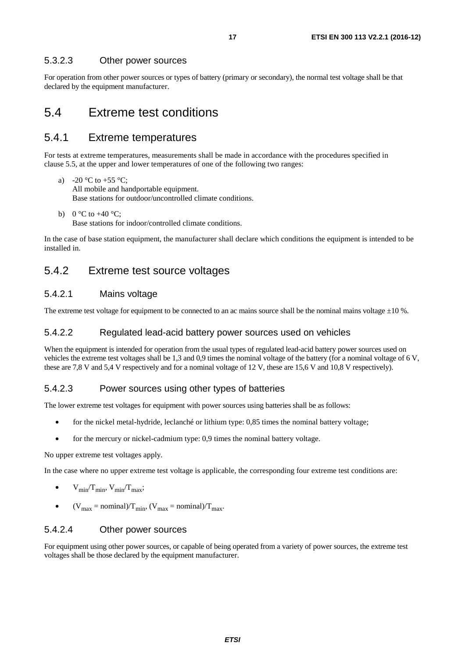#### <span id="page-16-0"></span>5.3.2.3 Other power sources

For operation from other power sources or types of battery (primary or secondary), the normal test voltage shall be that declared by the equipment manufacturer.

### 5.4 Extreme test conditions

### 5.4.1 Extreme temperatures

For tests at extreme temperatures, measurements shall be made in accordance with the procedures specified in clause 5.5, at the upper and lower temperatures of one of the following two ranges:

- a) -20 °C to +55 °C; All mobile and handportable equipment. Base stations for outdoor/uncontrolled climate conditions.
- b)  $0 °C$  to  $+40 °C$ ; Base stations for indoor/controlled climate conditions.

In the case of base station equipment, the manufacturer shall declare which conditions the equipment is intended to be installed in.

### 5.4.2 Extreme test source voltages

#### 5.4.2.1 Mains voltage

The extreme test voltage for equipment to be connected to an ac mains source shall be the nominal mains voltage  $\pm 10$  %.

#### 5.4.2.2 Regulated lead-acid battery power sources used on vehicles

When the equipment is intended for operation from the usual types of regulated lead-acid battery power sources used on vehicles the extreme test voltages shall be 1,3 and 0,9 times the nominal voltage of the battery (for a nominal voltage of 6 V, these are 7,8 V and 5,4 V respectively and for a nominal voltage of 12 V, these are 15,6 V and 10,8 V respectively).

#### 5.4.2.3 Power sources using other types of batteries

The lower extreme test voltages for equipment with power sources using batteries shall be as follows:

- for the nickel metal-hydride, leclanché or lithium type: 0,85 times the nominal battery voltage;
- for the mercury or nickel-cadmium type: 0,9 times the nominal battery voltage.

No upper extreme test voltages apply.

In the case where no upper extreme test voltage is applicable, the corresponding four extreme test conditions are:

- $V_{\text{min}}/T_{\text{min}}$ ,  $V_{\text{min}}/T_{\text{max}}$ ;
- $(V_{\text{max}} = \text{nominal})/T_{\text{min}}$ ,  $(V_{\text{max}} = \text{nominal})/T_{\text{max}}$ .

#### 5.4.2.4 Other power sources

For equipment using other power sources, or capable of being operated from a variety of power sources, the extreme test voltages shall be those declared by the equipment manufacturer.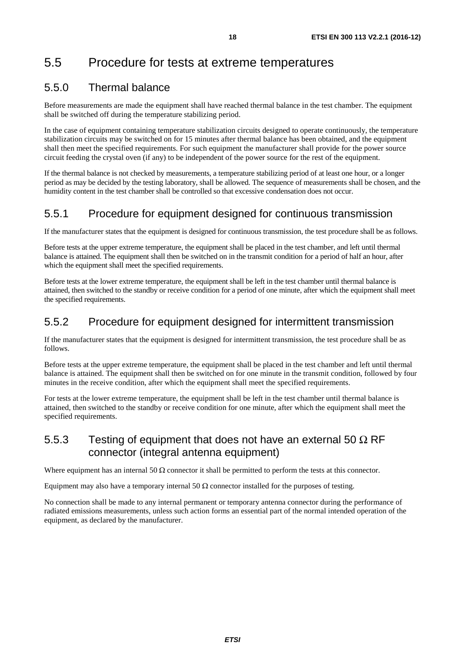# <span id="page-17-0"></span>5.5 Procedure for tests at extreme temperatures

### 5.5.0 Thermal balance

Before measurements are made the equipment shall have reached thermal balance in the test chamber. The equipment shall be switched off during the temperature stabilizing period.

In the case of equipment containing temperature stabilization circuits designed to operate continuously, the temperature stabilization circuits may be switched on for 15 minutes after thermal balance has been obtained, and the equipment shall then meet the specified requirements. For such equipment the manufacturer shall provide for the power source circuit feeding the crystal oven (if any) to be independent of the power source for the rest of the equipment.

If the thermal balance is not checked by measurements, a temperature stabilizing period of at least one hour, or a longer period as may be decided by the testing laboratory, shall be allowed. The sequence of measurements shall be chosen, and the humidity content in the test chamber shall be controlled so that excessive condensation does not occur.

### 5.5.1 Procedure for equipment designed for continuous transmission

If the manufacturer states that the equipment is designed for continuous transmission, the test procedure shall be as follows.

Before tests at the upper extreme temperature, the equipment shall be placed in the test chamber, and left until thermal balance is attained. The equipment shall then be switched on in the transmit condition for a period of half an hour, after which the equipment shall meet the specified requirements.

Before tests at the lower extreme temperature, the equipment shall be left in the test chamber until thermal balance is attained, then switched to the standby or receive condition for a period of one minute, after which the equipment shall meet the specified requirements.

### 5.5.2 Procedure for equipment designed for intermittent transmission

If the manufacturer states that the equipment is designed for intermittent transmission, the test procedure shall be as follows.

Before tests at the upper extreme temperature, the equipment shall be placed in the test chamber and left until thermal balance is attained. The equipment shall then be switched on for one minute in the transmit condition, followed by four minutes in the receive condition, after which the equipment shall meet the specified requirements.

For tests at the lower extreme temperature, the equipment shall be left in the test chamber until thermal balance is attained, then switched to the standby or receive condition for one minute, after which the equipment shall meet the specified requirements.

### 5.5.3 Testing of equipment that does not have an external 50  $\Omega$  RF connector (integral antenna equipment)

Where equipment has an internal 50  $\Omega$  connector it shall be permitted to perform the tests at this connector.

Equipment may also have a temporary internal 50  $\Omega$  connector installed for the purposes of testing.

No connection shall be made to any internal permanent or temporary antenna connector during the performance of radiated emissions measurements, unless such action forms an essential part of the normal intended operation of the equipment, as declared by the manufacturer.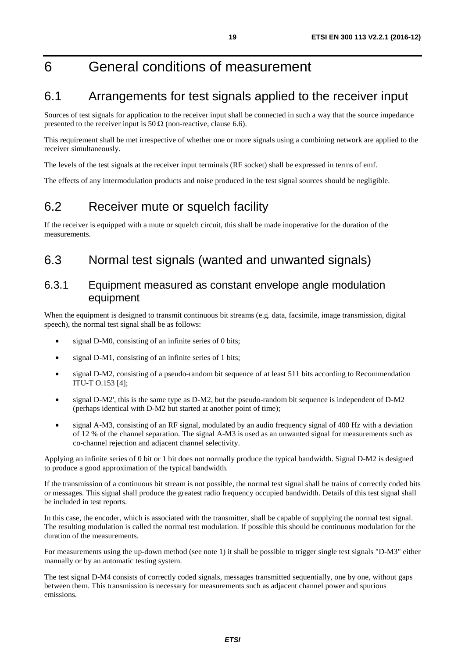# <span id="page-18-0"></span>6 General conditions of measurement

# 6.1 Arrangements for test signals applied to the receiver input

Sources of test signals for application to the receiver input shall be connected in such a way that the source impedance presented to the receiver input is 50  $\Omega$  (non-reactive, clause 6.6).

This requirement shall be met irrespective of whether one or more signals using a combining network are applied to the receiver simultaneously.

The levels of the test signals at the receiver input terminals (RF socket) shall be expressed in terms of emf.

The effects of any intermodulation products and noise produced in the test signal sources should be negligible.

# 6.2 Receiver mute or squelch facility

If the receiver is equipped with a mute or squelch circuit, this shall be made inoperative for the duration of the measurements.

# 6.3 Normal test signals (wanted and unwanted signals)

### 6.3.1 Equipment measured as constant envelope angle modulation equipment

When the equipment is designed to transmit continuous bit streams (e.g. data, facsimile, image transmission, digital speech), the normal test signal shall be as follows:

- signal D-M0, consisting of an infinite series of 0 bits;
- signal D-M1, consisting of an infinite series of 1 bits;
- signal D-M2, consisting of a pseudo-random bit sequence of at least 511 bits according to Recommendation ITU-T O.153 [\[4](#page-9-0)];
- signal D-M2', this is the same type as D-M2, but the pseudo-random bit sequence is independent of D-M2 (perhaps identical with D-M2 but started at another point of time);
- signal A-M3, consisting of an RF signal, modulated by an audio frequency signal of 400 Hz with a deviation of 12 % of the channel separation. The signal A-M3 is used as an unwanted signal for measurements such as co-channel rejection and adjacent channel selectivity.

Applying an infinite series of 0 bit or 1 bit does not normally produce the typical bandwidth. Signal D-M2 is designed to produce a good approximation of the typical bandwidth.

If the transmission of a continuous bit stream is not possible, the normal test signal shall be trains of correctly coded bits or messages. This signal shall produce the greatest radio frequency occupied bandwidth. Details of this test signal shall be included in test reports.

In this case, the encoder, which is associated with the transmitter, shall be capable of supplying the normal test signal. The resulting modulation is called the normal test modulation. If possible this should be continuous modulation for the duration of the measurements.

For measurements using the up-down method (see note 1) it shall be possible to trigger single test signals "D-M3" either manually or by an automatic testing system.

The test signal D-M4 consists of correctly coded signals, messages transmitted sequentially, one by one, without gaps between them. This transmission is necessary for measurements such as adjacent channel power and spurious emissions.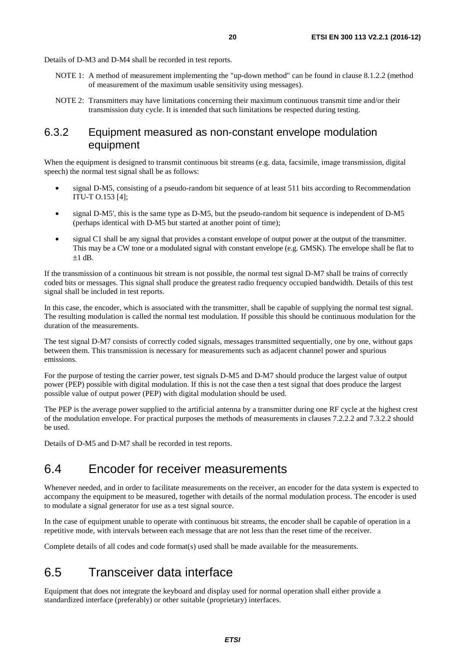<span id="page-19-0"></span>Details of D-M3 and D-M4 shall be recorded in test reports.

- NOTE 1: A method of measurement implementing the "up-down method" can be found in clause 8.1.2.2 (method of measurement of the maximum usable sensitivity using messages).
- NOTE 2: Transmitters may have limitations concerning their maximum continuous transmit time and/or their transmission duty cycle. It is intended that such limitations be respected during testing.

### 6.3.2 Equipment measured as non-constant envelope modulation equipment

When the equipment is designed to transmit continuous bit streams (e.g. data, facsimile, image transmission, digital speech) the normal test signal shall be as follows:

- signal D-M5, consisting of a pseudo-random bit sequence of at least 511 bits according to Recommendation ITU-T O.153 [\[4](#page-9-0)];
- signal D-M5', this is the same type as D-M5, but the pseudo-random bit sequence is independent of D-M5 (perhaps identical with D-M5 but started at another point of time);
- signal C1 shall be any signal that provides a constant envelope of output power at the output of the transmitter. This may be a CW tone or a modulated signal with constant envelope (e.g. GMSK). The envelope shall be flat to  $±1$  dB.

If the transmission of a continuous bit stream is not possible, the normal test signal D-M7 shall be trains of correctly coded bits or messages. This signal shall produce the greatest radio frequency occupied bandwidth. Details of this test signal shall be included in test reports.

In this case, the encoder, which is associated with the transmitter, shall be capable of supplying the normal test signal. The resulting modulation is called the normal test modulation. If possible this should be continuous modulation for the duration of the measurements.

The test signal D-M7 consists of correctly coded signals, messages transmitted sequentially, one by one, without gaps between them. This transmission is necessary for measurements such as adjacent channel power and spurious emissions.

For the purpose of testing the carrier power, test signals D-M5 and D-M7 should produce the largest value of output power (PEP) possible with digital modulation. If this is not the case then a test signal that does produce the largest possible value of output power (PEP) with digital modulation should be used.

The PEP is the average power supplied to the artificial antenna by a transmitter during one RF cycle at the highest crest of the modulation envelope. For practical purposes the methods of measurements in clauses 7.2.2.2 and 7.3.2.2 should be used.

Details of D-M5 and D-M7 shall be recorded in test reports.

# 6.4 Encoder for receiver measurements

Whenever needed, and in order to facilitate measurements on the receiver, an encoder for the data system is expected to accompany the equipment to be measured, together with details of the normal modulation process. The encoder is used to modulate a signal generator for use as a test signal source.

In the case of equipment unable to operate with continuous bit streams, the encoder shall be capable of operation in a repetitive mode, with intervals between each message that are not less than the reset time of the receiver.

Complete details of all codes and code format(s) used shall be made available for the measurements.

# 6.5 Transceiver data interface

Equipment that does not integrate the keyboard and display used for normal operation shall either provide a standardized interface (preferably) or other suitable (proprietary) interfaces.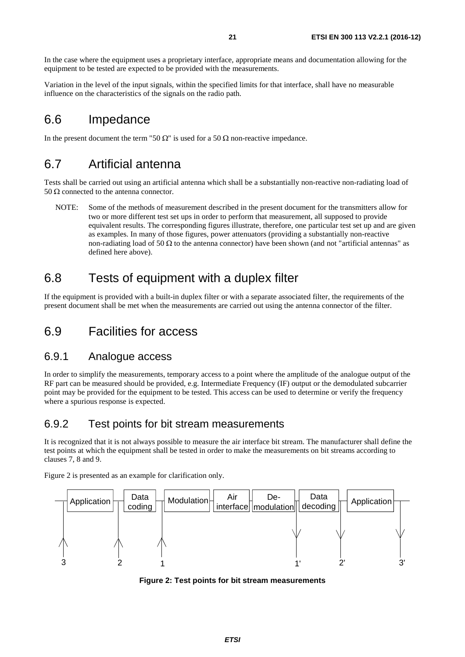<span id="page-20-0"></span>In the case where the equipment uses a proprietary interface, appropriate means and documentation allowing for the equipment to be tested are expected to be provided with the measurements.

Variation in the level of the input signals, within the specified limits for that interface, shall have no measurable influence on the characteristics of the signals on the radio path.

# 6.6 Impedance

In the present document the term "50  $\Omega$ " is used for a 50  $\Omega$  non-reactive impedance.

# 6.7 Artificial antenna

Tests shall be carried out using an artificial antenna which shall be a substantially non-reactive non-radiating load of 50 Ω connected to the antenna connector.

NOTE: Some of the methods of measurement described in the present document for the transmitters allow for two or more different test set ups in order to perform that measurement, all supposed to provide equivalent results. The corresponding figures illustrate, therefore, one particular test set up and are given as examples. In many of those figures, power attenuators (providing a substantially non-reactive non-radiating load of 50 Ω to the antenna connector) have been shown (and not "artificial antennas" as defined here above).

# 6.8 Tests of equipment with a duplex filter

If the equipment is provided with a built-in duplex filter or with a separate associated filter, the requirements of the present document shall be met when the measurements are carried out using the antenna connector of the filter.

# 6.9 Facilities for access

### 6.9.1 Analogue access

In order to simplify the measurements, temporary access to a point where the amplitude of the analogue output of the RF part can be measured should be provided, e.g. Intermediate Frequency (IF) output or the demodulated subcarrier point may be provided for the equipment to be tested. This access can be used to determine or verify the frequency where a spurious response is expected.

### 6.9.2 Test points for bit stream measurements

It is recognized that it is not always possible to measure the air interface bit stream. The manufacturer shall define the test points at which the equipment shall be tested in order to make the measurements on bit streams according to clauses 7, 8 and 9.

Figure 2 is presented as an example for clarification only.



**Figure 2: Test points for bit stream measurements**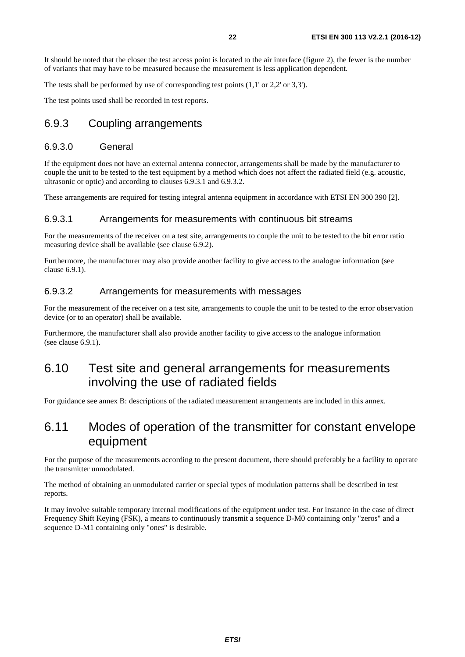<span id="page-21-0"></span>It should be noted that the closer the test access point is located to the air interface (figure 2), the fewer is the number of variants that may have to be measured because the measurement is less application dependent.

The tests shall be performed by use of corresponding test points (1,1' or 2,2' or 3,3').

The test points used shall be recorded in test reports.

### 6.9.3 Coupling arrangements

#### 6.9.3.0 General

If the equipment does not have an external antenna connector, arrangements shall be made by the manufacturer to couple the unit to be tested to the test equipment by a method which does not affect the radiated field (e.g. acoustic, ultrasonic or optic) and according to clauses 6.9.3.1 and 6.9.3.2.

These arrangements are required for testing integral antenna equipment in accordance with ETSI EN 300 390 [\[2](#page-9-0)].

#### 6.9.3.1 Arrangements for measurements with continuous bit streams

For the measurements of the receiver on a test site, arrangements to couple the unit to be tested to the bit error ratio measuring device shall be available (see clause 6.9.2).

Furthermore, the manufacturer may also provide another facility to give access to the analogue information (see clause 6.9.1).

#### 6.9.3.2 Arrangements for measurements with messages

For the measurement of the receiver on a test site, arrangements to couple the unit to be tested to the error observation device (or to an operator) shall be available.

Furthermore, the manufacturer shall also provide another facility to give access to the analogue information (see clause 6.9.1).

# 6.10 Test site and general arrangements for measurements involving the use of radiated fields

For guidance see annex B: descriptions of the radiated measurement arrangements are included in this annex.

# 6.11 Modes of operation of the transmitter for constant envelope equipment

For the purpose of the measurements according to the present document, there should preferably be a facility to operate the transmitter unmodulated.

The method of obtaining an unmodulated carrier or special types of modulation patterns shall be described in test reports.

It may involve suitable temporary internal modifications of the equipment under test. For instance in the case of direct Frequency Shift Keying (FSK), a means to continuously transmit a sequence D-M0 containing only "zeros" and a sequence D-M1 containing only "ones" is desirable.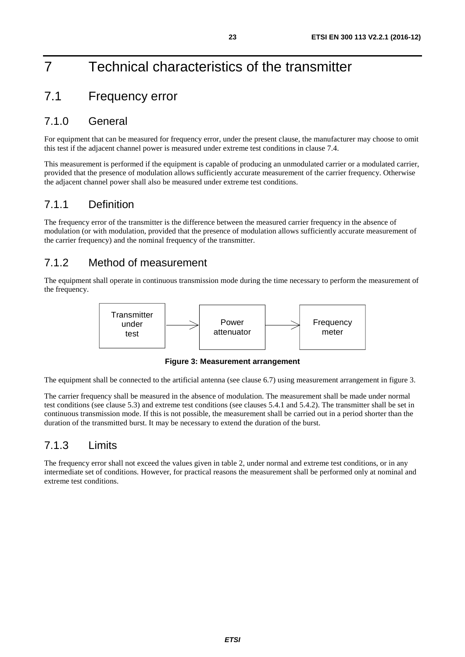# <span id="page-22-0"></span>7 Technical characteristics of the transmitter

# 7.1 Frequency error

### 7.1.0 General

For equipment that can be measured for frequency error, under the present clause, the manufacturer may choose to omit this test if the adjacent channel power is measured under extreme test conditions in clause 7.4.

This measurement is performed if the equipment is capable of producing an unmodulated carrier or a modulated carrier, provided that the presence of modulation allows sufficiently accurate measurement of the carrier frequency. Otherwise the adjacent channel power shall also be measured under extreme test conditions.

### 7.1.1 Definition

The frequency error of the transmitter is the difference between the measured carrier frequency in the absence of modulation (or with modulation, provided that the presence of modulation allows sufficiently accurate measurement of the carrier frequency) and the nominal frequency of the transmitter.

# 7.1.2 Method of measurement

The equipment shall operate in continuous transmission mode during the time necessary to perform the measurement of the frequency.



**Figure 3: Measurement arrangement** 

The equipment shall be connected to the artificial antenna (see clause 6.7) using measurement arrangement in figure 3.

The carrier frequency shall be measured in the absence of modulation. The measurement shall be made under normal test conditions (see clause 5.3) and extreme test conditions (see clauses 5.4.1 and 5.4.2). The transmitter shall be set in continuous transmission mode. If this is not possible, the measurement shall be carried out in a period shorter than the duration of the transmitted burst. It may be necessary to extend the duration of the burst.

### 7.1.3 Limits

The frequency error shall not exceed the values given in table 2, under normal and extreme test conditions, or in any intermediate set of conditions. However, for practical reasons the measurement shall be performed only at nominal and extreme test conditions.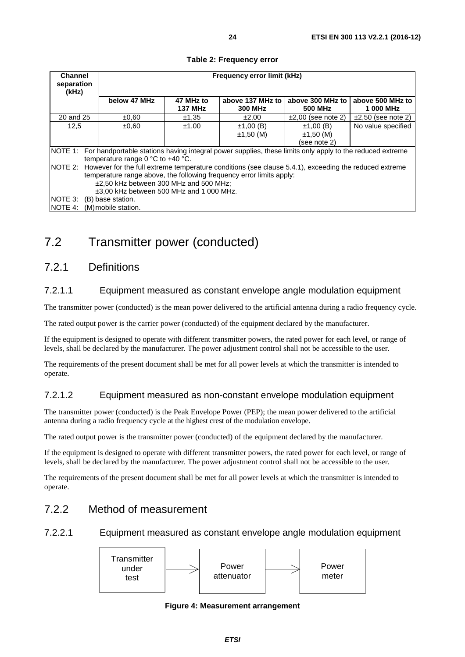<span id="page-23-0"></span>

| <b>Channel</b><br>separation                                                                                         | Frequency error limit (kHz)                                                                                   |                |                  |                         |                         |  |
|----------------------------------------------------------------------------------------------------------------------|---------------------------------------------------------------------------------------------------------------|----------------|------------------|-------------------------|-------------------------|--|
| (kHz)                                                                                                                |                                                                                                               |                |                  |                         |                         |  |
|                                                                                                                      | below 47 MHz                                                                                                  | 47 MHz to      | above 137 MHz to | above 300 MHz to        | above 500 MHz to        |  |
|                                                                                                                      |                                                                                                               | <b>137 MHz</b> | <b>300 MHz</b>   | 500 MHz                 | 1 000 MHz               |  |
| 20 and 25                                                                                                            | ±0,60                                                                                                         | ±1,35          | ±2,00            | $\pm 2,00$ (see note 2) | $\pm 2,50$ (see note 2) |  |
| 12,5                                                                                                                 | $\pm 0.60$                                                                                                    | ±1,00          | ±1,00(B)         | ±1,00(B)                | No value specified      |  |
|                                                                                                                      |                                                                                                               |                | $±1,50$ (M)      | ±1,50(M)                |                         |  |
|                                                                                                                      |                                                                                                               |                |                  | (see note 2)            |                         |  |
| INOTE 1:<br>For handportable stations having integral power supplies, these limits only apply to the reduced extreme |                                                                                                               |                |                  |                         |                         |  |
|                                                                                                                      | temperature range $0^{\circ}$ C to +40 $^{\circ}$ C.                                                          |                |                  |                         |                         |  |
|                                                                                                                      | NOTE 2: However for the full extreme temperature conditions (see clause 5.4.1), exceeding the reduced extreme |                |                  |                         |                         |  |
| temperature range above, the following frequency error limits apply:                                                 |                                                                                                               |                |                  |                         |                         |  |
|                                                                                                                      | ±2.50 kHz between 300 MHz and 500 MHz:                                                                        |                |                  |                         |                         |  |
|                                                                                                                      | ±3,00 kHz between 500 MHz and 1 000 MHz.                                                                      |                |                  |                         |                         |  |
| NOTE 3:                                                                                                              | (B) base station.                                                                                             |                |                  |                         |                         |  |
| <b>NOTE 4:</b>                                                                                                       | (M) mobile station.                                                                                           |                |                  |                         |                         |  |

#### **Table 2: Frequency error**

7.2 Transmitter power (conducted)

### 7.2.1 Definitions

#### 7.2.1.1 Equipment measured as constant envelope angle modulation equipment

The transmitter power (conducted) is the mean power delivered to the artificial antenna during a radio frequency cycle.

The rated output power is the carrier power (conducted) of the equipment declared by the manufacturer.

If the equipment is designed to operate with different transmitter powers, the rated power for each level, or range of levels, shall be declared by the manufacturer. The power adjustment control shall not be accessible to the user.

The requirements of the present document shall be met for all power levels at which the transmitter is intended to operate.

#### 7.2.1.2 Equipment measured as non-constant envelope modulation equipment

The transmitter power (conducted) is the Peak Envelope Power (PEP); the mean power delivered to the artificial antenna during a radio frequency cycle at the highest crest of the modulation envelope.

The rated output power is the transmitter power (conducted) of the equipment declared by the manufacturer.

If the equipment is designed to operate with different transmitter powers, the rated power for each level, or range of levels, shall be declared by the manufacturer. The power adjustment control shall not be accessible to the user.

The requirements of the present document shall be met for all power levels at which the transmitter is intended to operate.

### 7.2.2 Method of measurement

7.2.2.1 Equipment measured as constant envelope angle modulation equipment



**Figure 4: Measurement arrangement**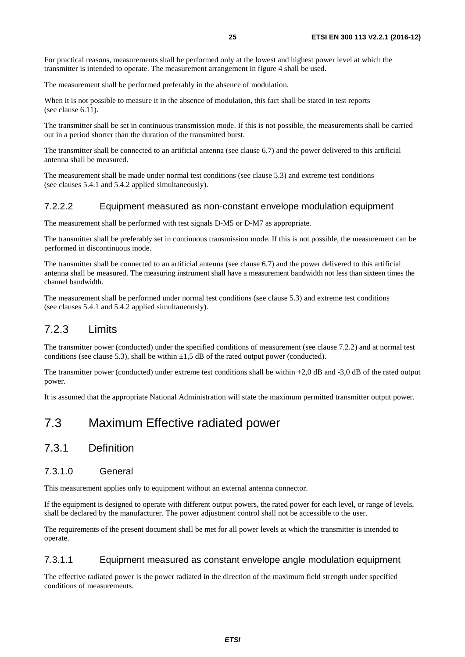<span id="page-24-0"></span>For practical reasons, measurements shall be performed only at the lowest and highest power level at which the transmitter is intended to operate. The measurement arrangement in figure 4 shall be used.

The measurement shall be performed preferably in the absence of modulation.

When it is not possible to measure it in the absence of modulation, this fact shall be stated in test reports (see clause 6.11).

The transmitter shall be set in continuous transmission mode. If this is not possible, the measurements shall be carried out in a period shorter than the duration of the transmitted burst.

The transmitter shall be connected to an artificial antenna (see clause 6.7) and the power delivered to this artificial antenna shall be measured.

The measurement shall be made under normal test conditions (see clause 5.3) and extreme test conditions (see clauses 5.4.1 and 5.4.2 applied simultaneously).

#### 7.2.2.2 Equipment measured as non-constant envelope modulation equipment

The measurement shall be performed with test signals D-M5 or D-M7 as appropriate.

The transmitter shall be preferably set in continuous transmission mode. If this is not possible, the measurement can be performed in discontinuous mode.

The transmitter shall be connected to an artificial antenna (see clause 6.7) and the power delivered to this artificial antenna shall be measured. The measuring instrument shall have a measurement bandwidth not less than sixteen times the channel bandwidth.

The measurement shall be performed under normal test conditions (see clause 5.3) and extreme test conditions (see clauses 5.4.1 and 5.4.2 applied simultaneously).

### 7.2.3 Limits

The transmitter power (conducted) under the specified conditions of measurement (see clause 7.2.2) and at normal test conditions (see clause 5.3), shall be within  $\pm 1.5$  dB of the rated output power (conducted).

The transmitter power (conducted) under extreme test conditions shall be within +2,0 dB and -3,0 dB of the rated output power.

It is assumed that the appropriate National Administration will state the maximum permitted transmitter output power.

# 7.3 Maximum Effective radiated power

### 7.3.1 Definition

#### 7.3.1.0 General

This measurement applies only to equipment without an external antenna connector.

If the equipment is designed to operate with different output powers, the rated power for each level, or range of levels, shall be declared by the manufacturer. The power adjustment control shall not be accessible to the user.

The requirements of the present document shall be met for all power levels at which the transmitter is intended to operate.

#### 7.3.1.1 Equipment measured as constant envelope angle modulation equipment

The effective radiated power is the power radiated in the direction of the maximum field strength under specified conditions of measurements.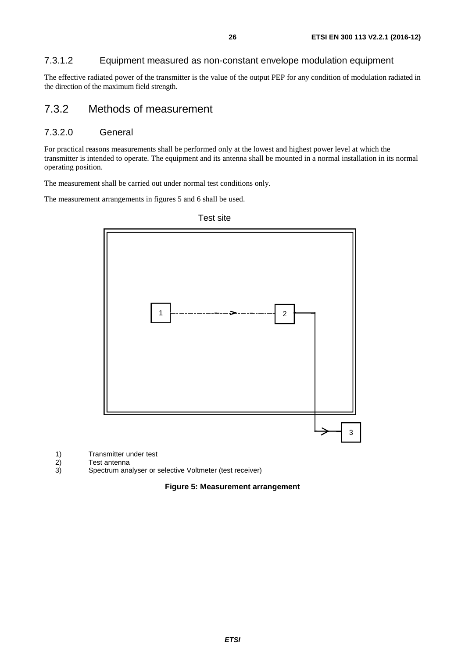### <span id="page-25-0"></span>7.3.1.2 Equipment measured as non-constant envelope modulation equipment

The effective radiated power of the transmitter is the value of the output PEP for any condition of modulation radiated in the direction of the maximum field strength.

### 7.3.2 Methods of measurement

#### 7.3.2.0 General

For practical reasons measurements shall be performed only at the lowest and highest power level at which the transmitter is intended to operate. The equipment and its antenna shall be mounted in a normal installation in its normal operating position.

The measurement shall be carried out under normal test conditions only.

The measurement arrangements in figures 5 and 6 shall be used.



Test site

1) Transmitter under test<br>2) Test antenna

2) Test antenna<br>3) Spectrum ana

3) Spectrum analyser or selective Voltmeter (test receiver)

#### **Figure 5: Measurement arrangement**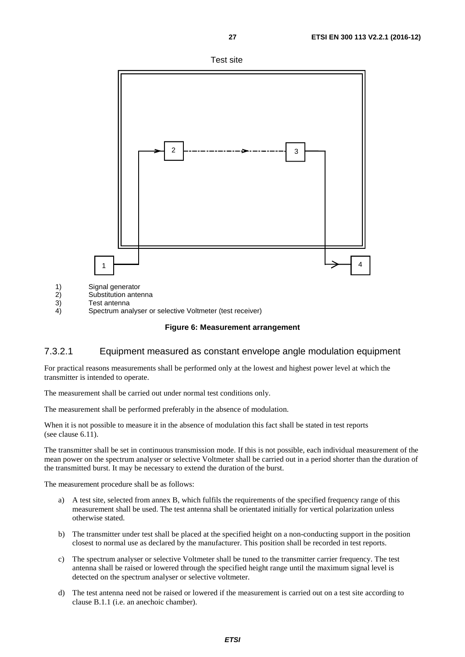

Test site

<span id="page-26-0"></span>

- 1) Signal generator<br>2) Substitution ante
- 2) Substitution antenna<br>3) Test antenna
- 3) Test antenna<br>4) Spectrum ana 4) Spectrum analyser or selective Voltmeter (test receiver)

#### **Figure 6: Measurement arrangement**

#### 7.3.2.1 Equipment measured as constant envelope angle modulation equipment

For practical reasons measurements shall be performed only at the lowest and highest power level at which the transmitter is intended to operate.

The measurement shall be carried out under normal test conditions only.

The measurement shall be performed preferably in the absence of modulation.

When it is not possible to measure it in the absence of modulation this fact shall be stated in test reports (see clause 6.11).

The transmitter shall be set in continuous transmission mode. If this is not possible, each individual measurement of the mean power on the spectrum analyser or selective Voltmeter shall be carried out in a period shorter than the duration of the transmitted burst. It may be necessary to extend the duration of the burst.

The measurement procedure shall be as follows:

- a) A test site, selected from annex B, which fulfils the requirements of the specified frequency range of this measurement shall be used. The test antenna shall be orientated initially for vertical polarization unless otherwise stated.
- b) The transmitter under test shall be placed at the specified height on a non-conducting support in the position closest to normal use as declared by the manufacturer. This position shall be recorded in test reports.
- c) The spectrum analyser or selective Voltmeter shall be tuned to the transmitter carrier frequency. The test antenna shall be raised or lowered through the specified height range until the maximum signal level is detected on the spectrum analyser or selective voltmeter.
- d) The test antenna need not be raised or lowered if the measurement is carried out on a test site according to clause B.1.1 (i.e. an anechoic chamber).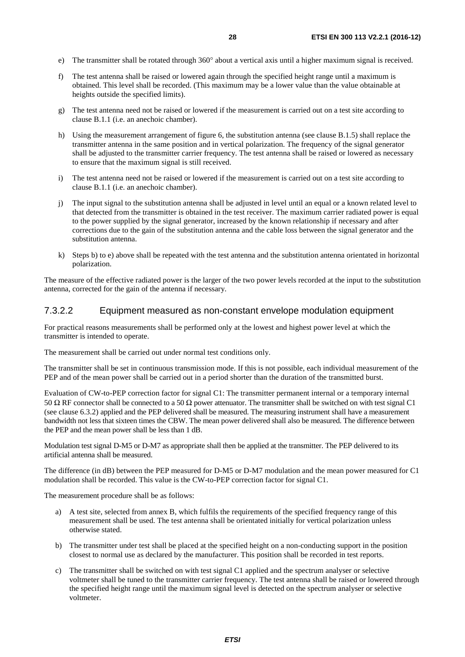- <span id="page-27-0"></span>e) The transmitter shall be rotated through 360° about a vertical axis until a higher maximum signal is received.
- f) The test antenna shall be raised or lowered again through the specified height range until a maximum is obtained. This level shall be recorded. (This maximum may be a lower value than the value obtainable at heights outside the specified limits).
- g) The test antenna need not be raised or lowered if the measurement is carried out on a test site according to clause B.1.1 (i.e. an anechoic chamber).
- h) Using the measurement arrangement of figure 6, the substitution antenna (see clause B.1.5) shall replace the transmitter antenna in the same position and in vertical polarization. The frequency of the signal generator shall be adjusted to the transmitter carrier frequency. The test antenna shall be raised or lowered as necessary to ensure that the maximum signal is still received.
- i) The test antenna need not be raised or lowered if the measurement is carried out on a test site according to clause B.1.1 (i.e. an anechoic chamber).
- j) The input signal to the substitution antenna shall be adjusted in level until an equal or a known related level to that detected from the transmitter is obtained in the test receiver. The maximum carrier radiated power is equal to the power supplied by the signal generator, increased by the known relationship if necessary and after corrections due to the gain of the substitution antenna and the cable loss between the signal generator and the substitution antenna.
- k) Steps b) to e) above shall be repeated with the test antenna and the substitution antenna orientated in horizontal polarization.

The measure of the effective radiated power is the larger of the two power levels recorded at the input to the substitution antenna, corrected for the gain of the antenna if necessary.

#### 7.3.2.2 Equipment measured as non-constant envelope modulation equipment

For practical reasons measurements shall be performed only at the lowest and highest power level at which the transmitter is intended to operate.

The measurement shall be carried out under normal test conditions only.

The transmitter shall be set in continuous transmission mode. If this is not possible, each individual measurement of the PEP and of the mean power shall be carried out in a period shorter than the duration of the transmitted burst.

Evaluation of CW-to-PEP correction factor for signal C1: The transmitter permanent internal or a temporary internal 50 Ω RF connector shall be connected to a 50 Ω power attenuator. The transmitter shall be switched on with test signal C1 (see clause 6.3.2) applied and the PEP delivered shall be measured. The measuring instrument shall have a measurement bandwidth not less that sixteen times the CBW. The mean power delivered shall also be measured. The difference between the PEP and the mean power shall be less than 1 dB.

Modulation test signal D-M5 or D-M7 as appropriate shall then be applied at the transmitter. The PEP delivered to its artificial antenna shall be measured.

The difference (in dB) between the PEP measured for D-M5 or D-M7 modulation and the mean power measured for C1 modulation shall be recorded. This value is the CW-to-PEP correction factor for signal C1.

The measurement procedure shall be as follows:

- a) A test site, selected from annex B, which fulfils the requirements of the specified frequency range of this measurement shall be used. The test antenna shall be orientated initially for vertical polarization unless otherwise stated.
- b) The transmitter under test shall be placed at the specified height on a non-conducting support in the position closest to normal use as declared by the manufacturer. This position shall be recorded in test reports.
- c) The transmitter shall be switched on with test signal C1 applied and the spectrum analyser or selective voltmeter shall be tuned to the transmitter carrier frequency. The test antenna shall be raised or lowered through the specified height range until the maximum signal level is detected on the spectrum analyser or selective voltmeter.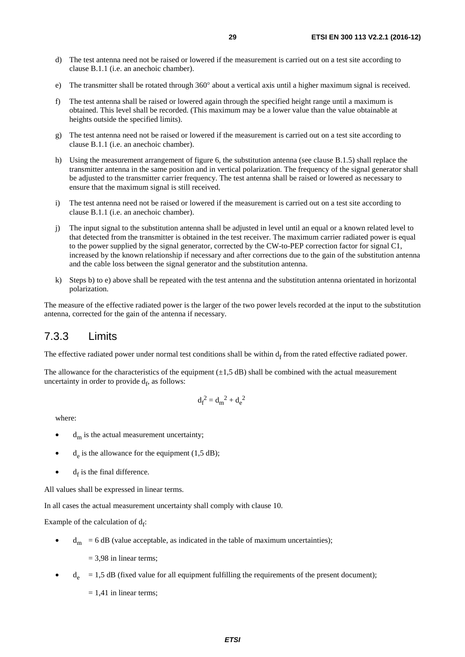- <span id="page-28-0"></span>d) The test antenna need not be raised or lowered if the measurement is carried out on a test site according to clause B.1.1 (i.e. an anechoic chamber).
- e) The transmitter shall be rotated through 360° about a vertical axis until a higher maximum signal is received.
- f) The test antenna shall be raised or lowered again through the specified height range until a maximum is obtained. This level shall be recorded. (This maximum may be a lower value than the value obtainable at heights outside the specified limits).
- g) The test antenna need not be raised or lowered if the measurement is carried out on a test site according to clause B.1.1 (i.e. an anechoic chamber).
- h) Using the measurement arrangement of figure 6, the substitution antenna (see clause B.1.5) shall replace the transmitter antenna in the same position and in vertical polarization. The frequency of the signal generator shall be adjusted to the transmitter carrier frequency. The test antenna shall be raised or lowered as necessary to ensure that the maximum signal is still received.
- i) The test antenna need not be raised or lowered if the measurement is carried out on a test site according to clause B.1.1 (i.e. an anechoic chamber).
- j) The input signal to the substitution antenna shall be adjusted in level until an equal or a known related level to that detected from the transmitter is obtained in the test receiver. The maximum carrier radiated power is equal to the power supplied by the signal generator, corrected by the CW-to-PEP correction factor for signal C1, increased by the known relationship if necessary and after corrections due to the gain of the substitution antenna and the cable loss between the signal generator and the substitution antenna.
- k) Steps b) to e) above shall be repeated with the test antenna and the substitution antenna orientated in horizontal polarization.

The measure of the effective radiated power is the larger of the two power levels recorded at the input to the substitution antenna, corrected for the gain of the antenna if necessary.

### 7.3.3 Limits

The effective radiated power under normal test conditions shall be within  $d_f$  from the rated effective radiated power.

The allowance for the characteristics of the equipment  $(\pm 1.5 \text{ dB})$  shall be combined with the actual measurement uncertainty in order to provide  $d_f$ , as follows:

$$
\mathbf{d_f}^2 = \mathbf{d_m}^2 + \mathbf{d_e}^2
$$

where:

- $d<sub>m</sub>$  is the actual measurement uncertainty;
- $d<sub>e</sub>$  is the allowance for the equipment (1,5 dB);
- $\bullet$  d<sub>f</sub> is the final difference.

All values shall be expressed in linear terms.

In all cases the actual measurement uncertainty shall comply with clause 10.

Example of the calculation of  $d_f$ :

 $d<sub>m</sub> = 6 dB$  (value acceptable, as indicated in the table of maximum uncertainties);

 $= 3.98$  in linear terms;

 $d_e$  = 1,5 dB (fixed value for all equipment fulfilling the requirements of the present document);

 $= 1,41$  in linear terms;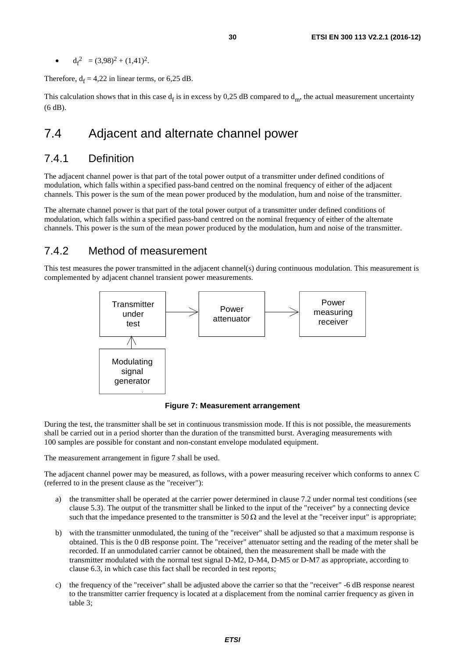<span id="page-29-0"></span>•  $d_f^2 = (3,98)^2 + (1,41)^2$ .

Therefore,  $d_f = 4,22$  in linear terms, or 6,25 dB.

This calculation shows that in this case  $d_f$  is in excess by 0,25 dB compared to  $d_m$ , the actual measurement uncertainty (6 dB).

# 7.4 Adjacent and alternate channel power

### 7.4.1 Definition

The adjacent channel power is that part of the total power output of a transmitter under defined conditions of modulation, which falls within a specified pass-band centred on the nominal frequency of either of the adjacent channels. This power is the sum of the mean power produced by the modulation, hum and noise of the transmitter.

The alternate channel power is that part of the total power output of a transmitter under defined conditions of modulation, which falls within a specified pass-band centred on the nominal frequency of either of the alternate channels. This power is the sum of the mean power produced by the modulation, hum and noise of the transmitter.

### 7.4.2 Method of measurement

This test measures the power transmitted in the adjacent channel(s) during continuous modulation. This measurement is complemented by adjacent channel transient power measurements.



**Figure 7: Measurement arrangement** 

During the test, the transmitter shall be set in continuous transmission mode. If this is not possible, the measurements shall be carried out in a period shorter than the duration of the transmitted burst. Averaging measurements with 100 samples are possible for constant and non-constant envelope modulated equipment.

The measurement arrangement in figure 7 shall be used.

The adjacent channel power may be measured, as follows, with a power measuring receiver which conforms to annex C (referred to in the present clause as the "receiver"):

- a) the transmitter shall be operated at the carrier power determined in clause 7.2 under normal test conditions (see clause 5.3). The output of the transmitter shall be linked to the input of the "receiver" by a connecting device such that the impedance presented to the transmitter is 50  $\Omega$  and the level at the "receiver input" is appropriate;
- b) with the transmitter unmodulated, the tuning of the "receiver" shall be adjusted so that a maximum response is obtained. This is the 0 dB response point. The "receiver" attenuator setting and the reading of the meter shall be recorded. If an unmodulated carrier cannot be obtained, then the measurement shall be made with the transmitter modulated with the normal test signal D-M2, D-M4, D-M5 or D-M7 as appropriate, according to clause 6.3, in which case this fact shall be recorded in test reports;
- c) the frequency of the "receiver" shall be adjusted above the carrier so that the "receiver" -6 dB response nearest to the transmitter carrier frequency is located at a displacement from the nominal carrier frequency as given in table 3;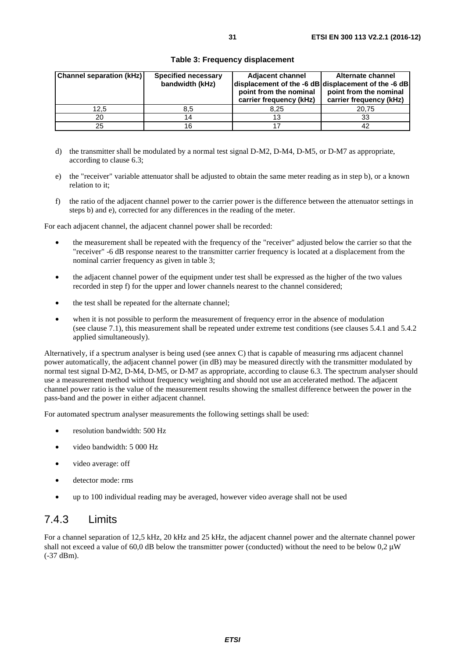<span id="page-30-0"></span>

| <b>Channel separation (kHz)</b> | <b>Specified necessary</b> | <b>Adjacent channel</b> | Alternate channel                                   |
|---------------------------------|----------------------------|-------------------------|-----------------------------------------------------|
|                                 | bandwidth (kHz)            |                         | displacement of the -6 dB displacement of the -6 dB |
|                                 |                            | point from the nominal  | point from the nominal                              |
|                                 |                            | carrier frequency (kHz) | carrier frequency (kHz)                             |
| 12.5                            | 8.5                        | 8.25                    | 20,75                                               |
| 20                              | 14                         |                         | 33                                                  |
| 25                              | 16                         |                         | 42                                                  |

#### **Table 3: Frequency displacement**

- d) the transmitter shall be modulated by a normal test signal D-M2, D-M4, D-M5, or D-M7 as appropriate, according to clause 6.3;
- e) the "receiver" variable attenuator shall be adjusted to obtain the same meter reading as in step b), or a known relation to it;
- f) the ratio of the adjacent channel power to the carrier power is the difference between the attenuator settings in steps b) and e), corrected for any differences in the reading of the meter.

For each adjacent channel, the adjacent channel power shall be recorded:

- the measurement shall be repeated with the frequency of the "receiver" adjusted below the carrier so that the "receiver" -6 dB response nearest to the transmitter carrier frequency is located at a displacement from the nominal carrier frequency as given in table 3;
- the adjacent channel power of the equipment under test shall be expressed as the higher of the two values recorded in step f) for the upper and lower channels nearest to the channel considered;
- the test shall be repeated for the alternate channel;
- when it is not possible to perform the measurement of frequency error in the absence of modulation (see clause 7.1), this measurement shall be repeated under extreme test conditions (see clauses 5.4.1 and 5.4.2 applied simultaneously).

Alternatively, if a spectrum analyser is being used (see annex C) that is capable of measuring rms adjacent channel power automatically, the adjacent channel power (in dB) may be measured directly with the transmitter modulated by normal test signal D-M2, D-M4, D-M5, or D-M7 as appropriate, according to clause 6.3. The spectrum analyser should use a measurement method without frequency weighting and should not use an accelerated method. The adjacent channel power ratio is the value of the measurement results showing the smallest difference between the power in the pass-band and the power in either adjacent channel.

For automated spectrum analyser measurements the following settings shall be used:

- resolution bandwidth: 500 Hz
- video bandwidth: 5 000 Hz
- video average: off
- detector mode: rms
- up to 100 individual reading may be averaged, however video average shall not be used

### 7.4.3 Limits

For a channel separation of 12,5 kHz, 20 kHz and 25 kHz, the adjacent channel power and the alternate channel power shall not exceed a value of 60,0 dB below the transmitter power (conducted) without the need to be below 0,2 μW (-37 dBm).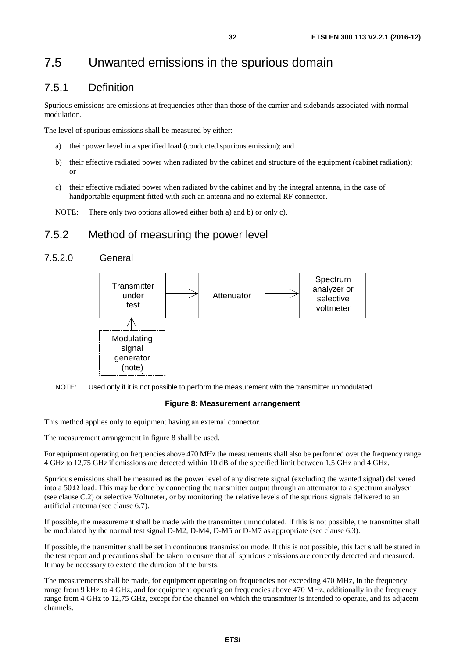# <span id="page-31-0"></span>7.5 Unwanted emissions in the spurious domain

### 7.5.1 Definition

Spurious emissions are emissions at frequencies other than those of the carrier and sidebands associated with normal modulation.

The level of spurious emissions shall be measured by either:

- a) their power level in a specified load (conducted spurious emission); and
- b) their effective radiated power when radiated by the cabinet and structure of the equipment (cabinet radiation); or
- c) their effective radiated power when radiated by the cabinet and by the integral antenna, in the case of handportable equipment fitted with such an antenna and no external RF connector.
- NOTE: There only two options allowed either both a) and b) or only c).

### 7.5.2 Method of measuring the power level

### 7.5.2.0 General





#### **Figure 8: Measurement arrangement**

This method applies only to equipment having an external connector.

The measurement arrangement in figure 8 shall be used.

For equipment operating on frequencies above 470 MHz the measurements shall also be performed over the frequency range 4 GHz to 12,75 GHz if emissions are detected within 10 dB of the specified limit between 1,5 GHz and 4 GHz.

Spurious emissions shall be measured as the power level of any discrete signal (excluding the wanted signal) delivered into a 50  $\Omega$  load. This may be done by connecting the transmitter output through an attenuator to a spectrum analyser (see clause C.2) or selective Voltmeter, or by monitoring the relative levels of the spurious signals delivered to an artificial antenna (see clause 6.7).

If possible, the measurement shall be made with the transmitter unmodulated. If this is not possible, the transmitter shall be modulated by the normal test signal D-M2, D-M4, D-M5 or D-M7 as appropriate (see clause 6.3).

If possible, the transmitter shall be set in continuous transmission mode. If this is not possible, this fact shall be stated in the test report and precautions shall be taken to ensure that all spurious emissions are correctly detected and measured. It may be necessary to extend the duration of the bursts.

The measurements shall be made, for equipment operating on frequencies not exceeding 470 MHz, in the frequency range from 9 kHz to 4 GHz, and for equipment operating on frequencies above 470 MHz, additionally in the frequency range from 4 GHz to 12,75 GHz, except for the channel on which the transmitter is intended to operate, and its adjacent channels.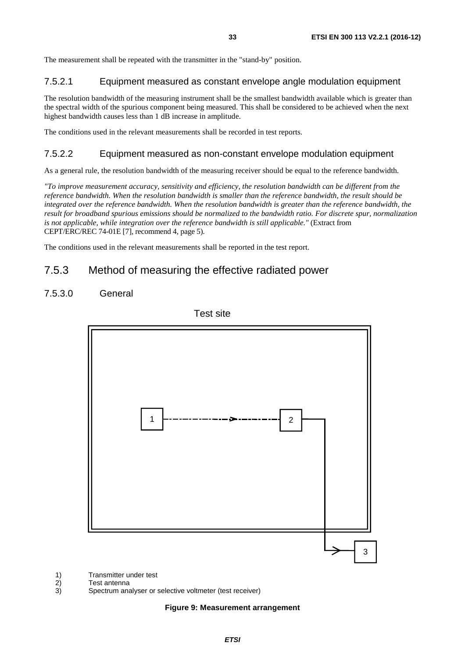<span id="page-32-0"></span>The measurement shall be repeated with the transmitter in the "stand-by" position.

#### 7.5.2.1 Equipment measured as constant envelope angle modulation equipment

The resolution bandwidth of the measuring instrument shall be the smallest bandwidth available which is greater than the spectral width of the spurious component being measured. This shall be considered to be achieved when the next highest bandwidth causes less than 1 dB increase in amplitude.

The conditions used in the relevant measurements shall be recorded in test reports.

#### 7.5.2.2 Equipment measured as non-constant envelope modulation equipment

As a general rule, the resolution bandwidth of the measuring receiver should be equal to the reference bandwidth.

*"To improve measurement accuracy, sensitivity and efficiency, the resolution bandwidth can be different from the reference bandwidth. When the resolution bandwidth is smaller than the reference bandwidth, the result should be integrated over the reference bandwidth. When the resolution bandwidth is greater than the reference bandwidth, the result for broadband spurious emissions should be normalized to the bandwidth ratio. For discrete spur, normalization is not applicable, while integration over the reference bandwidth is still applicable."* (Extract from CEPT/ERC/REC 74-01E [\[7](#page-9-0)], recommend 4, page 5).

The conditions used in the relevant measurements shall be reported in the test report.

### 7.5.3 Method of measuring the effective radiated power

#### 7.5.3.0 General



1) Transmitter under test<br>
2) Test antenna<br>
3) Spectrum analyser or

**Test antenna** 

3) Spectrum analyser or selective voltmeter (test receiver)

#### **Figure 9: Measurement arrangement**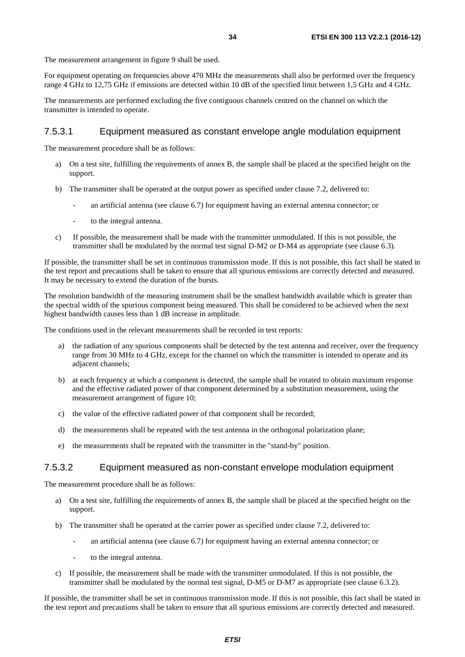<span id="page-33-0"></span>The measurement arrangement in figure 9 shall be used.

For equipment operating on frequencies above 470 MHz the measurements shall also be performed over the frequency range 4 GHz to 12,75 GHz if emissions are detected within 10 dB of the specified limit between 1,5 GHz and 4 GHz.

The measurements are performed excluding the five contiguous channels centred on the channel on which the transmitter is intended to operate.

#### 7.5.3.1 Equipment measured as constant envelope angle modulation equipment

The measurement procedure shall be as follows:

- a) On a test site, fulfilling the requirements of annex B, the sample shall be placed at the specified height on the support.
- b) The transmitter shall be operated at the output power as specified under clause 7.2, delivered to:
	- an artificial antenna (see clause 6.7) for equipment having an external antenna connector; or
	- to the integral antenna.
- c) If possible, the measurement shall be made with the transmitter unmodulated. If this is not possible, the transmitter shall be modulated by the normal test signal D-M2 or D-M4 as appropriate (see clause 6.3).

If possible, the transmitter shall be set in continuous transmission mode. If this is not possible, this fact shall be stated in the test report and precautions shall be taken to ensure that all spurious emissions are correctly detected and measured. It may be necessary to extend the duration of the bursts.

The resolution bandwidth of the measuring instrument shall be the smallest bandwidth available which is greater than the spectral width of the spurious component being measured. This shall be considered to be achieved when the next highest bandwidth causes less than 1 dB increase in amplitude.

The conditions used in the relevant measurements shall be recorded in test reports:

- a) the radiation of any spurious components shall be detected by the test antenna and receiver, over the frequency range from 30 MHz to 4 GHz, except for the channel on which the transmitter is intended to operate and its adiacent channels:
- b) at each frequency at which a component is detected, the sample shall be rotated to obtain maximum response and the effective radiated power of that component determined by a substitution measurement, using the measurement arrangement of figure 10;
- c) the value of the effective radiated power of that component shall be recorded;
- d) the measurements shall be repeated with the test antenna in the orthogonal polarization plane;
- e) the measurements shall be repeated with the transmitter in the "stand-by" position.

#### 7.5.3.2 Equipment measured as non-constant envelope modulation equipment

The measurement procedure shall be as follows:

- a) On a test site, fulfilling the requirements of annex B, the sample shall be placed at the specified height on the support.
- b) The transmitter shall be operated at the carrier power as specified under clause 7.2, delivered to:
	- an artificial antenna (see clause 6.7) for equipment having an external antenna connector; or
	- to the integral antenna.
- c) If possible, the measurement shall be made with the transmitter unmodulated. If this is not possible, the transmitter shall be modulated by the normal test signal, D-M5 or D-M7 as appropriate (see clause 6.3.2).

If possible, the transmitter shall be set in continuous transmission mode. If this is not possible, this fact shall be stated in the test report and precautions shall be taken to ensure that all spurious emissions are correctly detected and measured.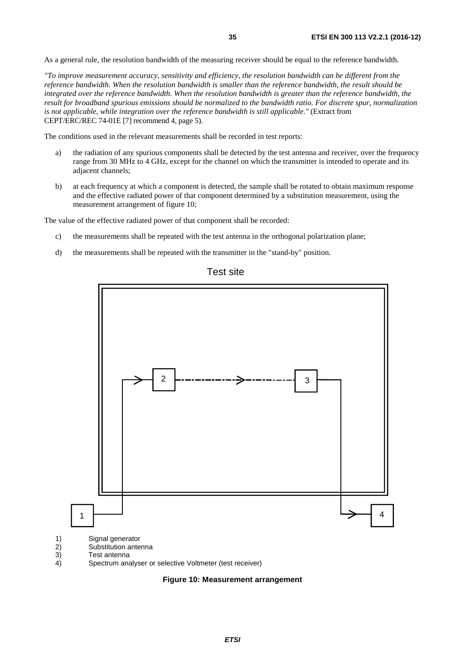As a general rule, the resolution bandwidth of the measuring receiver should be equal to the reference bandwidth.

*"To improve measurement accuracy, sensitivity and efficiency, the resolution bandwidth can be different from the reference bandwidth. When the resolution bandwidth is smaller than the reference bandwidth, the result should be integrated over the reference bandwidth. When the resolution bandwidth is greater than the reference bandwidth, the result for broadband spurious emissions should be normalized to the bandwidth ratio. For discrete spur, normalization is not applicable, while integration over the reference bandwidth is still applicable."* (Extract from CEPT/ERC/REC 74-01E [\[7](#page-9-0)] recommend 4, page 5).

The conditions used in the relevant measurements shall be recorded in test reports:

- a) the radiation of any spurious components shall be detected by the test antenna and receiver, over the frequency range from 30 MHz to 4 GHz, except for the channel on which the transmitter is intended to operate and its adjacent channels;
- b) at each frequency at which a component is detected, the sample shall be rotated to obtain maximum response and the effective radiated power of that component determined by a substitution measurement, using the measurement arrangement of figure 10;

The value of the effective radiated power of that component shall be recorded:

- c) the measurements shall be repeated with the test antenna in the orthogonal polarization plane;
- d) the measurements shall be repeated with the transmitter in the "stand-by" position.



Test site

**Figure 10: Measurement arrangement**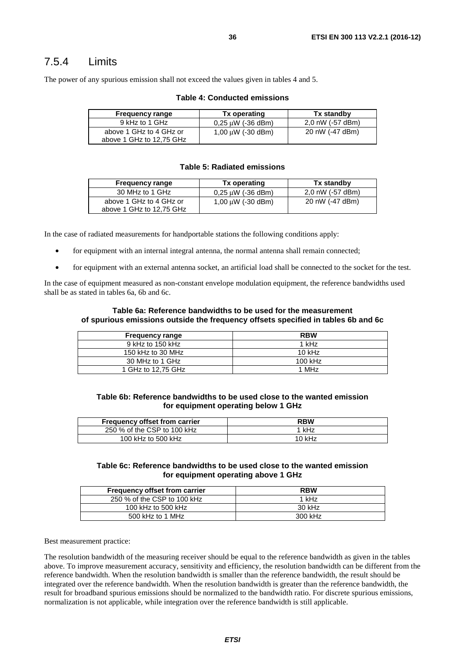<span id="page-35-0"></span>The power of any spurious emission shall not exceed the values given in tables 4 and 5.

| <b>Frequency range</b>                              | Tx operating           | Tx standby       |
|-----------------------------------------------------|------------------------|------------------|
| 9 kHz to 1 GHz                                      | $0.25 \mu W$ (-36 dBm) | 2,0 nW (-57 dBm) |
| above 1 GHz to 4 GHz or<br>above 1 GHz to 12,75 GHz | 1,00 $\mu$ W (-30 dBm) | 20 nW (-47 dBm)  |

#### **Table 4: Conducted emissions**

#### **Table 5: Radiated emissions**

| <b>Frequency range</b>                              | Tx operating           | Tx standby       |
|-----------------------------------------------------|------------------------|------------------|
| 30 MHz to 1 GHz                                     | $0,25 \mu W$ (-36 dBm) | 2,0 nW (-57 dBm) |
| above 1 GHz to 4 GHz or<br>above 1 GHz to 12,75 GHz | 1,00 $\mu$ W (-30 dBm) | 20 nW (-47 dBm)  |

In the case of radiated measurements for handportable stations the following conditions apply:

- for equipment with an internal integral antenna, the normal antenna shall remain connected;
- for equipment with an external antenna socket, an artificial load shall be connected to the socket for the test.

In the case of equipment measured as non-constant envelope modulation equipment, the reference bandwidths used shall be as stated in tables 6a, 6b and 6c.

#### **Table 6a: Reference bandwidths to be used for the measurement of spurious emissions outside the frequency offsets specified in tables 6b and 6c**

| <b>Frequency range</b> | <b>RBW</b> |
|------------------------|------------|
| 9 kHz to 150 kHz       | 1 kHz      |
| 150 kHz to 30 MHz      | 10 $kHz$   |
| 30 MHz to 1 GHz        | $100$ kHz  |
| 1 GHz to 12.75 GHz     | 1 MHz      |

**Table 6b: Reference bandwidths to be used close to the wanted emission for equipment operating below 1 GHz** 

| <b>Frequency offset from carrier</b> | <b>RBW</b> |
|--------------------------------------|------------|
| 250 % of the CSP to 100 kHz          | 1 kHz      |
| 100 kHz to 500 kHz                   | $10$ kHz   |

#### **Table 6c: Reference bandwidths to be used close to the wanted emission for equipment operating above 1 GHz**

| <b>Frequency offset from carrier</b> | <b>RBW</b> |
|--------------------------------------|------------|
| 250 % of the CSP to 100 kHz          | 1 kHz      |
| 100 kHz to 500 kHz                   | 30 kHz     |
| 500 kHz to 1 MHz                     | 300 kHz    |

Best measurement practice:

The resolution bandwidth of the measuring receiver should be equal to the reference bandwidth as given in the tables above. To improve measurement accuracy, sensitivity and efficiency, the resolution bandwidth can be different from the reference bandwidth. When the resolution bandwidth is smaller than the reference bandwidth, the result should be integrated over the reference bandwidth. When the resolution bandwidth is greater than the reference bandwidth, the result for broadband spurious emissions should be normalized to the bandwidth ratio. For discrete spurious emissions, normalization is not applicable, while integration over the reference bandwidth is still applicable.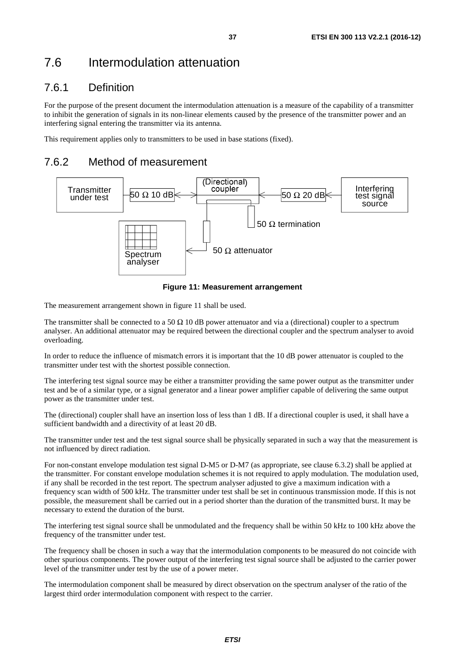# 7.6 Intermodulation attenuation

# 7.6.1 Definition

For the purpose of the present document the intermodulation attenuation is a measure of the capability of a transmitter to inhibit the generation of signals in its non-linear elements caused by the presence of the transmitter power and an interfering signal entering the transmitter via its antenna.

This requirement applies only to transmitters to be used in base stations (fixed).

# 7.6.2 Method of measurement



**Figure 11: Measurement arrangement** 

The measurement arrangement shown in figure 11 shall be used.

The transmitter shall be connected to a 50  $\Omega$  10 dB power attenuator and via a (directional) coupler to a spectrum analyser. An additional attenuator may be required between the directional coupler and the spectrum analyser to avoid overloading.

In order to reduce the influence of mismatch errors it is important that the 10 dB power attenuator is coupled to the transmitter under test with the shortest possible connection.

The interfering test signal source may be either a transmitter providing the same power output as the transmitter under test and be of a similar type, or a signal generator and a linear power amplifier capable of delivering the same output power as the transmitter under test.

The (directional) coupler shall have an insertion loss of less than 1 dB. If a directional coupler is used, it shall have a sufficient bandwidth and a directivity of at least 20 dB.

The transmitter under test and the test signal source shall be physically separated in such a way that the measurement is not influenced by direct radiation.

For non-constant envelope modulation test signal D-M5 or D-M7 (as appropriate, see clause 6.3.2) shall be applied at the transmitter. For constant envelope modulation schemes it is not required to apply modulation. The modulation used, if any shall be recorded in the test report. The spectrum analyser adjusted to give a maximum indication with a frequency scan width of 500 kHz. The transmitter under test shall be set in continuous transmission mode. If this is not possible, the measurement shall be carried out in a period shorter than the duration of the transmitted burst. It may be necessary to extend the duration of the burst.

The interfering test signal source shall be unmodulated and the frequency shall be within 50 kHz to 100 kHz above the frequency of the transmitter under test.

The frequency shall be chosen in such a way that the intermodulation components to be measured do not coincide with other spurious components. The power output of the interfering test signal source shall be adjusted to the carrier power level of the transmitter under test by the use of a power meter.

The intermodulation component shall be measured by direct observation on the spectrum analyser of the ratio of the largest third order intermodulation component with respect to the carrier.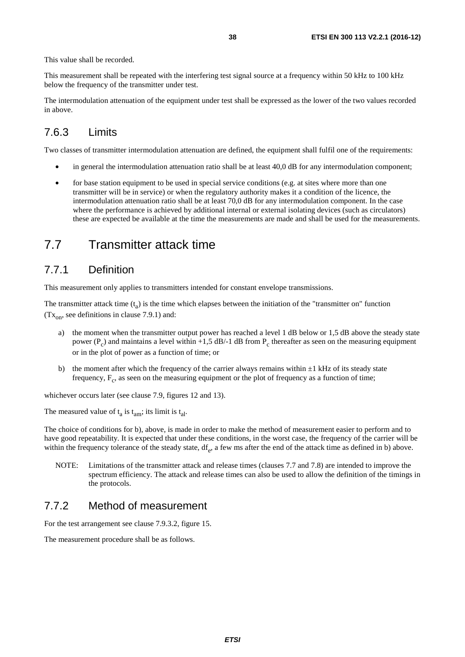This value shall be recorded.

This measurement shall be repeated with the interfering test signal source at a frequency within 50 kHz to 100 kHz below the frequency of the transmitter under test.

The intermodulation attenuation of the equipment under test shall be expressed as the lower of the two values recorded in above.

## 7.6.3 Limits

Two classes of transmitter intermodulation attenuation are defined, the equipment shall fulfil one of the requirements:

- in general the intermodulation attenuation ratio shall be at least 40,0 dB for any intermodulation component;
- for base station equipment to be used in special service conditions (e.g. at sites where more than one transmitter will be in service) or when the regulatory authority makes it a condition of the licence, the intermodulation attenuation ratio shall be at least 70,0 dB for any intermodulation component. In the case where the performance is achieved by additional internal or external isolating devices (such as circulators) these are expected be available at the time the measurements are made and shall be used for the measurements.

# 7.7 Transmitter attack time

## 7.7.1 Definition

This measurement only applies to transmitters intended for constant envelope transmissions.

The transmitter attack time  $(t_a)$  is the time which elapses between the initiation of the "transmitter on" function  $(Tx_{\text{on}})$ , see definitions in clause 7.9.1) and:

- a) the moment when the transmitter output power has reached a level 1 dB below or 1,5 dB above the steady state power ( $P_c$ ) and maintains a level within +1,5 dB/-1 dB from  $P_c$  thereafter as seen on the measuring equipment or in the plot of power as a function of time; or
- b) the moment after which the frequency of the carrier always remains within  $\pm 1$  kHz of its steady state frequency,  $F_c$ , as seen on the measuring equipment or the plot of frequency as a function of time;

whichever occurs later (see clause 7.9, figures 12 and 13).

The measured value of  $t_a$  is  $t_{am}$ ; its limit is  $t_{a}$ .

The choice of conditions for b), above, is made in order to make the method of measurement easier to perform and to have good repeatability. It is expected that under these conditions, in the worst case, the frequency of the carrier will be within the frequency tolerance of the steady state,  $df_e$ , a few ms after the end of the attack time as defined in b) above.

NOTE: Limitations of the transmitter attack and release times (clauses 7.7 and 7.8) are intended to improve the spectrum efficiency. The attack and release times can also be used to allow the definition of the timings in the protocols.

## 7.7.2 Method of measurement

For the test arrangement see clause 7.9.3.2, figure 15.

The measurement procedure shall be as follows.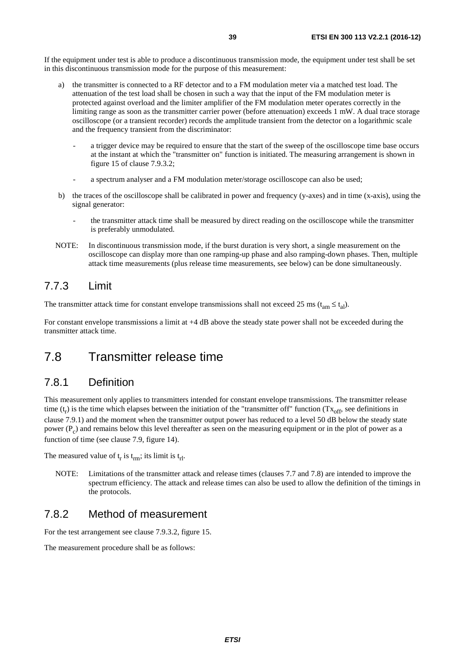If the equipment under test is able to produce a discontinuous transmission mode, the equipment under test shall be set in this discontinuous transmission mode for the purpose of this measurement:

- a) the transmitter is connected to a RF detector and to a FM modulation meter via a matched test load. The attenuation of the test load shall be chosen in such a way that the input of the FM modulation meter is protected against overload and the limiter amplifier of the FM modulation meter operates correctly in the limiting range as soon as the transmitter carrier power (before attenuation) exceeds 1 mW. A dual trace storage oscilloscope (or a transient recorder) records the amplitude transient from the detector on a logarithmic scale and the frequency transient from the discriminator:
	- a trigger device may be required to ensure that the start of the sweep of the oscilloscope time base occurs at the instant at which the "transmitter on" function is initiated. The measuring arrangement is shown in figure 15 of clause 7.9.3.2;
	- a spectrum analyser and a FM modulation meter/storage oscilloscope can also be used;
- b) the traces of the oscilloscope shall be calibrated in power and frequency (y-axes) and in time (x-axis), using the signal generator:
	- the transmitter attack time shall be measured by direct reading on the oscilloscope while the transmitter is preferably unmodulated.
- NOTE: In discontinuous transmission mode, if the burst duration is very short, a single measurement on the oscilloscope can display more than one ramping-up phase and also ramping-down phases. Then, multiple attack time measurements (plus release time measurements, see below) can be done simultaneously.

## 7.7.3 Limit

The transmitter attack time for constant envelope transmissions shall not exceed 25 ms ( $t_{am} \le t_{al}$ ).

For constant envelope transmissions a limit at  $+4$  dB above the steady state power shall not be exceeded during the transmitter attack time.

# 7.8 Transmitter release time

## 7.8.1 Definition

This measurement only applies to transmitters intended for constant envelope transmissions. The transmitter release time  $(t_r)$  is the time which elapses between the initiation of the "transmitter off" function  $(Tx_{off}$ , see definitions in clause 7.9.1) and the moment when the transmitter output power has reduced to a level 50 dB below the steady state power  $(P<sub>c</sub>)$  and remains below this level thereafter as seen on the measuring equipment or in the plot of power as a function of time (see clause 7.9, figure 14).

The measured value of  $t_r$  is  $t_{rm}$ ; its limit is  $t_{\text{rl}}$ .

NOTE: Limitations of the transmitter attack and release times (clauses 7.7 and 7.8) are intended to improve the spectrum efficiency. The attack and release times can also be used to allow the definition of the timings in the protocols.

## 7.8.2 Method of measurement

For the test arrangement see clause 7.9.3.2, figure 15.

The measurement procedure shall be as follows: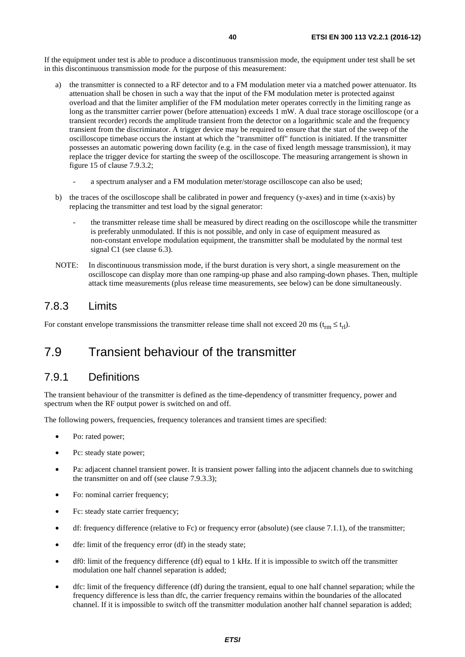If the equipment under test is able to produce a discontinuous transmission mode, the equipment under test shall be set in this discontinuous transmission mode for the purpose of this measurement:

- a) the transmitter is connected to a RF detector and to a FM modulation meter via a matched power attenuator. Its attenuation shall be chosen in such a way that the input of the FM modulation meter is protected against overload and that the limiter amplifier of the FM modulation meter operates correctly in the limiting range as long as the transmitter carrier power (before attenuation) exceeds 1 mW. A dual trace storage oscilloscope (or a transient recorder) records the amplitude transient from the detector on a logarithmic scale and the frequency transient from the discriminator. A trigger device may be required to ensure that the start of the sweep of the oscilloscope timebase occurs the instant at which the "transmitter off" function is initiated. If the transmitter possesses an automatic powering down facility (e.g. in the case of fixed length message transmission), it may replace the trigger device for starting the sweep of the oscilloscope. The measuring arrangement is shown in figure 15 of clause 7.9.3.2;
	- a spectrum analyser and a FM modulation meter/storage oscilloscope can also be used;
- b) the traces of the oscilloscope shall be calibrated in power and frequency (y-axes) and in time (x-axis) by replacing the transmitter and test load by the signal generator:
	- the transmitter release time shall be measured by direct reading on the oscilloscope while the transmitter is preferably unmodulated. If this is not possible, and only in case of equipment measured as non-constant envelope modulation equipment, the transmitter shall be modulated by the normal test signal C1 (see clause 6.3).
- NOTE: In discontinuous transmission mode, if the burst duration is very short, a single measurement on the oscilloscope can display more than one ramping-up phase and also ramping-down phases. Then, multiple attack time measurements (plus release time measurements, see below) can be done simultaneously.

# 7.8.3 Limits

For constant envelope transmissions the transmitter release time shall not exceed 20 ms ( $t_{rm} \leq t_{\rm rl}$ ).

# 7.9 Transient behaviour of the transmitter

## 7.9.1 Definitions

The transient behaviour of the transmitter is defined as the time-dependency of transmitter frequency, power and spectrum when the RF output power is switched on and off.

The following powers, frequencies, frequency tolerances and transient times are specified:

- Po: rated power;
- Pc: steady state power;
- Pa: adjacent channel transient power. It is transient power falling into the adjacent channels due to switching the transmitter on and off (see clause 7.9.3.3);
- Fo: nominal carrier frequency;
- Fc: steady state carrier frequency;
- $\bullet$  df: frequency difference (relative to Fc) or frequency error (absolute) (see clause 7.1.1), of the transmitter;
- dfe: limit of the frequency error (df) in the steady state;
- df0: limit of the frequency difference (df) equal to 1 kHz. If it is impossible to switch off the transmitter modulation one half channel separation is added;
- dfc: limit of the frequency difference (df) during the transient, equal to one half channel separation; while the frequency difference is less than dfc, the carrier frequency remains within the boundaries of the allocated channel. If it is impossible to switch off the transmitter modulation another half channel separation is added;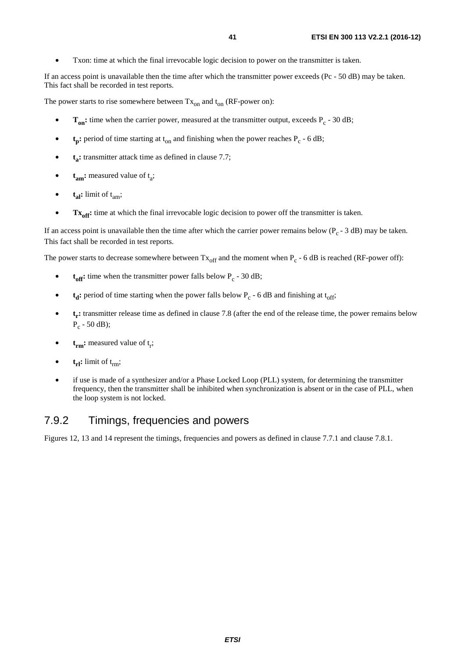• Txon: time at which the final irrevocable logic decision to power on the transmitter is taken.

If an access point is unavailable then the time after which the transmitter power exceeds (Pc - 50 dB) may be taken. This fact shall be recorded in test reports.

The power starts to rise somewhere between  $Tx_{on}$  and  $t_{on}$  (RF-power on):

- $T_{on}$ : time when the carrier power, measured at the transmitter output, exceeds  $P_c$  30 dB;
- $t_p$ : period of time starting at  $t_{on}$  and finishing when the power reaches  $P_c$  6 dB;
- **t<sub>a</sub>:** transmitter attack time as defined in clause 7.7;
- $t_{am}$ : measured value of  $t_a$ ;
- $\bullet$  **t**<sub>al</sub>: limit of t<sub>am</sub>;
- Tx<sub>off</sub>: time at which the final irrevocable logic decision to power off the transmitter is taken.

If an access point is unavailable then the time after which the carrier power remains below ( $P_c - 3$  dB) may be taken. This fact shall be recorded in test reports.

The power starts to decrease somewhere between  $Tx_{off}$  and the moment when  $P_c$  - 6 dB is reached (RF-power off):

- $t_{off}$ : time when the transmitter power falls below  $P_c$  30 dB;
- $t_d$ : period of time starting when the power falls below  $P_c$  6 dB and finishing at  $t_{off}$ ;
- **t<sub>r</sub>:** transmitter release time as defined in clause 7.8 (after the end of the release time, the power remains below  $P_c - 50$  dB);
- $\bullet$  **t<sub>rm</sub>:** measured value of  $t_r$ ;
- $t_{\text{rl}}$ : limit of  $t_{\text{rm}}$ ;
- if use is made of a synthesizer and/or a Phase Locked Loop (PLL) system, for determining the transmitter frequency, then the transmitter shall be inhibited when synchronization is absent or in the case of PLL, when the loop system is not locked.

## 7.9.2 Timings, frequencies and powers

Figures 12, 13 and 14 represent the timings, frequencies and powers as defined in clause 7.7.1 and clause 7.8.1.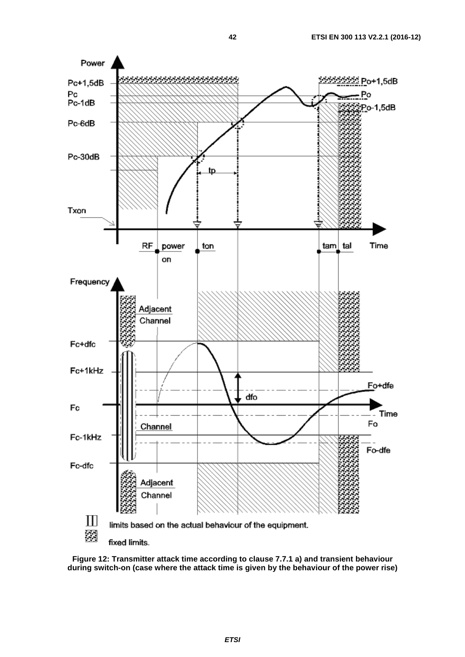

**Figure 12: Transmitter attack time according to clause 7.7.1 a) and transient behaviour during switch-on (case where the attack time is given by the behaviour of the power rise)**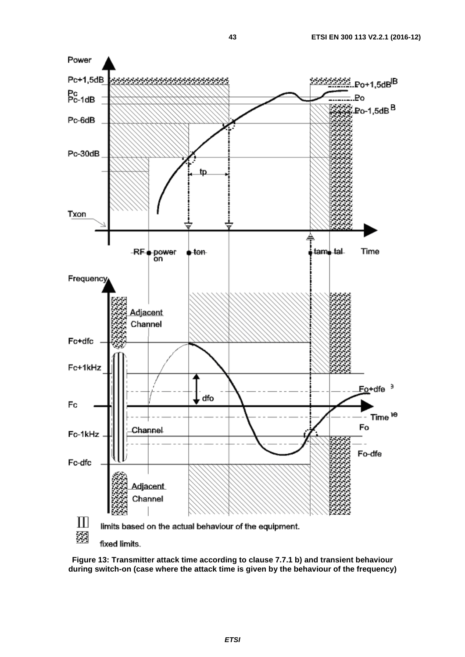

**Figure 13: Transmitter attack time according to clause 7.7.1 b) and transient behaviour during switch-on (case where the attack time is given by the behaviour of the frequency)**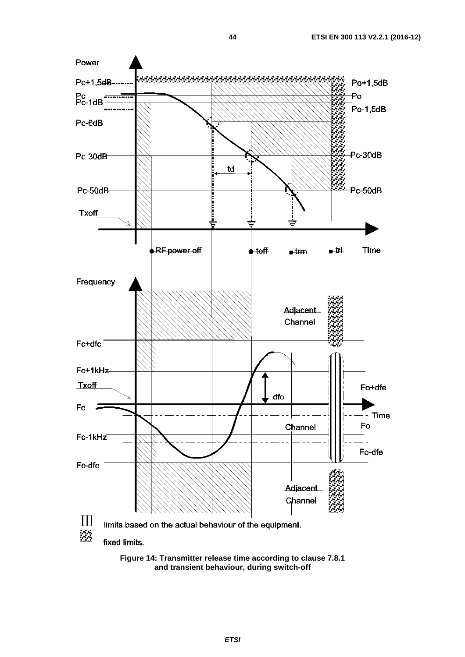

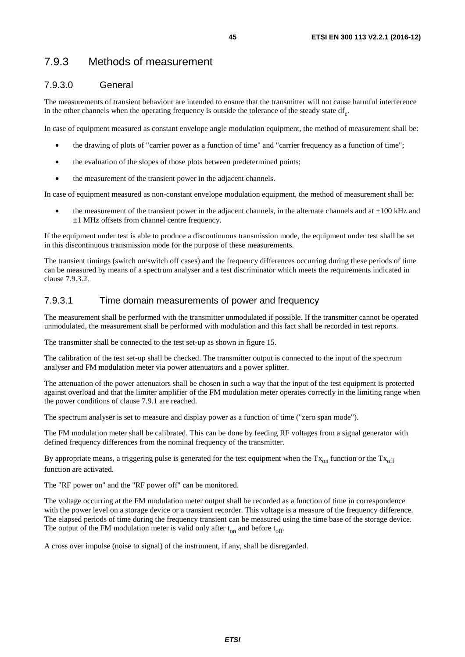# 7.9.3 Methods of measurement

## 7.9.3.0 General

The measurements of transient behaviour are intended to ensure that the transmitter will not cause harmful interference in the other channels when the operating frequency is outside the tolerance of the steady state  $df_{\alpha}$ .

In case of equipment measured as constant envelope angle modulation equipment, the method of measurement shall be:

- the drawing of plots of "carrier power as a function of time" and "carrier frequency as a function of time";
- the evaluation of the slopes of those plots between predetermined points;
- the measurement of the transient power in the adjacent channels.

In case of equipment measured as non-constant envelope modulation equipment, the method of measurement shall be:

the measurement of the transient power in the adjacent channels, in the alternate channels and at  $\pm 100$  kHz and  $±1$  MHz offsets from channel centre frequency.

If the equipment under test is able to produce a discontinuous transmission mode, the equipment under test shall be set in this discontinuous transmission mode for the purpose of these measurements.

The transient timings (switch on/switch off cases) and the frequency differences occurring during these periods of time can be measured by means of a spectrum analyser and a test discriminator which meets the requirements indicated in clause 7.9.3.2.

### 7.9.3.1 Time domain measurements of power and frequency

The measurement shall be performed with the transmitter unmodulated if possible. If the transmitter cannot be operated unmodulated, the measurement shall be performed with modulation and this fact shall be recorded in test reports.

The transmitter shall be connected to the test set-up as shown in figure 15.

The calibration of the test set-up shall be checked. The transmitter output is connected to the input of the spectrum analyser and FM modulation meter via power attenuators and a power splitter.

The attenuation of the power attenuators shall be chosen in such a way that the input of the test equipment is protected against overload and that the limiter amplifier of the FM modulation meter operates correctly in the limiting range when the power conditions of clause 7.9.1 are reached.

The spectrum analyser is set to measure and display power as a function of time ("zero span mode").

The FM modulation meter shall be calibrated. This can be done by feeding RF voltages from a signal generator with defined frequency differences from the nominal frequency of the transmitter.

By appropriate means, a triggering pulse is generated for the test equipment when the  $Tx_{on}$  function or the  $Tx_{off}$ function are activated.

The "RF power on" and the "RF power off" can be monitored.

The voltage occurring at the FM modulation meter output shall be recorded as a function of time in correspondence with the power level on a storage device or a transient recorder. This voltage is a measure of the frequency difference. The elapsed periods of time during the frequency transient can be measured using the time base of the storage device. The output of the FM modulation meter is valid only after  $t_{on}$  and before  $t_{off}$ .

A cross over impulse (noise to signal) of the instrument, if any, shall be disregarded.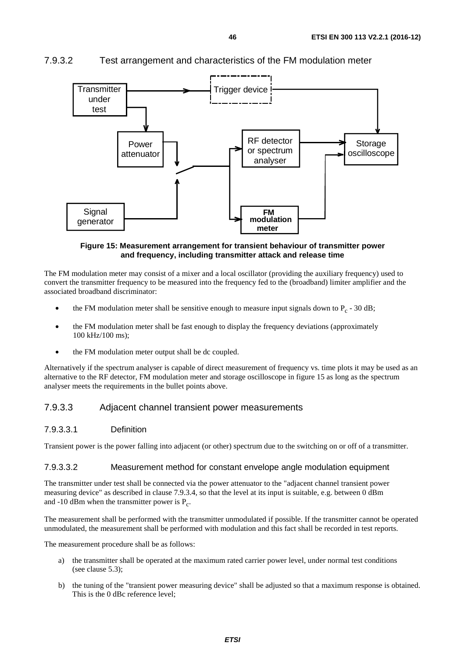## 7.9.3.2 Test arrangement and characteristics of the FM modulation meter



#### **Figure 15: Measurement arrangement for transient behaviour of transmitter power and frequency, including transmitter attack and release time**

The FM modulation meter may consist of a mixer and a local oscillator (providing the auxiliary frequency) used to convert the transmitter frequency to be measured into the frequency fed to the (broadband) limiter amplifier and the associated broadband discriminator:

- the FM modulation meter shall be sensitive enough to measure input signals down to  $P_c$  30 dB;
- the FM modulation meter shall be fast enough to display the frequency deviations (approximately 100 kHz/100 ms);
- the FM modulation meter output shall be dc coupled.

Alternatively if the spectrum analyser is capable of direct measurement of frequency vs. time plots it may be used as an alternative to the RF detector, FM modulation meter and storage oscilloscope in figure 15 as long as the spectrum analyser meets the requirements in the bullet points above.

### 7.9.3.3 Adjacent channel transient power measurements

#### 7.9.3.3.1 Definition

Transient power is the power falling into adjacent (or other) spectrum due to the switching on or off of a transmitter.

#### 7.9.3.3.2 Measurement method for constant envelope angle modulation equipment

The transmitter under test shall be connected via the power attenuator to the "adjacent channel transient power measuring device" as described in clause 7.9.3.4, so that the level at its input is suitable, e.g. between 0 dBm and -10 dBm when the transmitter power is  $P_c$ .

The measurement shall be performed with the transmitter unmodulated if possible. If the transmitter cannot be operated unmodulated, the measurement shall be performed with modulation and this fact shall be recorded in test reports.

The measurement procedure shall be as follows:

- a) the transmitter shall be operated at the maximum rated carrier power level, under normal test conditions (see clause 5.3);
- b) the tuning of the "transient power measuring device" shall be adjusted so that a maximum response is obtained. This is the 0 dBc reference level;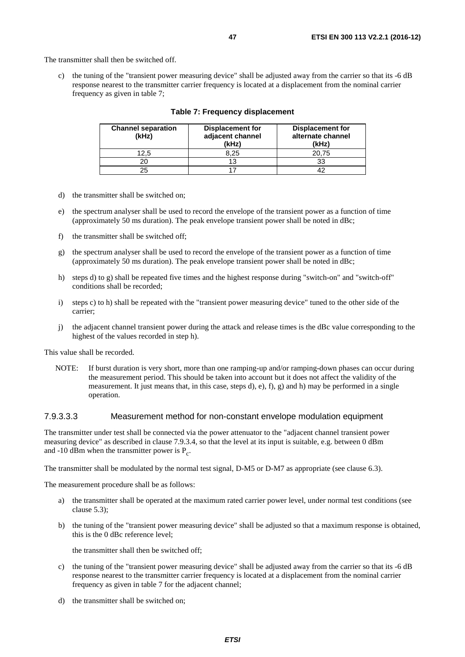The transmitter shall then be switched off.

c) the tuning of the "transient power measuring device" shall be adjusted away from the carrier so that its -6 dB response nearest to the transmitter carrier frequency is located at a displacement from the nominal carrier frequency as given in table 7;

| <b>Channel separation</b><br>(kHz) | <b>Displacement for</b><br>adjacent channel<br>(kHz) | <b>Displacement for</b><br>alternate channel<br>(kHz) |
|------------------------------------|------------------------------------------------------|-------------------------------------------------------|
| 12.5                               | 8.25                                                 | 20.75                                                 |
| 20                                 |                                                      | 33                                                    |
| 25                                 |                                                      |                                                       |

#### **Table 7: Frequency displacement**

- d) the transmitter shall be switched on;
- e) the spectrum analyser shall be used to record the envelope of the transient power as a function of time (approximately 50 ms duration). The peak envelope transient power shall be noted in dBc;
- f) the transmitter shall be switched off;
- g) the spectrum analyser shall be used to record the envelope of the transient power as a function of time (approximately 50 ms duration). The peak envelope transient power shall be noted in dBc;
- h) steps d) to g) shall be repeated five times and the highest response during "switch-on" and "switch-off" conditions shall be recorded;
- i) steps c) to h) shall be repeated with the "transient power measuring device" tuned to the other side of the carrier;
- j) the adjacent channel transient power during the attack and release times is the dBc value corresponding to the highest of the values recorded in step h).

This value shall be recorded.

NOTE: If burst duration is very short, more than one ramping-up and/or ramping-down phases can occur during the measurement period. This should be taken into account but it does not affect the validity of the measurement. It just means that, in this case, steps d), e), f), g) and h) may be performed in a single operation.

#### 7.9.3.3.3 Measurement method for non-constant envelope modulation equipment

The transmitter under test shall be connected via the power attenuator to the "adjacent channel transient power measuring device" as described in clause 7.9.3.4, so that the level at its input is suitable, e.g. between 0 dBm and -10 dBm when the transmitter power is  $P_c$ .

The transmitter shall be modulated by the normal test signal, D-M5 or D-M7 as appropriate (see clause 6.3).

The measurement procedure shall be as follows:

- a) the transmitter shall be operated at the maximum rated carrier power level, under normal test conditions (see clause 5.3);
- b) the tuning of the "transient power measuring device" shall be adjusted so that a maximum response is obtained, this is the 0 dBc reference level;

the transmitter shall then be switched off;

- c) the tuning of the "transient power measuring device" shall be adjusted away from the carrier so that its -6 dB response nearest to the transmitter carrier frequency is located at a displacement from the nominal carrier frequency as given in table 7 for the adjacent channel;
- d) the transmitter shall be switched on;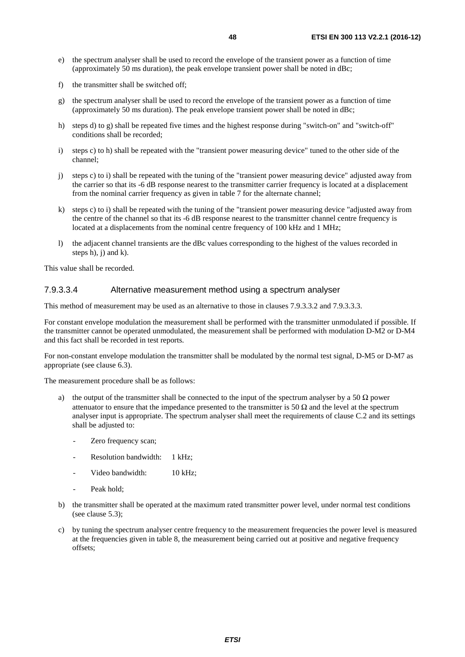- e) the spectrum analyser shall be used to record the envelope of the transient power as a function of time (approximately 50 ms duration), the peak envelope transient power shall be noted in dBc;
- f) the transmitter shall be switched off;
- g) the spectrum analyser shall be used to record the envelope of the transient power as a function of time (approximately 50 ms duration). The peak envelope transient power shall be noted in dBc;
- h) steps d) to g) shall be repeated five times and the highest response during "switch-on" and "switch-off" conditions shall be recorded;
- i) steps c) to h) shall be repeated with the "transient power measuring device" tuned to the other side of the channel;
- j) steps c) to i) shall be repeated with the tuning of the "transient power measuring device" adjusted away from the carrier so that its -6 dB response nearest to the transmitter carrier frequency is located at a displacement from the nominal carrier frequency as given in table 7 for the alternate channel;
- k) steps c) to i) shall be repeated with the tuning of the "transient power measuring device "adjusted away from the centre of the channel so that its -6 dB response nearest to the transmitter channel centre frequency is located at a displacements from the nominal centre frequency of 100 kHz and 1 MHz;
- l) the adjacent channel transients are the dBc values corresponding to the highest of the values recorded in steps h),  $i)$  and  $k)$ .

This value shall be recorded.

#### 7.9.3.3.4 Alternative measurement method using a spectrum analyser

This method of measurement may be used as an alternative to those in clauses 7.9.3.3.2 and 7.9.3.3.3.

For constant envelope modulation the measurement shall be performed with the transmitter unmodulated if possible. If the transmitter cannot be operated unmodulated, the measurement shall be performed with modulation D-M2 or D-M4 and this fact shall be recorded in test reports.

For non-constant envelope modulation the transmitter shall be modulated by the normal test signal, D-M5 or D-M7 as appropriate (see clause 6.3).

The measurement procedure shall be as follows:

- the output of the transmitter shall be connected to the input of the spectrum analyser by a 50  $\Omega$  power attenuator to ensure that the impedance presented to the transmitter is 50  $\Omega$  and the level at the spectrum analyser input is appropriate. The spectrum analyser shall meet the requirements of clause C.2 and its settings shall be adjusted to:
	- Zero frequency scan;
	- Resolution bandwidth: 1 kHz;
	- Video bandwidth: 10 kHz;
	- Peak hold:
- b) the transmitter shall be operated at the maximum rated transmitter power level, under normal test conditions (see clause 5.3);
- c) by tuning the spectrum analyser centre frequency to the measurement frequencies the power level is measured at the frequencies given in table 8, the measurement being carried out at positive and negative frequency offsets;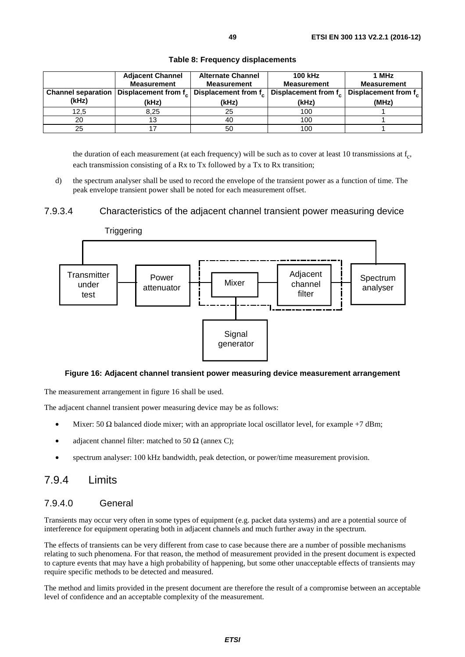|                           | <b>Adjacent Channel</b> | <b>Alternate Channel</b> | <b>100 kHz</b>                                                    | 1 MHz               |
|---------------------------|-------------------------|--------------------------|-------------------------------------------------------------------|---------------------|
|                           | <b>Measurement</b>      | <b>Measurement</b>       | <b>Measurement</b>                                                | <b>Measurement</b>  |
| <b>Channel separation</b> | Displacement from f     |                          | Displacement from f <sub>c</sub> Displacement from f <sub>c</sub> | Displacement from f |
| (kHz)                     | (kHz)                   | (kHz)                    | (kHz)                                                             | (MHz)               |
|                           |                         |                          |                                                                   |                     |
| 12.5                      | 8.25                    | 25                       | 100                                                               |                     |
| 20                        | 13                      | 40                       | 100                                                               |                     |

**Table 8: Frequency displacements** 

the duration of each measurement (at each frequency) will be such as to cover at least 10 transmissions at  $f_{c}$ , each transmission consisting of a Rx to Tx followed by a Tx to Rx transition;

d) the spectrum analyser shall be used to record the envelope of the transient power as a function of time. The peak envelope transient power shall be noted for each measurement offset.

#### 7.9.3.4 Characteristics of the adjacent channel transient power measuring device



#### **Figure 16: Adjacent channel transient power measuring device measurement arrangement**

The measurement arrangement in figure 16 shall be used.

The adjacent channel transient power measuring device may be as follows:

- Mixer: 50  $\Omega$  balanced diode mixer; with an appropriate local oscillator level, for example +7 dBm;
- adjacent channel filter: matched to 50  $\Omega$  (annex C);
- spectrum analyser: 100 kHz bandwidth, peak detection, or power/time measurement provision.

## 7.9.4 Limits

#### 7.9.4.0 General

Transients may occur very often in some types of equipment (e.g. packet data systems) and are a potential source of interference for equipment operating both in adjacent channels and much further away in the spectrum.

The effects of transients can be very different from case to case because there are a number of possible mechanisms relating to such phenomena. For that reason, the method of measurement provided in the present document is expected to capture events that may have a high probability of happening, but some other unacceptable effects of transients may require specific methods to be detected and measured.

The method and limits provided in the present document are therefore the result of a compromise between an acceptable level of confidence and an acceptable complexity of the measurement.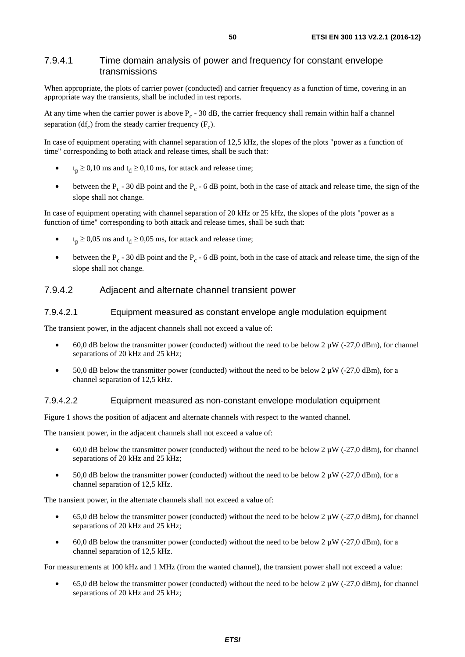### 7.9.4.1 Time domain analysis of power and frequency for constant envelope transmissions

When appropriate, the plots of carrier power (conducted) and carrier frequency as a function of time, covering in an appropriate way the transients, shall be included in test reports.

At any time when the carrier power is above  $P_c - 30$  dB, the carrier frequency shall remain within half a channel separation (df<sub>c</sub>) from the steady carrier frequency  $(F<sub>c</sub>)$ .

In case of equipment operating with channel separation of 12,5 kHz, the slopes of the plots "power as a function of time" corresponding to both attack and release times, shall be such that:

- $t_p \ge 0,10$  ms and  $t_d \ge 0,10$  ms, for attack and release time;
- between the  $P_c$  30 dB point and the  $P_c$  6 dB point, both in the case of attack and release time, the sign of the slope shall not change.

In case of equipment operating with channel separation of 20 kHz or 25 kHz, the slopes of the plots "power as a function of time" corresponding to both attack and release times, shall be such that:

- $t_p \ge 0.05$  ms and  $t_d \ge 0.05$  ms, for attack and release time;
- between the  $P_c$  30 dB point and the  $P_c$  6 dB point, both in the case of attack and release time, the sign of the slope shall not change.

### 7.9.4.2 Adjacent and alternate channel transient power

#### 7.9.4.2.1 Equipment measured as constant envelope angle modulation equipment

The transient power, in the adjacent channels shall not exceed a value of:

- 60,0 dB below the transmitter power (conducted) without the need to be below 2  $\mu$ W (-27,0 dBm), for channel separations of 20 kHz and 25 kHz;
- 50,0 dB below the transmitter power (conducted) without the need to be below  $2 \mu W$  (-27,0 dBm), for a channel separation of 12,5 kHz.

#### 7.9.4.2.2 Equipment measured as non-constant envelope modulation equipment

Figure 1 shows the position of adjacent and alternate channels with respect to the wanted channel.

The transient power, in the adjacent channels shall not exceed a value of:

- 60,0 dB below the transmitter power (conducted) without the need to be below 2  $\mu$ W (-27,0 dBm), for channel separations of 20 kHz and 25 kHz;
- 50.0 dB below the transmitter power (conducted) without the need to be below  $2 \mu W$  (-27.0 dBm), for a channel separation of 12,5 kHz.

The transient power, in the alternate channels shall not exceed a value of:

- 65,0 dB below the transmitter power (conducted) without the need to be below 2  $\mu$ W (-27,0 dBm), for channel separations of 20 kHz and 25 kHz;
- 60,0 dB below the transmitter power (conducted) without the need to be below  $2 \mu W$  (-27,0 dBm), for a channel separation of 12,5 kHz.

For measurements at 100 kHz and 1 MHz (from the wanted channel), the transient power shall not exceed a value:

65,0 dB below the transmitter power (conducted) without the need to be below 2  $\mu$ W (-27,0 dBm), for channel separations of 20 kHz and 25 kHz;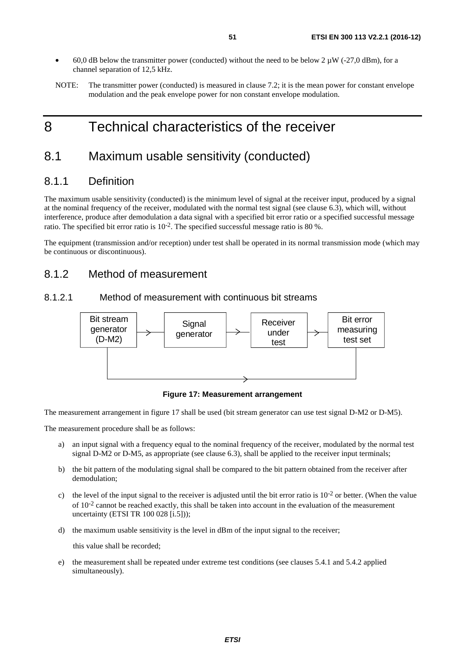- 60,0 dB below the transmitter power (conducted) without the need to be below 2  $\mu$ W (-27,0 dBm), for a channel separation of 12,5 kHz.
- NOTE: The transmitter power (conducted) is measured in clause 7.2; it is the mean power for constant envelope modulation and the peak envelope power for non constant envelope modulation.

# 8 Technical characteristics of the receiver

# 8.1 Maximum usable sensitivity (conducted)

## 8.1.1 Definition

The maximum usable sensitivity (conducted) is the minimum level of signal at the receiver input, produced by a signal at the nominal frequency of the receiver, modulated with the normal test signal (see clause 6.3), which will, without interference, produce after demodulation a data signal with a specified bit error ratio or a specified successful message ratio. The specified bit error ratio is 10-2. The specified successful message ratio is 80 %.

The equipment (transmission and/or reception) under test shall be operated in its normal transmission mode (which may be continuous or discontinuous).

## 8.1.2 Method of measurement

## 8.1.2.1 Method of measurement with continuous bit streams



**Figure 17: Measurement arrangement** 

The measurement arrangement in figure 17 shall be used (bit stream generator can use test signal D-M2 or D-M5).

The measurement procedure shall be as follows:

- a) an input signal with a frequency equal to the nominal frequency of the receiver, modulated by the normal test signal D-M2 or D-M5, as appropriate (see clause 6.3), shall be applied to the receiver input terminals;
- b) the bit pattern of the modulating signal shall be compared to the bit pattern obtained from the receiver after demodulation;
- c) the level of the input signal to the receiver is adjusted until the bit error ratio is  $10^{-2}$  or better. (When the value of  $10^{-2}$  cannot be reached exactly, this shall be taken into account in the evaluation of the measurement uncertainty (ETSI TR 100 028 [[i.5\]](#page-9-0)));
- d) the maximum usable sensitivity is the level in dBm of the input signal to the receiver;

this value shall be recorded;

e) the measurement shall be repeated under extreme test conditions (see clauses 5.4.1 and 5.4.2 applied simultaneously).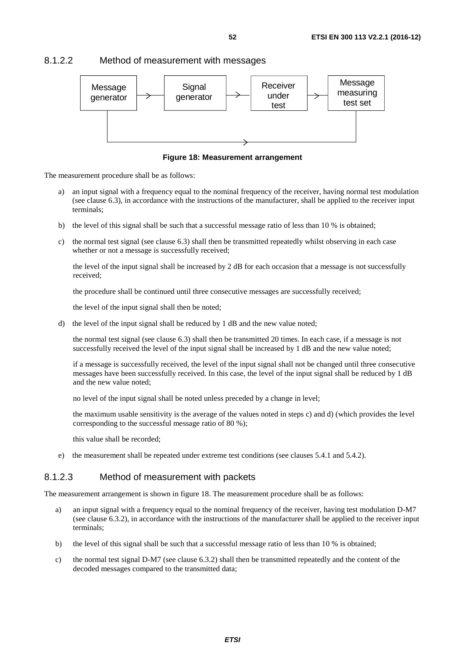#### 8.1.2.2 Method of measurement with messages



**Figure 18: Measurement arrangement** 

The measurement procedure shall be as follows:

- a) an input signal with a frequency equal to the nominal frequency of the receiver, having normal test modulation (see clause 6.3), in accordance with the instructions of the manufacturer, shall be applied to the receiver input terminals;
- b) the level of this signal shall be such that a successful message ratio of less than 10 % is obtained;
- c) the normal test signal (see clause 6.3) shall then be transmitted repeatedly whilst observing in each case whether or not a message is successfully received;

 the level of the input signal shall be increased by 2 dB for each occasion that a message is not successfully received;

the procedure shall be continued until three consecutive messages are successfully received;

the level of the input signal shall then be noted;

d) the level of the input signal shall be reduced by 1 dB and the new value noted;

 the normal test signal (see clause 6.3) shall then be transmitted 20 times. In each case, if a message is not successfully received the level of the input signal shall be increased by 1 dB and the new value noted;

 if a message is successfully received, the level of the input signal shall not be changed until three consecutive messages have been successfully received. In this case, the level of the input signal shall be reduced by 1 dB and the new value noted;

no level of the input signal shall be noted unless preceded by a change in level;

 the maximum usable sensitivity is the average of the values noted in steps c) and d) (which provides the level corresponding to the successful message ratio of 80 %);

this value shall be recorded;

e) the measurement shall be repeated under extreme test conditions (see clauses 5.4.1 and 5.4.2).

### 8.1.2.3 Method of measurement with packets

The measurement arrangement is shown in figure 18. The measurement procedure shall be as follows:

- a) an input signal with a frequency equal to the nominal frequency of the receiver, having test modulation D-M7 (see clause 6.3.2), in accordance with the instructions of the manufacturer shall be applied to the receiver input terminals;
- b) the level of this signal shall be such that a successful message ratio of less than 10 % is obtained;
- c) the normal test signal D-M7 (see clause 6.3.2) shall then be transmitted repeatedly and the content of the decoded messages compared to the transmitted data;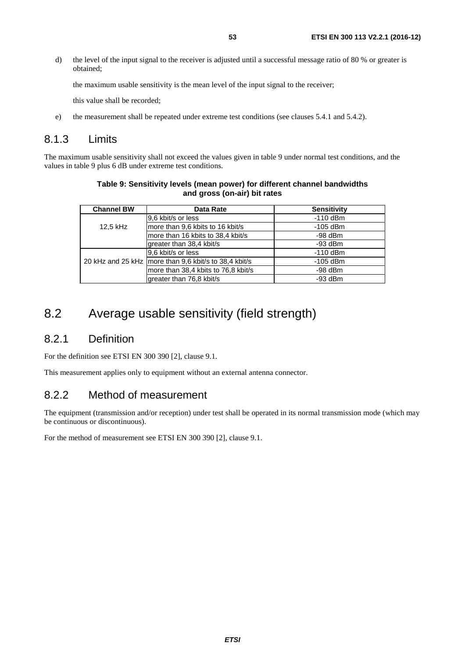d) the level of the input signal to the receiver is adjusted until a successful message ratio of 80 % or greater is obtained;

the maximum usable sensitivity is the mean level of the input signal to the receiver;

this value shall be recorded;

e) the measurement shall be repeated under extreme test conditions (see clauses 5.4.1 and 5.4.2).

## 8.1.3 Limits

The maximum usable sensitivity shall not exceed the values given in table 9 under normal test conditions, and the values in table 9 plus 6 dB under extreme test conditions.

| <b>Channel BW</b> | Data Rate                                               | <b>Sensitivity</b> |
|-------------------|---------------------------------------------------------|--------------------|
|                   | 9,6 kbit/s or less                                      | $-110$ dBm         |
| 12,5 kHz          | more than 9,6 kbits to 16 kbit/s                        | $-105$ dBm         |
|                   | more than 16 kbits to 38,4 kbit/s                       | $-98$ dBm          |
|                   | greater than 38,4 kbit/s                                | $-93$ dBm          |
|                   | 9,6 kbit/s or less                                      | $-110$ dBm         |
|                   | 20 kHz and 25 kHz   more than 9,6 kbit/s to 38,4 kbit/s | $-105$ dBm         |
|                   | more than 38,4 kbits to 76,8 kbit/s                     | $-98$ dBm          |
|                   | greater than 76,8 kbit/s                                | $-93$ dBm          |

#### **Table 9: Sensitivity levels (mean power) for different channel bandwidths and gross (on-air) bit rates**

# 8.2 Average usable sensitivity (field strength)

## 8.2.1 Definition

For the definition see ETSI EN 300 390 [\[2](#page-9-0)], clause 9.1.

This measurement applies only to equipment without an external antenna connector.

# 8.2.2 Method of measurement

The equipment (transmission and/or reception) under test shall be operated in its normal transmission mode (which may be continuous or discontinuous).

For the method of measurement see ETSI EN 300 390 [[2\]](#page-9-0), clause 9.1.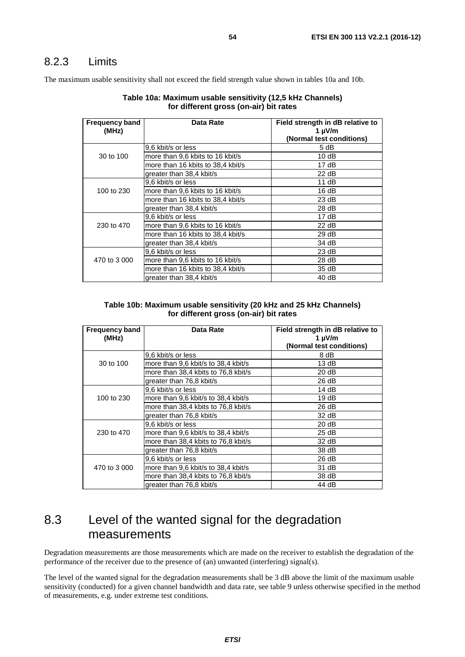# 8.2.3 Limits

The maximum usable sensitivity shall not exceed the field strength value shown in tables 10a and 10b.

| Table 10a: Maximum usable sensitivity (12,5 kHz Channels) |
|-----------------------------------------------------------|
| for different gross (on-air) bit rates                    |

| <b>Frequency band</b><br>(MHz) | Data Rate                         | Field strength in dB relative to<br>1 $\mu$ V/m |
|--------------------------------|-----------------------------------|-------------------------------------------------|
|                                |                                   | (Normal test conditions)                        |
|                                | 9,6 kbit/s or less                | 5 dB                                            |
| 30 to 100                      | more than 9.6 kbits to 16 kbit/s  | 10dB                                            |
|                                | more than 16 kbits to 38,4 kbit/s | 17 dB                                           |
|                                | greater than 38,4 kbit/s          | 22 dB                                           |
|                                | 9,6 kbit/s or less                | 11 dB                                           |
| 100 to 230                     | more than 9.6 kbits to 16 kbit/s  | 16dB                                            |
|                                | more than 16 kbits to 38.4 kbit/s | 23 dB                                           |
|                                | greater than 38,4 kbit/s          | 28 dB                                           |
|                                | 9.6 kbit/s or less                | 17 dB                                           |
| 230 to 470                     | more than 9.6 kbits to 16 kbit/s  | 22 dB                                           |
|                                | more than 16 kbits to 38,4 kbit/s | 29dB                                            |
|                                | greater than 38,4 kbit/s          | 34 dB                                           |
|                                | 9,6 kbit/s or less                | 23 dB                                           |
| 470 to 3 000                   | more than 9.6 kbits to 16 kbit/s  | 28 dB                                           |
|                                | more than 16 kbits to 38,4 kbit/s | 35 dB                                           |
|                                | greater than 38,4 kbit/s          | 40 dB                                           |

#### **Table 10b: Maximum usable sensitivity (20 kHz and 25 kHz Channels) for different gross (on-air) bit rates**

| <b>Frequency band</b><br>(MHz) | Data Rate                           | Field strength in dB relative to<br>1 $\mu$ V/m<br>(Normal test conditions) |
|--------------------------------|-------------------------------------|-----------------------------------------------------------------------------|
|                                | 9,6 kbit/s or less                  | 8 dB                                                                        |
| 30 to 100                      | more than 9,6 kbit/s to 38,4 kbit/s | 13 dB                                                                       |
|                                | more than 38,4 kbits to 76,8 kbit/s | 20 dB                                                                       |
|                                | greater than 76,8 kbit/s            | 26 dB                                                                       |
|                                | 9.6 kbit/s or less                  | 14dB                                                                        |
| 100 to 230                     | more than 9.6 kbit/s to 38.4 kbit/s | 19dB                                                                        |
|                                | more than 38,4 kbits to 76,8 kbit/s | 26 dB                                                                       |
|                                | greater than 76,8 kbit/s            | 32 dB                                                                       |
|                                | 9.6 kbit/s or less                  | 20 dB                                                                       |
| 230 to 470                     | more than 9.6 kbit/s to 38,4 kbit/s | 25 dB                                                                       |
|                                | more than 38,4 kbits to 76,8 kbit/s | 32 dB                                                                       |
|                                | greater than 76,8 kbit/s            | 38 dB                                                                       |
|                                | 9.6 kbit/s or less                  | 26 dB                                                                       |
| 470 to 3 000                   | more than 9,6 kbit/s to 38,4 kbit/s | 31 dB                                                                       |
|                                | more than 38,4 kbits to 76,8 kbit/s | 38 dB                                                                       |
|                                | greater than 76,8 kbit/s            | 44 dB                                                                       |

# 8.3 Level of the wanted signal for the degradation measurements

Degradation measurements are those measurements which are made on the receiver to establish the degradation of the performance of the receiver due to the presence of (an) unwanted (interfering) signal(s).

The level of the wanted signal for the degradation measurements shall be 3 dB above the limit of the maximum usable sensitivity (conducted) for a given channel bandwidth and data rate, see table 9 unless otherwise specified in the method of measurements, e.g. under extreme test conditions.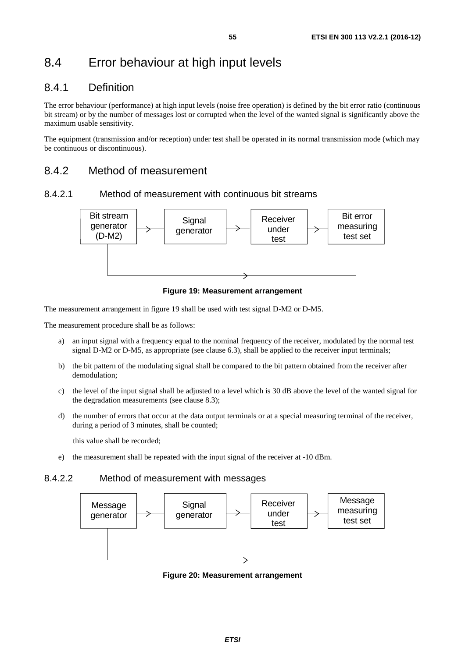# 8.4 Error behaviour at high input levels

# 8.4.1 Definition

The error behaviour (performance) at high input levels (noise free operation) is defined by the bit error ratio (continuous bit stream) or by the number of messages lost or corrupted when the level of the wanted signal is significantly above the maximum usable sensitivity.

The equipment (transmission and/or reception) under test shall be operated in its normal transmission mode (which may be continuous or discontinuous).

# 8.4.2 Method of measurement

### 8.4.2.1 Method of measurement with continuous bit streams



**Figure 19: Measurement arrangement** 

The measurement arrangement in figure 19 shall be used with test signal D-M2 or D-M5.

The measurement procedure shall be as follows:

- a) an input signal with a frequency equal to the nominal frequency of the receiver, modulated by the normal test signal D-M2 or D-M5, as appropriate (see clause 6.3), shall be applied to the receiver input terminals;
- b) the bit pattern of the modulating signal shall be compared to the bit pattern obtained from the receiver after demodulation;
- c) the level of the input signal shall be adjusted to a level which is 30 dB above the level of the wanted signal for the degradation measurements (see clause 8.3);
- d) the number of errors that occur at the data output terminals or at a special measuring terminal of the receiver, during a period of 3 minutes, shall be counted;

this value shall be recorded;

e) the measurement shall be repeated with the input signal of the receiver at -10 dBm.

### 8.4.2.2 Method of measurement with messages



**Figure 20: Measurement arrangement**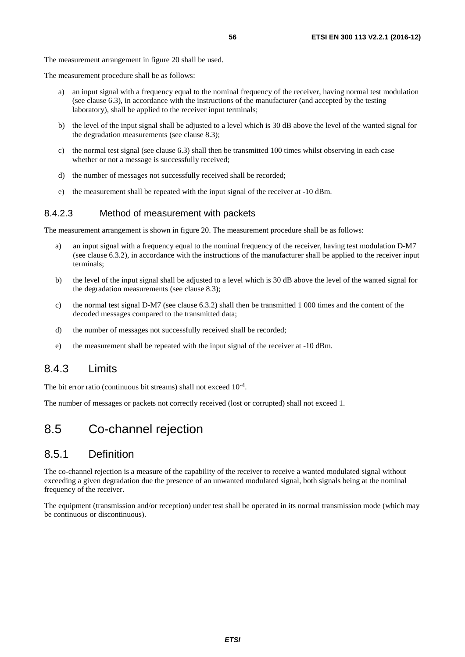The measurement procedure shall be as follows:

- a) an input signal with a frequency equal to the nominal frequency of the receiver, having normal test modulation (see clause 6.3), in accordance with the instructions of the manufacturer (and accepted by the testing laboratory), shall be applied to the receiver input terminals;
- b) the level of the input signal shall be adjusted to a level which is 30 dB above the level of the wanted signal for the degradation measurements (see clause 8.3);
- c) the normal test signal (see clause 6.3) shall then be transmitted 100 times whilst observing in each case whether or not a message is successfully received:
- d) the number of messages not successfully received shall be recorded;
- e) the measurement shall be repeated with the input signal of the receiver at -10 dBm.

### 8.4.2.3 Method of measurement with packets

The measurement arrangement is shown in figure 20. The measurement procedure shall be as follows:

- a) an input signal with a frequency equal to the nominal frequency of the receiver, having test modulation D-M7 (see clause 6.3.2), in accordance with the instructions of the manufacturer shall be applied to the receiver input terminals;
- b) the level of the input signal shall be adjusted to a level which is 30 dB above the level of the wanted signal for the degradation measurements (see clause 8.3);
- c) the normal test signal D-M7 (see clause 6.3.2) shall then be transmitted 1 000 times and the content of the decoded messages compared to the transmitted data;
- d) the number of messages not successfully received shall be recorded;
- e) the measurement shall be repeated with the input signal of the receiver at -10 dBm.

## 8.4.3 Limits

The bit error ratio (continuous bit streams) shall not exceed  $10^{-4}$ .

The number of messages or packets not correctly received (lost or corrupted) shall not exceed 1.

# 8.5 Co-channel rejection

## 8.5.1 Definition

The co-channel rejection is a measure of the capability of the receiver to receive a wanted modulated signal without exceeding a given degradation due the presence of an unwanted modulated signal, both signals being at the nominal frequency of the receiver.

The equipment (transmission and/or reception) under test shall be operated in its normal transmission mode (which may be continuous or discontinuous).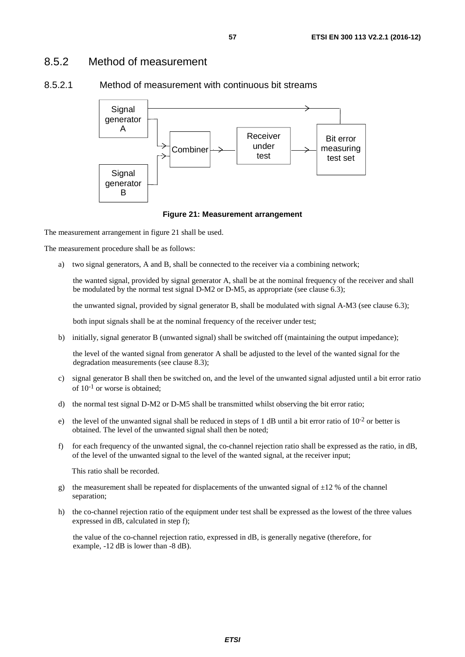## 8.5.2 Method of measurement



### 8.5.2.1 Method of measurement with continuous bit streams

#### **Figure 21: Measurement arrangement**

The measurement arrangement in figure 21 shall be used.

The measurement procedure shall be as follows:

a) two signal generators, A and B, shall be connected to the receiver via a combining network;

 the wanted signal, provided by signal generator A, shall be at the nominal frequency of the receiver and shall be modulated by the normal test signal D-M2 or D-M5, as appropriate (see clause 6.3);

the unwanted signal, provided by signal generator B, shall be modulated with signal A-M3 (see clause 6.3);

both input signals shall be at the nominal frequency of the receiver under test;

b) initially, signal generator B (unwanted signal) shall be switched off (maintaining the output impedance);

 the level of the wanted signal from generator A shall be adjusted to the level of the wanted signal for the degradation measurements (see clause 8.3);

- c) signal generator B shall then be switched on, and the level of the unwanted signal adjusted until a bit error ratio of  $10^{-1}$  or worse is obtained:
- d) the normal test signal D-M2 or D-M5 shall be transmitted whilst observing the bit error ratio;
- e) the level of the unwanted signal shall be reduced in steps of 1 dB until a bit error ratio of  $10^{-2}$  or better is obtained. The level of the unwanted signal shall then be noted;
- f) for each frequency of the unwanted signal, the co-channel rejection ratio shall be expressed as the ratio, in dB, of the level of the unwanted signal to the level of the wanted signal, at the receiver input;

This ratio shall be recorded.

- g) the measurement shall be repeated for displacements of the unwanted signal of  $\pm 12$  % of the channel separation;
- h) the co-channel rejection ratio of the equipment under test shall be expressed as the lowest of the three values expressed in dB, calculated in step f);

 the value of the co-channel rejection ratio, expressed in dB, is generally negative (therefore, for example, -12 dB is lower than -8 dB).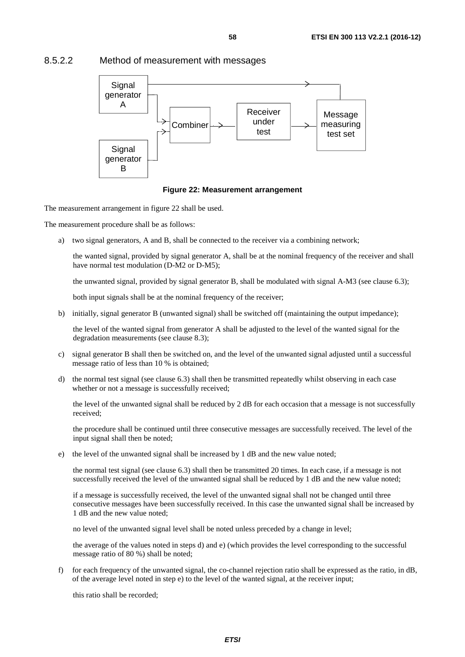#### Receiver under test **Signal** generator A **Signal** generator B **Combiner** Message measuring test set

## 8.5.2.2 Method of measurement with messages



The measurement arrangement in figure 22 shall be used.

The measurement procedure shall be as follows:

a) two signal generators, A and B, shall be connected to the receiver via a combining network;

 the wanted signal, provided by signal generator A, shall be at the nominal frequency of the receiver and shall have normal test modulation (D-M2 or D-M5);

the unwanted signal, provided by signal generator B, shall be modulated with signal A-M3 (see clause 6.3);

both input signals shall be at the nominal frequency of the receiver;

b) initially, signal generator B (unwanted signal) shall be switched off (maintaining the output impedance);

 the level of the wanted signal from generator A shall be adjusted to the level of the wanted signal for the degradation measurements (see clause 8.3);

- c) signal generator B shall then be switched on, and the level of the unwanted signal adjusted until a successful message ratio of less than 10 % is obtained;
- d) the normal test signal (see clause 6.3) shall then be transmitted repeatedly whilst observing in each case whether or not a message is successfully received;

 the level of the unwanted signal shall be reduced by 2 dB for each occasion that a message is not successfully received;

 the procedure shall be continued until three consecutive messages are successfully received. The level of the input signal shall then be noted;

e) the level of the unwanted signal shall be increased by 1 dB and the new value noted;

 the normal test signal (see clause 6.3) shall then be transmitted 20 times. In each case, if a message is not successfully received the level of the unwanted signal shall be reduced by 1 dB and the new value noted;

 if a message is successfully received, the level of the unwanted signal shall not be changed until three consecutive messages have been successfully received. In this case the unwanted signal shall be increased by 1 dB and the new value noted;

no level of the unwanted signal level shall be noted unless preceded by a change in level;

 the average of the values noted in steps d) and e) (which provides the level corresponding to the successful message ratio of 80 %) shall be noted;

f) for each frequency of the unwanted signal, the co-channel rejection ratio shall be expressed as the ratio, in dB, of the average level noted in step e) to the level of the wanted signal, at the receiver input;

this ratio shall be recorded;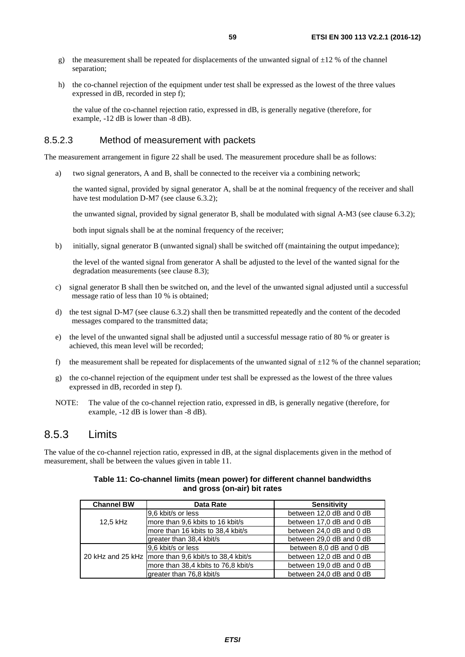- g) the measurement shall be repeated for displacements of the unwanted signal of  $\pm 12$  % of the channel separation;
- h) the co-channel rejection of the equipment under test shall be expressed as the lowest of the three values expressed in dB, recorded in step f);

 the value of the co-channel rejection ratio, expressed in dB, is generally negative (therefore, for example, -12 dB is lower than -8 dB).

### 8.5.2.3 Method of measurement with packets

The measurement arrangement in figure 22 shall be used. The measurement procedure shall be as follows:

a) two signal generators, A and B, shall be connected to the receiver via a combining network;

 the wanted signal, provided by signal generator A, shall be at the nominal frequency of the receiver and shall have test modulation D-M7 (see clause 6.3.2);

the unwanted signal, provided by signal generator B, shall be modulated with signal A-M3 (see clause 6.3.2);

both input signals shall be at the nominal frequency of the receiver;

b) initially, signal generator B (unwanted signal) shall be switched off (maintaining the output impedance);

 the level of the wanted signal from generator A shall be adjusted to the level of the wanted signal for the degradation measurements (see clause 8.3);

- c) signal generator B shall then be switched on, and the level of the unwanted signal adjusted until a successful message ratio of less than 10 % is obtained;
- d) the test signal D-M7 (see clause 6.3.2) shall then be transmitted repeatedly and the content of the decoded messages compared to the transmitted data;
- e) the level of the unwanted signal shall be adjusted until a successful message ratio of 80 % or greater is achieved, this mean level will be recorded;
- f) the measurement shall be repeated for displacements of the unwanted signal of  $\pm 12$  % of the channel separation;
- g) the co-channel rejection of the equipment under test shall be expressed as the lowest of the three values expressed in dB, recorded in step f).
- NOTE: The value of the co-channel rejection ratio, expressed in dB, is generally negative (therefore, for example, -12 dB is lower than -8 dB).

## 8.5.3 Limits

The value of the co-channel rejection ratio, expressed in dB, at the signal displacements given in the method of measurement, shall be between the values given in table 11.

#### **Table 11: Co-channel limits (mean power) for different channel bandwidths and gross (on-air) bit rates**

| <b>Channel BW</b> | Data Rate                                               | <b>Sensitivity</b>       |
|-------------------|---------------------------------------------------------|--------------------------|
|                   | 9.6 kbit/s or less                                      | between 12,0 dB and 0 dB |
| 12.5 kHz          | more than 9,6 kbits to 16 kbit/s                        | between 17,0 dB and 0 dB |
|                   | more than 16 kbits to 38,4 kbit/s                       | between 24,0 dB and 0 dB |
|                   | greater than 38,4 kbit/s                                | between 29,0 dB and 0 dB |
|                   | 9,6 kbit/s or less                                      | between 8,0 dB and 0 dB  |
|                   | 20 kHz and 25 kHz   more than 9,6 kbit/s to 38,4 kbit/s | between 12,0 dB and 0 dB |
|                   | more than 38,4 kbits to 76,8 kbit/s                     | between 19,0 dB and 0 dB |
|                   | greater than 76,8 kbit/s                                | between 24,0 dB and 0 dB |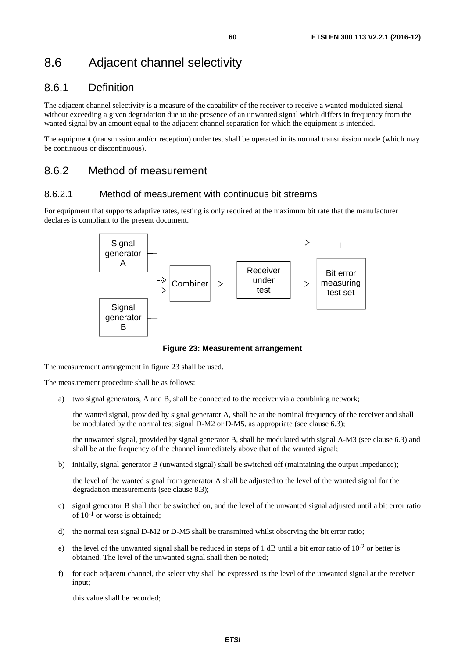# 8.6 Adjacent channel selectivity

# 8.6.1 Definition

The adjacent channel selectivity is a measure of the capability of the receiver to receive a wanted modulated signal without exceeding a given degradation due to the presence of an unwanted signal which differs in frequency from the wanted signal by an amount equal to the adjacent channel separation for which the equipment is intended.

The equipment (transmission and/or reception) under test shall be operated in its normal transmission mode (which may be continuous or discontinuous).

# 8.6.2 Method of measurement

### 8.6.2.1 Method of measurement with continuous bit streams

For equipment that supports adaptive rates, testing is only required at the maximum bit rate that the manufacturer declares is compliant to the present document.



**Figure 23: Measurement arrangement** 

The measurement arrangement in figure 23 shall be used.

The measurement procedure shall be as follows:

a) two signal generators, A and B, shall be connected to the receiver via a combining network;

 the wanted signal, provided by signal generator A, shall be at the nominal frequency of the receiver and shall be modulated by the normal test signal D-M2 or D-M5, as appropriate (see clause 6.3);

 the unwanted signal, provided by signal generator B, shall be modulated with signal A-M3 (see clause 6.3) and shall be at the frequency of the channel immediately above that of the wanted signal;

b) initially, signal generator B (unwanted signal) shall be switched off (maintaining the output impedance);

 the level of the wanted signal from generator A shall be adjusted to the level of the wanted signal for the degradation measurements (see clause 8.3);

- c) signal generator B shall then be switched on, and the level of the unwanted signal adjusted until a bit error ratio of  $10^{-1}$  or worse is obtained;
- d) the normal test signal D-M2 or D-M5 shall be transmitted whilst observing the bit error ratio;
- e) the level of the unwanted signal shall be reduced in steps of 1 dB until a bit error ratio of  $10^{-2}$  or better is obtained. The level of the unwanted signal shall then be noted;
- f) for each adjacent channel, the selectivity shall be expressed as the level of the unwanted signal at the receiver input;

this value shall be recorded;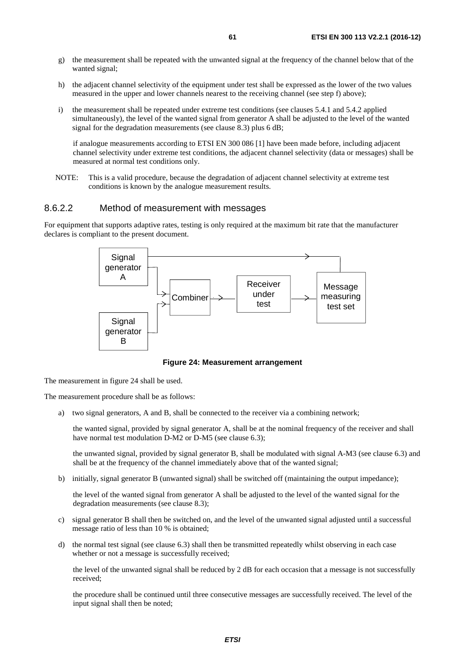- g) the measurement shall be repeated with the unwanted signal at the frequency of the channel below that of the wanted signal;
- h) the adjacent channel selectivity of the equipment under test shall be expressed as the lower of the two values measured in the upper and lower channels nearest to the receiving channel (see step f) above);
- i) the measurement shall be repeated under extreme test conditions (see clauses 5.4.1 and 5.4.2 applied simultaneously), the level of the wanted signal from generator A shall be adjusted to the level of the wanted signal for the degradation measurements (see clause 8.3) plus 6 dB;

 if analogue measurements according to ETSI EN 300 086 [\[1](#page-8-0)] have been made before, including adjacent channel selectivity under extreme test conditions, the adjacent channel selectivity (data or messages) shall be measured at normal test conditions only.

NOTE: This is a valid procedure, because the degradation of adjacent channel selectivity at extreme test conditions is known by the analogue measurement results.

#### 8.6.2.2 Method of measurement with messages

For equipment that supports adaptive rates, testing is only required at the maximum bit rate that the manufacturer declares is compliant to the present document.



**Figure 24: Measurement arrangement** 

The measurement in figure 24 shall be used.

The measurement procedure shall be as follows:

a) two signal generators, A and B, shall be connected to the receiver via a combining network;

 the wanted signal, provided by signal generator A, shall be at the nominal frequency of the receiver and shall have normal test modulation D-M2 or D-M5 (see clause 6.3);

 the unwanted signal, provided by signal generator B, shall be modulated with signal A-M3 (see clause 6.3) and shall be at the frequency of the channel immediately above that of the wanted signal;

b) initially, signal generator B (unwanted signal) shall be switched off (maintaining the output impedance);

 the level of the wanted signal from generator A shall be adjusted to the level of the wanted signal for the degradation measurements (see clause 8.3);

- c) signal generator B shall then be switched on, and the level of the unwanted signal adjusted until a successful message ratio of less than 10 % is obtained;
- d) the normal test signal (see clause 6.3) shall then be transmitted repeatedly whilst observing in each case whether or not a message is successfully received;

 the level of the unwanted signal shall be reduced by 2 dB for each occasion that a message is not successfully received;

 the procedure shall be continued until three consecutive messages are successfully received. The level of the input signal shall then be noted;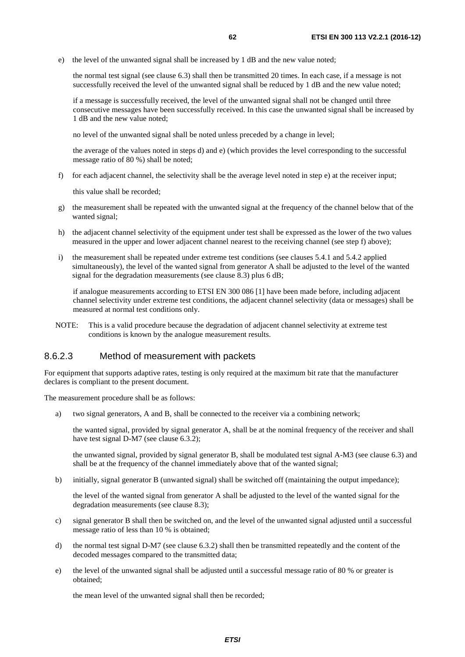e) the level of the unwanted signal shall be increased by 1 dB and the new value noted;

 the normal test signal (see clause 6.3) shall then be transmitted 20 times. In each case, if a message is not successfully received the level of the unwanted signal shall be reduced by 1 dB and the new value noted;

 if a message is successfully received, the level of the unwanted signal shall not be changed until three consecutive messages have been successfully received. In this case the unwanted signal shall be increased by 1 dB and the new value noted;

no level of the unwanted signal shall be noted unless preceded by a change in level;

 the average of the values noted in steps d) and e) (which provides the level corresponding to the successful message ratio of 80 %) shall be noted;

f) for each adjacent channel, the selectivity shall be the average level noted in step e) at the receiver input;

this value shall be recorded;

- g) the measurement shall be repeated with the unwanted signal at the frequency of the channel below that of the wanted signal;
- h) the adjacent channel selectivity of the equipment under test shall be expressed as the lower of the two values measured in the upper and lower adjacent channel nearest to the receiving channel (see step f) above);
- i) the measurement shall be repeated under extreme test conditions (see clauses 5.4.1 and 5.4.2 applied simultaneously), the level of the wanted signal from generator A shall be adjusted to the level of the wanted signal for the degradation measurements (see clause 8.3) plus 6 dB;

 if analogue measurements according to ETSI EN 300 086 [\[1](#page-8-0)] have been made before, including adjacent channel selectivity under extreme test conditions, the adjacent channel selectivity (data or messages) shall be measured at normal test conditions only.

NOTE: This is a valid procedure because the degradation of adjacent channel selectivity at extreme test conditions is known by the analogue measurement results.

#### 8.6.2.3 Method of measurement with packets

For equipment that supports adaptive rates, testing is only required at the maximum bit rate that the manufacturer declares is compliant to the present document.

The measurement procedure shall be as follows:

a) two signal generators, A and B, shall be connected to the receiver via a combining network;

 the wanted signal, provided by signal generator A, shall be at the nominal frequency of the receiver and shall have test signal D-M7 (see clause 6.3.2);

 the unwanted signal, provided by signal generator B, shall be modulated test signal A-M3 (see clause 6.3) and shall be at the frequency of the channel immediately above that of the wanted signal;

b) initially, signal generator B (unwanted signal) shall be switched off (maintaining the output impedance);

 the level of the wanted signal from generator A shall be adjusted to the level of the wanted signal for the degradation measurements (see clause 8.3);

- c) signal generator B shall then be switched on, and the level of the unwanted signal adjusted until a successful message ratio of less than 10 % is obtained;
- d) the normal test signal D-M7 (see clause 6.3.2) shall then be transmitted repeatedly and the content of the decoded messages compared to the transmitted data;
- e) the level of the unwanted signal shall be adjusted until a successful message ratio of 80 % or greater is obtained;

the mean level of the unwanted signal shall then be recorded;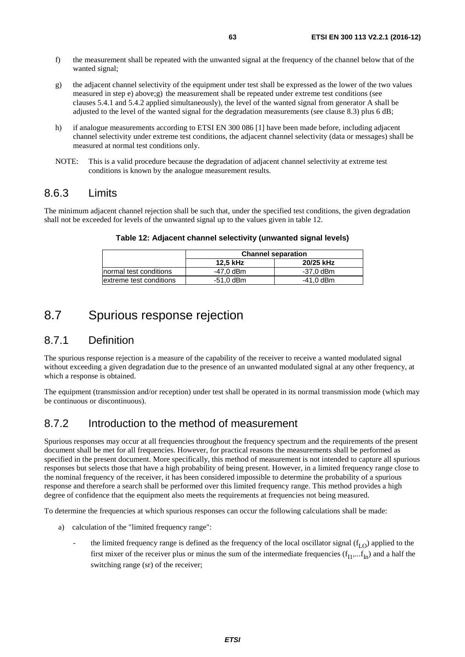- f) the measurement shall be repeated with the unwanted signal at the frequency of the channel below that of the wanted signal;
- g) the adjacent channel selectivity of the equipment under test shall be expressed as the lower of the two values measured in step e) above;g) the measurement shall be repeated under extreme test conditions (see clauses 5.4.1 and 5.4.2 applied simultaneously), the level of the wanted signal from generator A shall be adjusted to the level of the wanted signal for the degradation measurements (see clause 8.3) plus 6 dB;
- h) if analogue measurements according to ETSI EN 300 086 [\[1](#page-8-0)] have been made before, including adjacent channel selectivity under extreme test conditions, the adjacent channel selectivity (data or messages) shall be measured at normal test conditions only.
- NOTE: This is a valid procedure because the degradation of adjacent channel selectivity at extreme test conditions is known by the analogue measurement results.

## 8.6.3 Limits

The minimum adjacent channel rejection shall be such that, under the specified test conditions, the given degradation shall not be exceeded for levels of the unwanted signal up to the values given in table 12.

|                         | <b>Channel separation</b> |           |  |
|-------------------------|---------------------------|-----------|--|
|                         | 12.5 kHz                  | 20/25 kHz |  |
| normal test conditions  | -47.0 dBm                 | -37.0 dBm |  |
| extreme test conditions | -51.0 dBm                 | -41.0 dBm |  |

#### **Table 12: Adjacent channel selectivity (unwanted signal levels)**

# 8.7 Spurious response rejection

## 8.7.1 Definition

The spurious response rejection is a measure of the capability of the receiver to receive a wanted modulated signal without exceeding a given degradation due to the presence of an unwanted modulated signal at any other frequency, at which a response is obtained.

The equipment (transmission and/or reception) under test shall be operated in its normal transmission mode (which may be continuous or discontinuous).

## 8.7.2 Introduction to the method of measurement

Spurious responses may occur at all frequencies throughout the frequency spectrum and the requirements of the present document shall be met for all frequencies. However, for practical reasons the measurements shall be performed as specified in the present document. More specifically, this method of measurement is not intended to capture all spurious responses but selects those that have a high probability of being present. However, in a limited frequency range close to the nominal frequency of the receiver, it has been considered impossible to determine the probability of a spurious response and therefore a search shall be performed over this limited frequency range. This method provides a high degree of confidence that the equipment also meets the requirements at frequencies not being measured.

To determine the frequencies at which spurious responses can occur the following calculations shall be made:

- a) calculation of the "limited frequency range":
	- the limited frequency range is defined as the frequency of the local oscillator signal  $(f<sub>LO</sub>)$  applied to the first mixer of the receiver plus or minus the sum of the intermediate frequencies  $(f_{I1},...,f_{In})$  and a half the switching range (sr) of the receiver;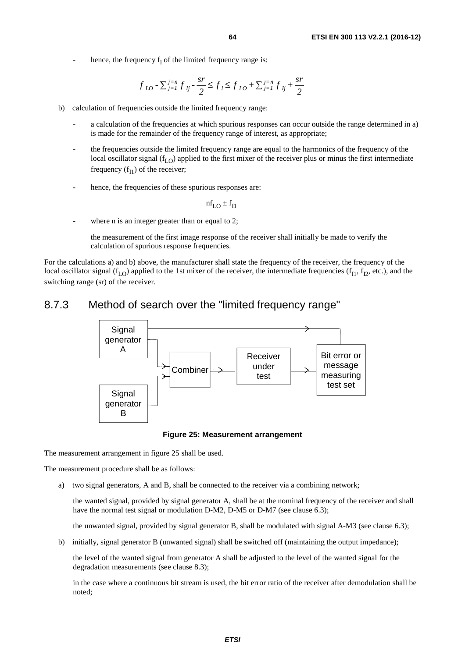- hence, the frequency  $f_1$  of the limited frequency range is:

$$
f_{LO} - \sum_{j=1}^{j=n} f_{lj} - \frac{sr}{2} \le f_l \le f_{LO} + \sum_{j=1}^{j=n} f_{lj} + \frac{sr}{2}
$$

- b) calculation of frequencies outside the limited frequency range:
	- a calculation of the frequencies at which spurious responses can occur outside the range determined in a) is made for the remainder of the frequency range of interest, as appropriate;
	- the frequencies outside the limited frequency range are equal to the harmonics of the frequency of the local oscillator signal ( $f_{LO}$ ) applied to the first mixer of the receiver plus or minus the first intermediate frequency  $(f<sub>I1</sub>)$  of the receiver;
	- hence, the frequencies of these spurious responses are:

$$
\text{nf}_{\text{LO}} \pm \text{f}_{\text{II}}
$$

where n is an integer greater than or equal to 2:

 the measurement of the first image response of the receiver shall initially be made to verify the calculation of spurious response frequencies.

For the calculations a) and b) above, the manufacturer shall state the frequency of the receiver, the frequency of the local oscillator signal ( $f_{L<sub>1</sub>}$ ) applied to the 1st mixer of the receiver, the intermediate frequencies ( $f_{L<sub>1</sub>}$ ,  $f_{L<sub>2</sub>}$ , etc.), and the switching range (sr) of the receiver.

## 8.7.3 Method of search over the "limited frequency range"



#### **Figure 25: Measurement arrangement**

The measurement arrangement in figure 25 shall be used.

The measurement procedure shall be as follows:

a) two signal generators, A and B, shall be connected to the receiver via a combining network;

 the wanted signal, provided by signal generator A, shall be at the nominal frequency of the receiver and shall have the normal test signal or modulation D-M2, D-M5 or D-M7 (see clause 6.3);

the unwanted signal, provided by signal generator B, shall be modulated with signal A-M3 (see clause 6.3);

b) initially, signal generator B (unwanted signal) shall be switched off (maintaining the output impedance);

 the level of the wanted signal from generator A shall be adjusted to the level of the wanted signal for the degradation measurements (see clause 8.3);

 in the case where a continuous bit stream is used, the bit error ratio of the receiver after demodulation shall be noted;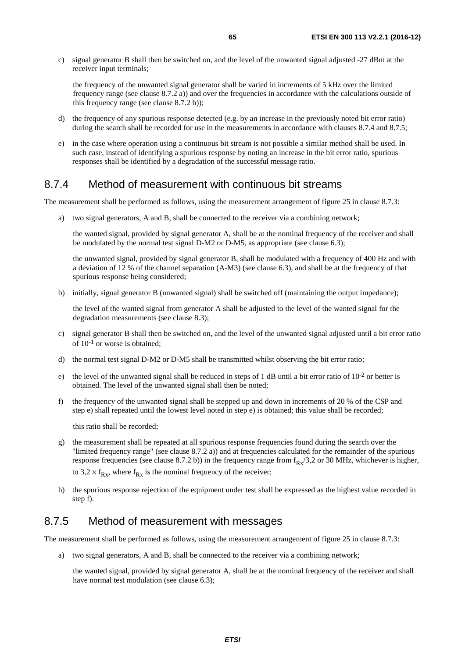c) signal generator B shall then be switched on, and the level of the unwanted signal adjusted -27 dBm at the receiver input terminals;

 the frequency of the unwanted signal generator shall be varied in increments of 5 kHz over the limited frequency range (see clause 8.7.2 a)) and over the frequencies in accordance with the calculations outside of this frequency range (see clause 8.7.2 b));

- d) the frequency of any spurious response detected (e.g. by an increase in the previously noted bit error ratio) during the search shall be recorded for use in the measurements in accordance with clauses 8.7.4 and 8.7.5;
- e) in the case where operation using a continuous bit stream is not possible a similar method shall be used. In such case, instead of identifying a spurious response by noting an increase in the bit error ratio, spurious responses shall be identified by a degradation of the successful message ratio.

## 8.7.4 Method of measurement with continuous bit streams

The measurement shall be performed as follows, using the measurement arrangement of figure 25 in clause 8.7.3:

a) two signal generators, A and B, shall be connected to the receiver via a combining network;

 the wanted signal, provided by signal generator A, shall be at the nominal frequency of the receiver and shall be modulated by the normal test signal D-M2 or D-M5, as appropriate (see clause 6.3);

 the unwanted signal, provided by signal generator B, shall be modulated with a frequency of 400 Hz and with a deviation of 12 % of the channel separation (A-M3) (see clause 6.3), and shall be at the frequency of that spurious response being considered;

b) initially, signal generator B (unwanted signal) shall be switched off (maintaining the output impedance);

 the level of the wanted signal from generator A shall be adjusted to the level of the wanted signal for the degradation measurements (see clause 8.3);

- c) signal generator B shall then be switched on, and the level of the unwanted signal adjusted until a bit error ratio of  $10^{-1}$  or worse is obtained;
- d) the normal test signal D-M2 or D-M5 shall be transmitted whilst observing the bit error ratio;
- e) the level of the unwanted signal shall be reduced in steps of 1 dB until a bit error ratio of  $10^{-2}$  or better is obtained. The level of the unwanted signal shall then be noted;
- f) the frequency of the unwanted signal shall be stepped up and down in increments of 20 % of the CSP and step e) shall repeated until the lowest level noted in step e) is obtained; this value shall be recorded;

this ratio shall be recorded;

- g) the measurement shall be repeated at all spurious response frequencies found during the search over the "limited frequency range" (see clause 8.7.2 a)) and at frequencies calculated for the remainder of the spurious response frequencies (see clause 8.7.2 b)) in the frequency range from  $f_{Rx}/3$ , 2 or 30 MHz, whichever is higher, to  $3.2 \times f_{Rx}$ , where  $f_{Rx}$  is the nominal frequency of the receiver;
- h) the spurious response rejection of the equipment under test shall be expressed as the highest value recorded in step f).

## 8.7.5 Method of measurement with messages

The measurement shall be performed as follows, using the measurement arrangement of figure 25 in clause 8.7.3:

a) two signal generators, A and B, shall be connected to the receiver via a combining network;

 the wanted signal, provided by signal generator A, shall be at the nominal frequency of the receiver and shall have normal test modulation (see clause 6.3);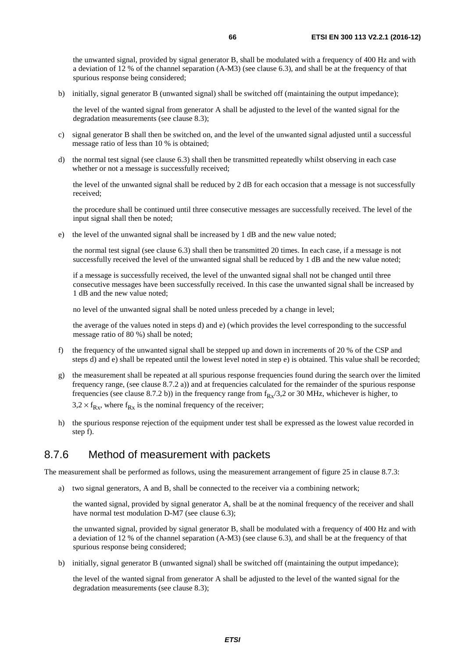the unwanted signal, provided by signal generator B, shall be modulated with a frequency of 400 Hz and with a deviation of 12 % of the channel separation (A-M3) (see clause 6.3), and shall be at the frequency of that spurious response being considered;

b) initially, signal generator B (unwanted signal) shall be switched off (maintaining the output impedance);

 the level of the wanted signal from generator A shall be adjusted to the level of the wanted signal for the degradation measurements (see clause 8.3);

- c) signal generator B shall then be switched on, and the level of the unwanted signal adjusted until a successful message ratio of less than 10 % is obtained;
- d) the normal test signal (see clause 6.3) shall then be transmitted repeatedly whilst observing in each case whether or not a message is successfully received;

 the level of the unwanted signal shall be reduced by 2 dB for each occasion that a message is not successfully received;

 the procedure shall be continued until three consecutive messages are successfully received. The level of the input signal shall then be noted;

e) the level of the unwanted signal shall be increased by 1 dB and the new value noted;

 the normal test signal (see clause 6.3) shall then be transmitted 20 times. In each case, if a message is not successfully received the level of the unwanted signal shall be reduced by 1 dB and the new value noted;

 if a message is successfully received, the level of the unwanted signal shall not be changed until three consecutive messages have been successfully received. In this case the unwanted signal shall be increased by 1 dB and the new value noted;

no level of the unwanted signal shall be noted unless preceded by a change in level;

 the average of the values noted in steps d) and e) (which provides the level corresponding to the successful message ratio of 80 %) shall be noted;

- f) the frequency of the unwanted signal shall be stepped up and down in increments of 20 % of the CSP and steps d) and e) shall be repeated until the lowest level noted in step e) is obtained. This value shall be recorded;
- g) the measurement shall be repeated at all spurious response frequencies found during the search over the limited frequency range, (see clause 8.7.2 a)) and at frequencies calculated for the remainder of the spurious response frequencies (see clause 8.7.2 b)) in the frequency range from  $f_{Rx}/3$ , 2 or 30 MHz, whichever is higher, to  $3.2 \times f_{Rx}$ , where  $f_{Rx}$  is the nominal frequency of the receiver;
- h) the spurious response rejection of the equipment under test shall be expressed as the lowest value recorded in step f).

## 8.7.6 Method of measurement with packets

The measurement shall be performed as follows, using the measurement arrangement of figure 25 in clause 8.7.3:

a) two signal generators, A and B, shall be connected to the receiver via a combining network;

 the wanted signal, provided by signal generator A, shall be at the nominal frequency of the receiver and shall have normal test modulation D-M7 (see clause 6.3);

 the unwanted signal, provided by signal generator B, shall be modulated with a frequency of 400 Hz and with a deviation of 12 % of the channel separation (A-M3) (see clause 6.3), and shall be at the frequency of that spurious response being considered;

b) initially, signal generator B (unwanted signal) shall be switched off (maintaining the output impedance);

 the level of the wanted signal from generator A shall be adjusted to the level of the wanted signal for the degradation measurements (see clause 8.3);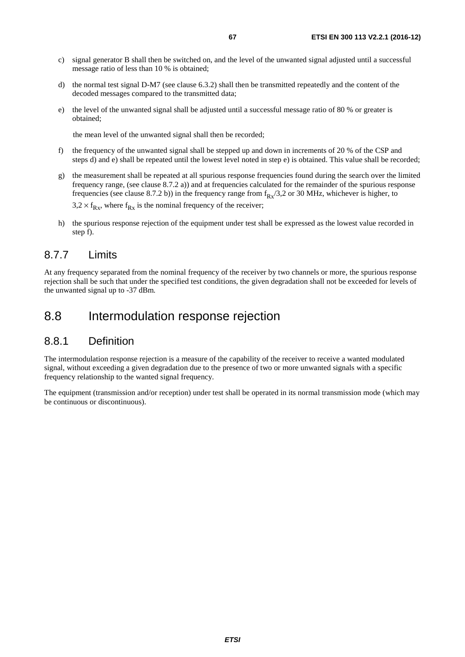- c) signal generator B shall then be switched on, and the level of the unwanted signal adjusted until a successful message ratio of less than 10 % is obtained;
- d) the normal test signal D-M7 (see clause 6.3.2) shall then be transmitted repeatedly and the content of the decoded messages compared to the transmitted data;
- e) the level of the unwanted signal shall be adjusted until a successful message ratio of 80 % or greater is obtained;

the mean level of the unwanted signal shall then be recorded;

- f) the frequency of the unwanted signal shall be stepped up and down in increments of 20 % of the CSP and steps d) and e) shall be repeated until the lowest level noted in step e) is obtained. This value shall be recorded;
- g) the measurement shall be repeated at all spurious response frequencies found during the search over the limited frequency range, (see clause 8.7.2 a)) and at frequencies calculated for the remainder of the spurious response frequencies (see clause 8.7.2 b)) in the frequency range from  $f_{Rx}/3$ ,  $2$  or 30 MHz, whichever is higher, to

 $3.2 \times f_{Rx}$ , where  $f_{Rx}$  is the nominal frequency of the receiver;

h) the spurious response rejection of the equipment under test shall be expressed as the lowest value recorded in step f).

## 8.7.7 Limits

At any frequency separated from the nominal frequency of the receiver by two channels or more, the spurious response rejection shall be such that under the specified test conditions, the given degradation shall not be exceeded for levels of the unwanted signal up to -37 dBm.

# 8.8 Intermodulation response rejection

## 8.8.1 Definition

The intermodulation response rejection is a measure of the capability of the receiver to receive a wanted modulated signal, without exceeding a given degradation due to the presence of two or more unwanted signals with a specific frequency relationship to the wanted signal frequency.

The equipment (transmission and/or reception) under test shall be operated in its normal transmission mode (which may be continuous or discontinuous).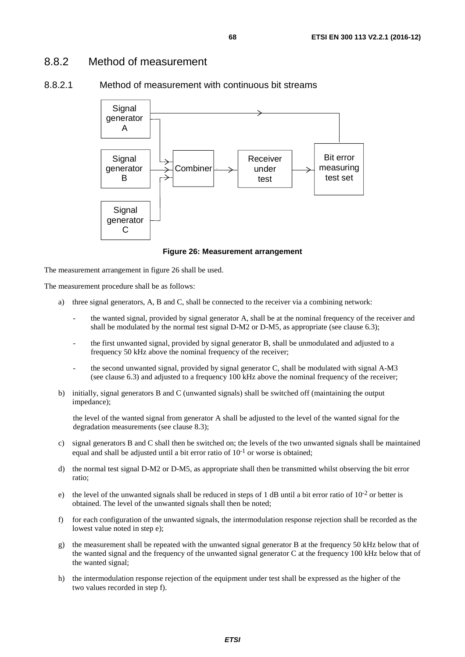## 8.8.2 Method of measurement





**Figure 26: Measurement arrangement** 

The measurement arrangement in figure 26 shall be used.

The measurement procedure shall be as follows:

- a) three signal generators, A, B and C, shall be connected to the receiver via a combining network:
	- the wanted signal, provided by signal generator A, shall be at the nominal frequency of the receiver and shall be modulated by the normal test signal D-M2 or D-M5, as appropriate (see clause 6.3);
	- the first unwanted signal, provided by signal generator B, shall be unmodulated and adjusted to a frequency 50 kHz above the nominal frequency of the receiver;
	- the second unwanted signal, provided by signal generator C, shall be modulated with signal A-M3 (see clause 6.3) and adjusted to a frequency 100 kHz above the nominal frequency of the receiver;
- b) initially, signal generators B and C (unwanted signals) shall be switched off (maintaining the output impedance);

 the level of the wanted signal from generator A shall be adjusted to the level of the wanted signal for the degradation measurements (see clause 8.3);

- c) signal generators B and C shall then be switched on; the levels of the two unwanted signals shall be maintained equal and shall be adjusted until a bit error ratio of  $10^{-1}$  or worse is obtained;
- d) the normal test signal D-M2 or D-M5, as appropriate shall then be transmitted whilst observing the bit error ratio;
- e) the level of the unwanted signals shall be reduced in steps of 1 dB until a bit error ratio of  $10^{-2}$  or better is obtained. The level of the unwanted signals shall then be noted;
- f) for each configuration of the unwanted signals, the intermodulation response rejection shall be recorded as the lowest value noted in step e);
- g) the measurement shall be repeated with the unwanted signal generator B at the frequency 50 kHz below that of the wanted signal and the frequency of the unwanted signal generator C at the frequency 100 kHz below that of the wanted signal;
- h) the intermodulation response rejection of the equipment under test shall be expressed as the higher of the two values recorded in step f).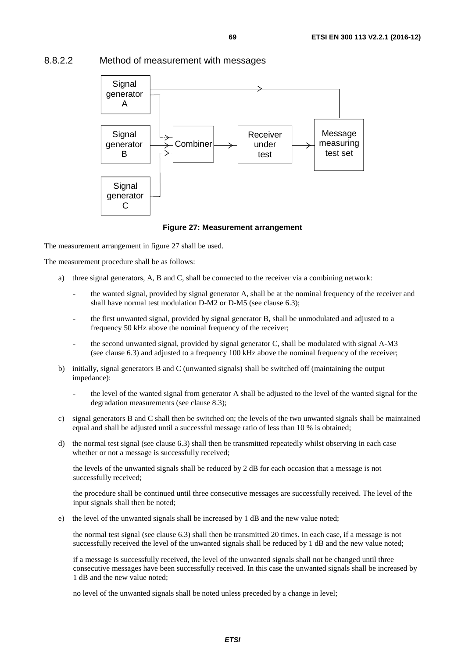## 8.8.2.2 Method of measurement with messages



#### **Figure 27: Measurement arrangement**

The measurement arrangement in figure 27 shall be used.

The measurement procedure shall be as follows:

- a) three signal generators, A, B and C, shall be connected to the receiver via a combining network:
	- the wanted signal, provided by signal generator A, shall be at the nominal frequency of the receiver and shall have normal test modulation D-M2 or D-M5 (see clause 6.3);
	- the first unwanted signal, provided by signal generator B, shall be unmodulated and adjusted to a frequency 50 kHz above the nominal frequency of the receiver;
	- the second unwanted signal, provided by signal generator C, shall be modulated with signal A-M3 (see clause 6.3) and adjusted to a frequency 100 kHz above the nominal frequency of the receiver;
- b) initially, signal generators B and C (unwanted signals) shall be switched off (maintaining the output impedance):
	- the level of the wanted signal from generator A shall be adjusted to the level of the wanted signal for the degradation measurements (see clause 8.3);
- c) signal generators B and C shall then be switched on; the levels of the two unwanted signals shall be maintained equal and shall be adjusted until a successful message ratio of less than 10 % is obtained;
- d) the normal test signal (see clause 6.3) shall then be transmitted repeatedly whilst observing in each case whether or not a message is successfully received;

 the levels of the unwanted signals shall be reduced by 2 dB for each occasion that a message is not successfully received;

 the procedure shall be continued until three consecutive messages are successfully received. The level of the input signals shall then be noted;

e) the level of the unwanted signals shall be increased by 1 dB and the new value noted;

 the normal test signal (see clause 6.3) shall then be transmitted 20 times. In each case, if a message is not successfully received the level of the unwanted signals shall be reduced by 1 dB and the new value noted;

 if a message is successfully received, the level of the unwanted signals shall not be changed until three consecutive messages have been successfully received. In this case the unwanted signals shall be increased by 1 dB and the new value noted;

no level of the unwanted signals shall be noted unless preceded by a change in level;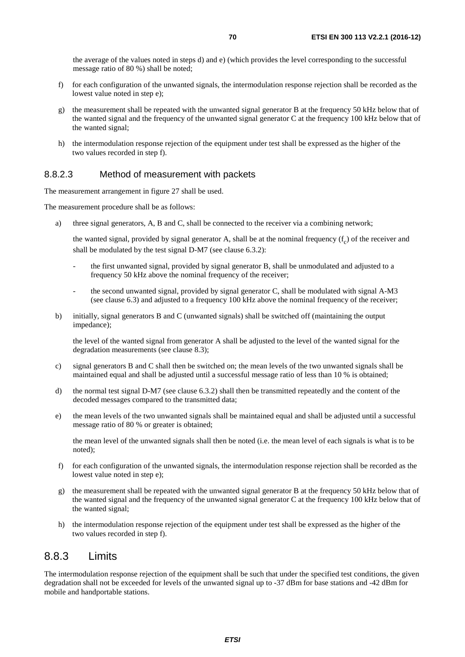the average of the values noted in steps d) and e) (which provides the level corresponding to the successful message ratio of 80 %) shall be noted;

- f) for each configuration of the unwanted signals, the intermodulation response rejection shall be recorded as the lowest value noted in step e);
- g) the measurement shall be repeated with the unwanted signal generator B at the frequency 50 kHz below that of the wanted signal and the frequency of the unwanted signal generator C at the frequency 100 kHz below that of the wanted signal;
- h) the intermodulation response rejection of the equipment under test shall be expressed as the higher of the two values recorded in step f).

### 8.8.2.3 Method of measurement with packets

The measurement arrangement in figure 27 shall be used.

The measurement procedure shall be as follows:

a) three signal generators, A, B and C, shall be connected to the receiver via a combining network;

the wanted signal, provided by signal generator A, shall be at the nominal frequency  $(f_c)$  of the receiver and shall be modulated by the test signal D-M7 (see clause 6.3.2):

- the first unwanted signal, provided by signal generator B, shall be unmodulated and adjusted to a frequency 50 kHz above the nominal frequency of the receiver;
- the second unwanted signal, provided by signal generator C, shall be modulated with signal A-M3 (see clause 6.3) and adjusted to a frequency 100 kHz above the nominal frequency of the receiver;
- b) initially, signal generators B and C (unwanted signals) shall be switched off (maintaining the output impedance);

 the level of the wanted signal from generator A shall be adjusted to the level of the wanted signal for the degradation measurements (see clause 8.3);

- c) signal generators B and C shall then be switched on; the mean levels of the two unwanted signals shall be maintained equal and shall be adjusted until a successful message ratio of less than 10 % is obtained;
- d) the normal test signal D-M7 (see clause 6.3.2) shall then be transmitted repeatedly and the content of the decoded messages compared to the transmitted data;
- e) the mean levels of the two unwanted signals shall be maintained equal and shall be adjusted until a successful message ratio of 80 % or greater is obtained;

 the mean level of the unwanted signals shall then be noted (i.e. the mean level of each signals is what is to be noted);

- f) for each configuration of the unwanted signals, the intermodulation response rejection shall be recorded as the lowest value noted in step e);
- g) the measurement shall be repeated with the unwanted signal generator B at the frequency 50 kHz below that of the wanted signal and the frequency of the unwanted signal generator C at the frequency 100 kHz below that of the wanted signal;
- h) the intermodulation response rejection of the equipment under test shall be expressed as the higher of the two values recorded in step f).

## 8.8.3 Limits

The intermodulation response rejection of the equipment shall be such that under the specified test conditions, the given degradation shall not be exceeded for levels of the unwanted signal up to -37 dBm for base stations and -42 dBm for mobile and handportable stations.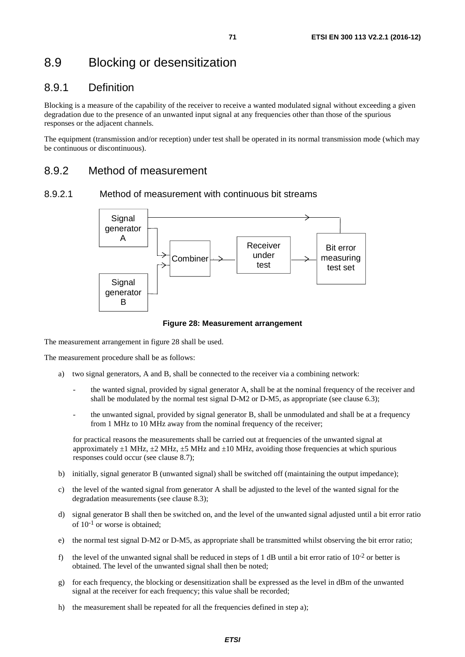# 8.9 Blocking or desensitization

# 8.9.1 Definition

Blocking is a measure of the capability of the receiver to receive a wanted modulated signal without exceeding a given degradation due to the presence of an unwanted input signal at any frequencies other than those of the spurious responses or the adjacent channels.

The equipment (transmission and/or reception) under test shall be operated in its normal transmission mode (which may be continuous or discontinuous).

## 8.9.2 Method of measurement

#### 8.9.2.1 Method of measurement with continuous bit streams



#### **Figure 28: Measurement arrangement**

The measurement arrangement in figure 28 shall be used.

The measurement procedure shall be as follows:

- a) two signal generators, A and B, shall be connected to the receiver via a combining network:
	- the wanted signal, provided by signal generator A, shall be at the nominal frequency of the receiver and shall be modulated by the normal test signal D-M2 or D-M5, as appropriate (see clause 6.3);
	- the unwanted signal, provided by signal generator B, shall be unmodulated and shall be at a frequency from 1 MHz to 10 MHz away from the nominal frequency of the receiver;

 for practical reasons the measurements shall be carried out at frequencies of the unwanted signal at approximately  $\pm 1$  MHz,  $\pm 2$  MHz,  $\pm 5$  MHz and  $\pm 10$  MHz, avoiding those frequencies at which spurious responses could occur (see clause 8.7);

- b) initially, signal generator B (unwanted signal) shall be switched off (maintaining the output impedance);
- c) the level of the wanted signal from generator A shall be adjusted to the level of the wanted signal for the degradation measurements (see clause 8.3);
- d) signal generator B shall then be switched on, and the level of the unwanted signal adjusted until a bit error ratio of  $10^{-1}$  or worse is obtained:
- e) the normal test signal D-M2 or D-M5, as appropriate shall be transmitted whilst observing the bit error ratio;
- f) the level of the unwanted signal shall be reduced in steps of 1 dB until a bit error ratio of  $10^{-2}$  or better is obtained. The level of the unwanted signal shall then be noted;
- g) for each frequency, the blocking or desensitization shall be expressed as the level in dBm of the unwanted signal at the receiver for each frequency; this value shall be recorded;
- h) the measurement shall be repeated for all the frequencies defined in step a);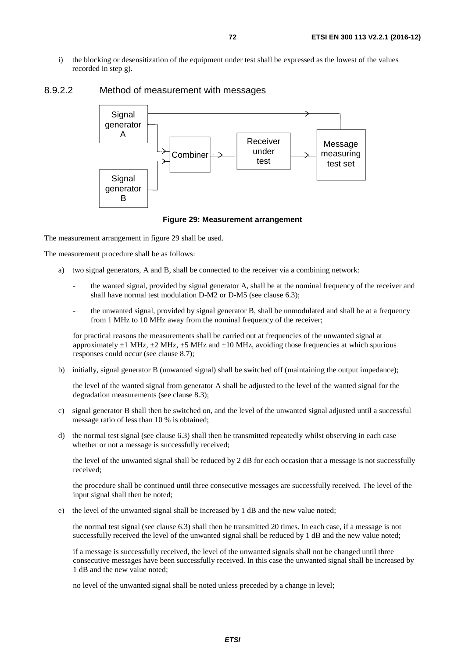i) the blocking or desensitization of the equipment under test shall be expressed as the lowest of the values recorded in step g).



### 8.9.2.2 Method of measurement with messages

#### **Figure 29: Measurement arrangement**

The measurement arrangement in figure 29 shall be used.

The measurement procedure shall be as follows:

- a) two signal generators, A and B, shall be connected to the receiver via a combining network:
	- the wanted signal, provided by signal generator A, shall be at the nominal frequency of the receiver and shall have normal test modulation D-M2 or D-M5 (see clause 6.3);
	- the unwanted signal, provided by signal generator B, shall be unmodulated and shall be at a frequency from 1 MHz to 10 MHz away from the nominal frequency of the receiver;

 for practical reasons the measurements shall be carried out at frequencies of the unwanted signal at approximately  $\pm 1$  MHz,  $\pm 2$  MHz,  $\pm 5$  MHz and  $\pm 10$  MHz, avoiding those frequencies at which spurious responses could occur (see clause 8.7);

b) initially, signal generator B (unwanted signal) shall be switched off (maintaining the output impedance);

 the level of the wanted signal from generator A shall be adjusted to the level of the wanted signal for the degradation measurements (see clause 8.3);

- c) signal generator B shall then be switched on, and the level of the unwanted signal adjusted until a successful message ratio of less than 10 % is obtained;
- d) the normal test signal (see clause 6.3) shall then be transmitted repeatedly whilst observing in each case whether or not a message is successfully received;

 the level of the unwanted signal shall be reduced by 2 dB for each occasion that a message is not successfully received;

 the procedure shall be continued until three consecutive messages are successfully received. The level of the input signal shall then be noted;

e) the level of the unwanted signal shall be increased by 1 dB and the new value noted;

 the normal test signal (see clause 6.3) shall then be transmitted 20 times. In each case, if a message is not successfully received the level of the unwanted signal shall be reduced by 1 dB and the new value noted;

 if a message is successfully received, the level of the unwanted signals shall not be changed until three consecutive messages have been successfully received. In this case the unwanted signal shall be increased by 1 dB and the new value noted;

no level of the unwanted signal shall be noted unless preceded by a change in level;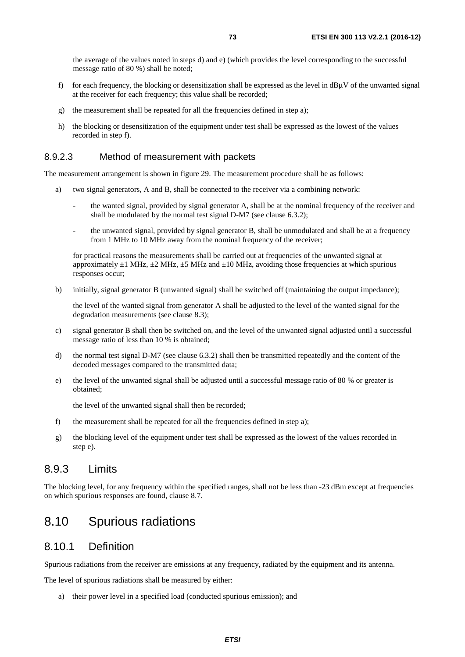the average of the values noted in steps d) and e) (which provides the level corresponding to the successful message ratio of 80 %) shall be noted;

- f) for each frequency, the blocking or desensitization shall be expressed as the level in  $dBUV$  of the unwanted signal at the receiver for each frequency; this value shall be recorded;
- g) the measurement shall be repeated for all the frequencies defined in step a);
- h) the blocking or desensitization of the equipment under test shall be expressed as the lowest of the values recorded in step f).

#### 8.9.2.3 Method of measurement with packets

The measurement arrangement is shown in figure 29. The measurement procedure shall be as follows:

- a) two signal generators, A and B, shall be connected to the receiver via a combining network:
	- the wanted signal, provided by signal generator A, shall be at the nominal frequency of the receiver and shall be modulated by the normal test signal D-M7 (see clause 6.3.2);
	- the unwanted signal, provided by signal generator B, shall be unmodulated and shall be at a frequency from 1 MHz to 10 MHz away from the nominal frequency of the receiver;

 for practical reasons the measurements shall be carried out at frequencies of the unwanted signal at approximately  $\pm 1$  MHz,  $\pm 2$  MHz,  $\pm 5$  MHz and  $\pm 10$  MHz, avoiding those frequencies at which spurious responses occur;

b) initially, signal generator B (unwanted signal) shall be switched off (maintaining the output impedance);

 the level of the wanted signal from generator A shall be adjusted to the level of the wanted signal for the degradation measurements (see clause 8.3);

- c) signal generator B shall then be switched on, and the level of the unwanted signal adjusted until a successful message ratio of less than 10 % is obtained;
- d) the normal test signal D-M7 (see clause 6.3.2) shall then be transmitted repeatedly and the content of the decoded messages compared to the transmitted data;
- e) the level of the unwanted signal shall be adjusted until a successful message ratio of 80 % or greater is obtained;

the level of the unwanted signal shall then be recorded;

- f) the measurement shall be repeated for all the frequencies defined in step a);
- g) the blocking level of the equipment under test shall be expressed as the lowest of the values recorded in step e).

#### 8.9.3 Limits

The blocking level, for any frequency within the specified ranges, shall not be less than -23 dBm except at frequencies on which spurious responses are found, clause 8.7.

#### 8.10 Spurious radiations

#### 8.10.1 Definition

Spurious radiations from the receiver are emissions at any frequency, radiated by the equipment and its antenna.

The level of spurious radiations shall be measured by either:

a) their power level in a specified load (conducted spurious emission); and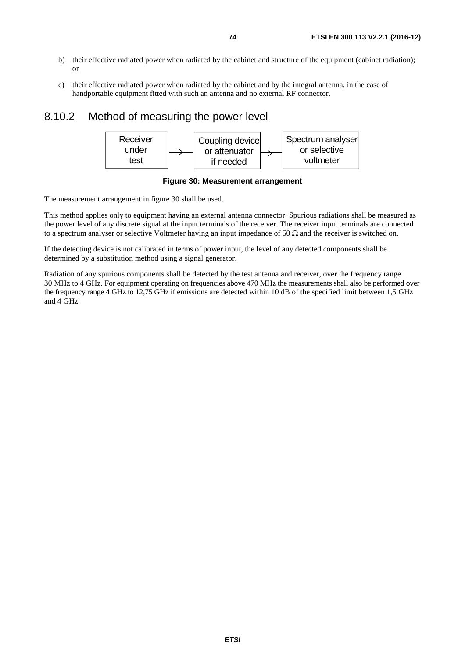- b) their effective radiated power when radiated by the cabinet and structure of the equipment (cabinet radiation); or
- c) their effective radiated power when radiated by the cabinet and by the integral antenna, in the case of handportable equipment fitted with such an antenna and no external RF connector.

#### 8.10.2 Method of measuring the power level





The measurement arrangement in figure 30 shall be used.

This method applies only to equipment having an external antenna connector. Spurious radiations shall be measured as the power level of any discrete signal at the input terminals of the receiver. The receiver input terminals are connected to a spectrum analyser or selective Voltmeter having an input impedance of 50  $\Omega$  and the receiver is switched on.

If the detecting device is not calibrated in terms of power input, the level of any detected components shall be determined by a substitution method using a signal generator.

Radiation of any spurious components shall be detected by the test antenna and receiver, over the frequency range 30 MHz to 4 GHz. For equipment operating on frequencies above 470 MHz the measurements shall also be performed over the frequency range 4 GHz to 12,75 GHz if emissions are detected within 10 dB of the specified limit between 1,5 GHz and 4 GHz.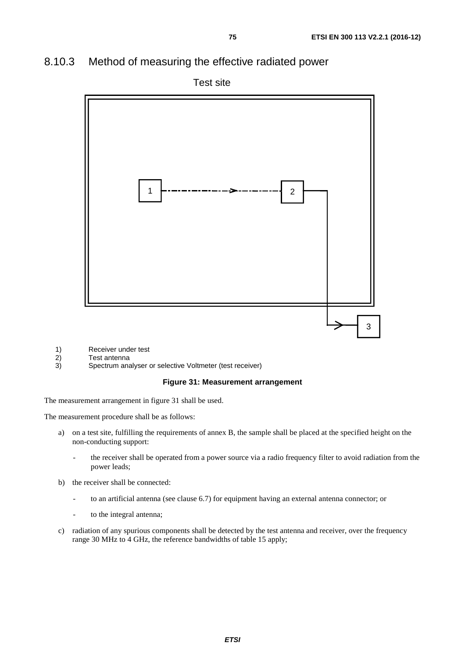#### 8.10.3 Method of measuring the effective radiated power



- 1) Receiver under test<br>2) Test antenna
- 2) Test antenna<br>3) Spectrum ana
- 3) Spectrum analyser or selective Voltmeter (test receiver)

#### **Figure 31: Measurement arrangement**

The measurement arrangement in figure 31 shall be used.

The measurement procedure shall be as follows:

- a) on a test site, fulfilling the requirements of annex B, the sample shall be placed at the specified height on the non-conducting support:
	- the receiver shall be operated from a power source via a radio frequency filter to avoid radiation from the power leads;
- b) the receiver shall be connected:
	- to an artificial antenna (see clause 6.7) for equipment having an external antenna connector; or
	- to the integral antenna;
- c) radiation of any spurious components shall be detected by the test antenna and receiver, over the frequency range 30 MHz to 4 GHz, the reference bandwidths of table 15 apply;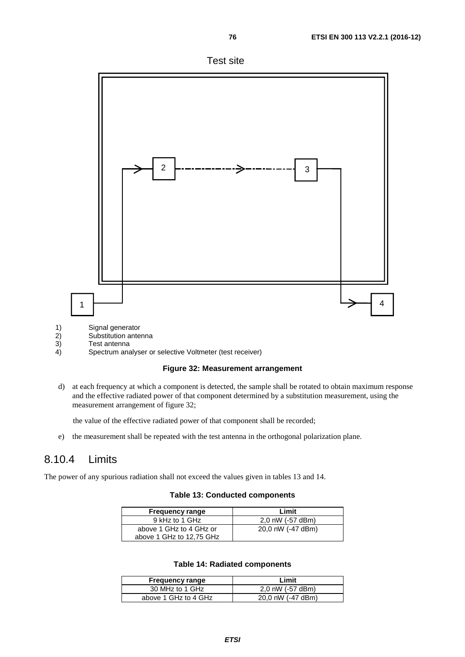





4) Spectrum analyser or selective Voltmeter (test receiver)



d) at each frequency at which a component is detected, the sample shall be rotated to obtain maximum response and the effective radiated power of that component determined by a substitution measurement, using the measurement arrangement of figure 32;

the value of the effective radiated power of that component shall be recorded;

e) the measurement shall be repeated with the test antenna in the orthogonal polarization plane.

#### 8.10.4 Limits

The power of any spurious radiation shall not exceed the values given in tables 13 and 14.

#### **Table 13: Conducted components**

| <b>Frequency range</b>   | Limit             |
|--------------------------|-------------------|
| 9 kHz to 1 GHz           | 2,0 nW (-57 dBm)  |
| above 1 GHz to 4 GHz or  | 20,0 nW (-47 dBm) |
| above 1 GHz to 12.75 GHz |                   |

#### **Table 14: Radiated components**

| <b>Frequency range</b> | Limit             |
|------------------------|-------------------|
| 30 MHz to 1 GHz        | 2.0 nW (-57 dBm)  |
| above 1 GHz to 4 GHz   | 20.0 nW (-47 dBm) |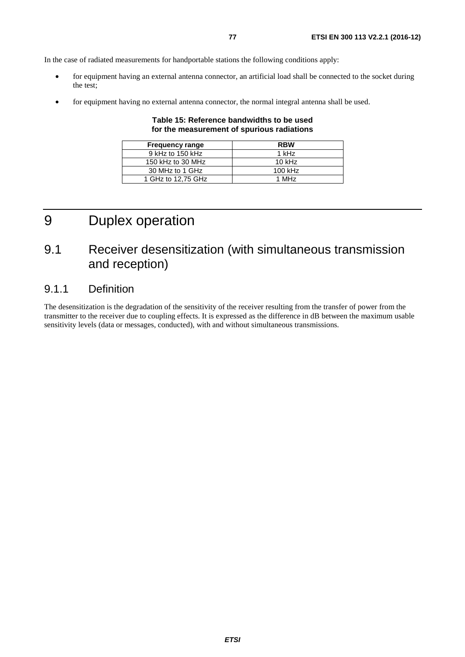In the case of radiated measurements for handportable stations the following conditions apply:

- for equipment having an external antenna connector, an artificial load shall be connected to the socket during the test;
- for equipment having no external antenna connector, the normal integral antenna shall be used.

#### **Table 15: Reference bandwidths to be used for the measurement of spurious radiations**

| <b>Frequency range</b> | <b>RBW</b>        |
|------------------------|-------------------|
| 9 kHz to 150 kHz       | 1 kHz             |
| 150 kHz to 30 MHz      | 10 $kHz$          |
| 30 MHz to 1 GHz        | 100 kHz           |
| 1 GHz to 12,75 GHz     | 1 MH <sub>z</sub> |

## 9 Duplex operation

## 9.1 Receiver desensitization (with simultaneous transmission and reception)

#### 9.1.1 Definition

The desensitization is the degradation of the sensitivity of the receiver resulting from the transfer of power from the transmitter to the receiver due to coupling effects. It is expressed as the difference in dB between the maximum usable sensitivity levels (data or messages, conducted), with and without simultaneous transmissions.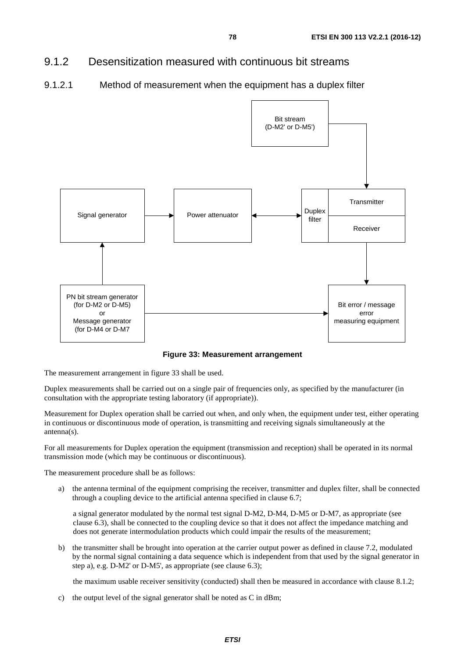#### 9.1.2 Desensitization measured with continuous bit streams

9.1.2.1 Method of measurement when the equipment has a duplex filter



**Figure 33: Measurement arrangement** 

The measurement arrangement in figure 33 shall be used.

Duplex measurements shall be carried out on a single pair of frequencies only, as specified by the manufacturer (in consultation with the appropriate testing laboratory (if appropriate)).

Measurement for Duplex operation shall be carried out when, and only when, the equipment under test, either operating in continuous or discontinuous mode of operation, is transmitting and receiving signals simultaneously at the antenna(s).

For all measurements for Duplex operation the equipment (transmission and reception) shall be operated in its normal transmission mode (which may be continuous or discontinuous).

The measurement procedure shall be as follows:

a) the antenna terminal of the equipment comprising the receiver, transmitter and duplex filter, shall be connected through a coupling device to the artificial antenna specified in clause 6.7;

 a signal generator modulated by the normal test signal D-M2, D-M4, D-M5 or D-M7, as appropriate (see clause 6.3), shall be connected to the coupling device so that it does not affect the impedance matching and does not generate intermodulation products which could impair the results of the measurement;

b) the transmitter shall be brought into operation at the carrier output power as defined in clause 7.2, modulated by the normal signal containing a data sequence which is independent from that used by the signal generator in step a), e.g. D-M2' or D-M5', as appropriate (see clause 6.3);

the maximum usable receiver sensitivity (conducted) shall then be measured in accordance with clause 8.1.2;

c) the output level of the signal generator shall be noted as C in dBm;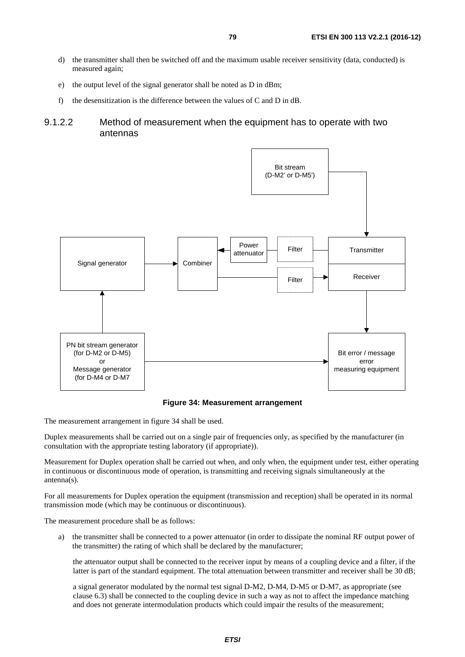- d) the transmitter shall then be switched off and the maximum usable receiver sensitivity (data, conducted) is measured again;
- e) the output level of the signal generator shall be noted as D in dBm;
- f) the desensitization is the difference between the values of C and D in dB.
- 9.1.2.2 Method of measurement when the equipment has to operate with two antennas



**Figure 34: Measurement arrangement** 

The measurement arrangement in figure 34 shall be used.

Duplex measurements shall be carried out on a single pair of frequencies only, as specified by the manufacturer (in consultation with the appropriate testing laboratory (if appropriate)).

Measurement for Duplex operation shall be carried out when, and only when, the equipment under test, either operating in continuous or discontinuous mode of operation, is transmitting and receiving signals simultaneously at the antenna(s).

For all measurements for Duplex operation the equipment (transmission and reception) shall be operated in its normal transmission mode (which may be continuous or discontinuous).

The measurement procedure shall be as follows:

a) the transmitter shall be connected to a power attenuator (in order to dissipate the nominal RF output power of the transmitter) the rating of which shall be declared by the manufacturer;

 the attenuator output shall be connected to the receiver input by means of a coupling device and a filter, if the latter is part of the standard equipment. The total attenuation between transmitter and receiver shall be 30 dB;

 a signal generator modulated by the normal test signal D-M2, D-M4, D-M5 or D-M7, as appropriate (see clause 6.3) shall be connected to the coupling device in such a way as not to affect the impedance matching and does not generate intermodulation products which could impair the results of the measurement;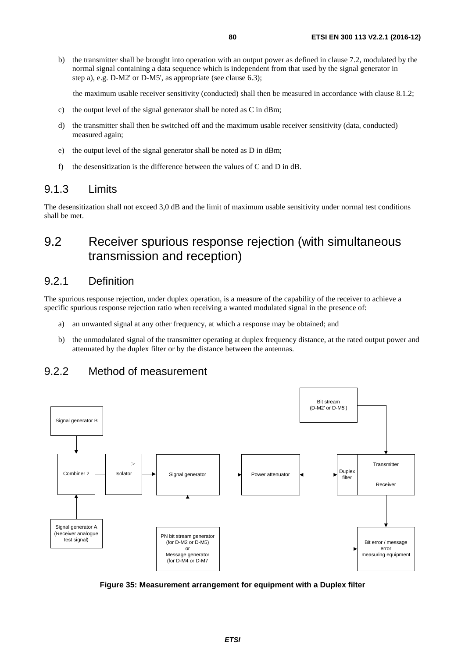b) the transmitter shall be brought into operation with an output power as defined in clause 7.2, modulated by the normal signal containing a data sequence which is independent from that used by the signal generator in step a), e.g. D-M2' or D-M5', as appropriate (see clause 6.3);

the maximum usable receiver sensitivity (conducted) shall then be measured in accordance with clause 8.1.2;

- c) the output level of the signal generator shall be noted as C in dBm;
- d) the transmitter shall then be switched off and the maximum usable receiver sensitivity (data, conducted) measured again;
- e) the output level of the signal generator shall be noted as D in dBm;
- f) the desensitization is the difference between the values of C and D in dB.

#### 9.1.3 Limits

The desensitization shall not exceed 3,0 dB and the limit of maximum usable sensitivity under normal test conditions shall be met.

#### 9.2 Receiver spurious response rejection (with simultaneous transmission and reception)

#### 9.2.1 Definition

The spurious response rejection, under duplex operation, is a measure of the capability of the receiver to achieve a specific spurious response rejection ratio when receiving a wanted modulated signal in the presence of:

- a) an unwanted signal at any other frequency, at which a response may be obtained; and
- b) the unmodulated signal of the transmitter operating at duplex frequency distance, at the rated output power and attenuated by the duplex filter or by the distance between the antennas.



#### 9.2.2 Method of measurement

**Figure 35: Measurement arrangement for equipment with a Duplex filter**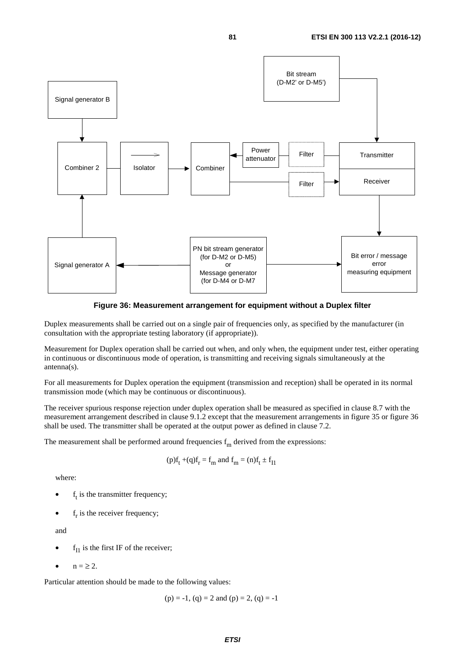

**Figure 36: Measurement arrangement for equipment without a Duplex filter** 

Duplex measurements shall be carried out on a single pair of frequencies only, as specified by the manufacturer (in consultation with the appropriate testing laboratory (if appropriate)).

Measurement for Duplex operation shall be carried out when, and only when, the equipment under test, either operating in continuous or discontinuous mode of operation, is transmitting and receiving signals simultaneously at the antenna(s).

For all measurements for Duplex operation the equipment (transmission and reception) shall be operated in its normal transmission mode (which may be continuous or discontinuous).

The receiver spurious response rejection under duplex operation shall be measured as specified in clause 8.7 with the measurement arrangement described in clause 9.1.2 except that the measurement arrangements in figure 35 or figure 36 shall be used. The transmitter shall be operated at the output power as defined in clause 7.2.

The measurement shall be performed around frequencies  $f_m$  derived from the expressions:

$$
(p)f_t + (q)f_r = f_m
$$
 and  $f_m = (n)f_t \pm f_{11}$ 

where:

- $f_t$  is the transmitter frequency;
- $f_r$  is the receiver frequency;

and

- $f<sub>I1</sub>$  is the first IF of the receiver;
- $\bullet$  n =  $\geq$  2.

Particular attention should be made to the following values:

 $(p) = -1$ ,  $(q) = 2$  and  $(p) = 2$ ,  $(q) = -1$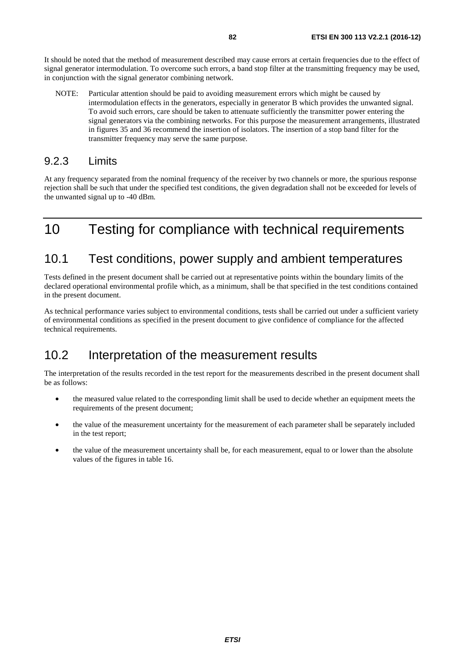It should be noted that the method of measurement described may cause errors at certain frequencies due to the effect of signal generator intermodulation. To overcome such errors, a band stop filter at the transmitting frequency may be used, in conjunction with the signal generator combining network.

NOTE: Particular attention should be paid to avoiding measurement errors which might be caused by intermodulation effects in the generators, especially in generator B which provides the unwanted signal. To avoid such errors, care should be taken to attenuate sufficiently the transmitter power entering the signal generators via the combining networks. For this purpose the measurement arrangements, illustrated in figures 35 and 36 recommend the insertion of isolators. The insertion of a stop band filter for the transmitter frequency may serve the same purpose.

#### 9.2.3 Limits

At any frequency separated from the nominal frequency of the receiver by two channels or more, the spurious response rejection shall be such that under the specified test conditions, the given degradation shall not be exceeded for levels of the unwanted signal up to -40 dBm.

## 10 Testing for compliance with technical requirements

#### 10.1 Test conditions, power supply and ambient temperatures

Tests defined in the present document shall be carried out at representative points within the boundary limits of the declared operational environmental profile which, as a minimum, shall be that specified in the test conditions contained in the present document.

As technical performance varies subject to environmental conditions, tests shall be carried out under a sufficient variety of environmental conditions as specified in the present document to give confidence of compliance for the affected technical requirements.

#### 10.2 Interpretation of the measurement results

The interpretation of the results recorded in the test report for the measurements described in the present document shall be as follows:

- the measured value related to the corresponding limit shall be used to decide whether an equipment meets the requirements of the present document;
- the value of the measurement uncertainty for the measurement of each parameter shall be separately included in the test report;
- the value of the measurement uncertainty shall be, for each measurement, equal to or lower than the absolute values of the figures in table 16.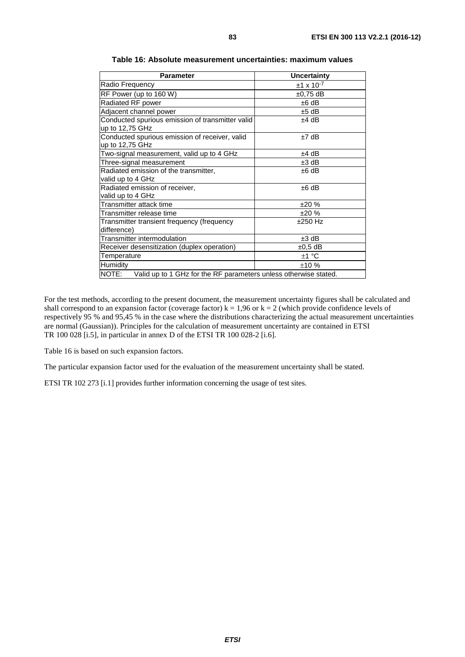| <b>Parameter</b>                                                       | <b>Uncertainty</b>  |  |  |
|------------------------------------------------------------------------|---------------------|--|--|
| Radio Frequency                                                        | $±1 \times 10^{-7}$ |  |  |
| RF Power (up to 160 W)                                                 | $±0,75$ dB          |  |  |
| Radiated RF power                                                      | $±6$ dB             |  |  |
| Adjacent channel power                                                 | $±5$ dB             |  |  |
| Conducted spurious emission of transmitter valid<br>up to 12,75 GHz    | $±4$ dB             |  |  |
| Conducted spurious emission of receiver, valid<br>up to 12,75 GHz      | $±7$ dB             |  |  |
| Two-signal measurement, valid up to 4 GHz                              | $±4$ dB             |  |  |
| Three-signal measurement                                               | $±3$ dB             |  |  |
| Radiated emission of the transmitter,<br>valid up to 4 GHz             | ±6 dB               |  |  |
| Radiated emission of receiver,<br>valid up to 4 GHz                    | $±6$ dB             |  |  |
| Transmitter attack time                                                | ±20%                |  |  |
| Transmitter release time                                               | ±20%                |  |  |
| Transmitter transient frequency (frequency<br>difference)              | $±250$ Hz           |  |  |
| Transmitter intermodulation                                            | $±3$ dB             |  |  |
| Receiver desensitization (duplex operation)                            | $\pm 0.5$ dB        |  |  |
| Temperature                                                            | ±1 °C               |  |  |
| Humidity                                                               | ±10%                |  |  |
| NOTE: Valid up to 1 GHz for the RF parameters unless otherwise stated. |                     |  |  |

**Table 16: Absolute measurement uncertainties: maximum values** 

For the test methods, according to the present document, the measurement uncertainty figures shall be calculated and shall correspond to an expansion factor (coverage factor)  $k = 1.96$  or  $k = 2$  (which provide confidence levels of respectively 95 % and 95,45 % in the case where the distributions characterizing the actual measurement uncertainties are normal (Gaussian)). Principles for the calculation of measurement uncertainty are contained in ETSI TR 100 028 [\[i.5](#page-9-0)], in particular in annex D of the ETSI TR 100 028-2 [\[i.6\]](#page-9-0).

Table 16 is based on such expansion factors.

The particular expansion factor used for the evaluation of the measurement uncertainty shall be stated.

ETSI TR 102 273 [\[i.1](#page-9-0)] provides further information concerning the usage of test sites.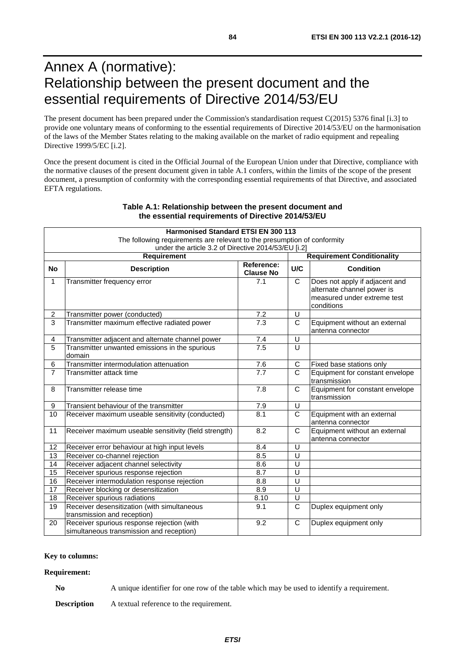## Annex A (normative): Relationship between the present document and the essential requirements of Directive 2014/53/EU

The present document has been prepared under the Commission's standardisation request C(2015) 5376 final [i.3] to provide one voluntary means of conforming to the essential requirements of Directive 2014/53/EU on the harmonisation of the laws of the Member States relating to the making available on the market of radio equipment and repealing Directive 1999/5/EC [i.2].

Once the present document is cited in the Official Journal of the European Union under that Directive, compliance with the normative clauses of the present document given in table A.1 confers, within the limits of the scope of the present document, a presumption of conformity with the corresponding essential requirements of that Directive, and associated EFTA regulations.

|                                                     | <b>Harmonised Standard ETSI EN 300 113</b>                                             |                                |                         |                                                                                                           |  |  |
|-----------------------------------------------------|----------------------------------------------------------------------------------------|--------------------------------|-------------------------|-----------------------------------------------------------------------------------------------------------|--|--|
|                                                     | The following requirements are relevant to the presumption of conformity               |                                |                         |                                                                                                           |  |  |
| under the article 3.2 of Directive 2014/53/EU [i.2] |                                                                                        |                                |                         |                                                                                                           |  |  |
| <b>Requirement</b>                                  |                                                                                        |                                |                         | <b>Requirement Conditionality</b>                                                                         |  |  |
| <b>No</b>                                           | <b>Description</b>                                                                     | Reference:<br><b>Clause No</b> | <b>U/C</b>              | <b>Condition</b>                                                                                          |  |  |
| 1                                                   | Transmitter frequency error                                                            | 7.1                            | $\mathsf{C}$            | Does not apply if adjacent and<br>alternate channel power is<br>measured under extreme test<br>conditions |  |  |
| $\overline{2}$                                      | Transmitter power (conducted)                                                          | 7.2                            | U                       |                                                                                                           |  |  |
| $\overline{3}$                                      | Transmitter maximum effective radiated power                                           | 7.3                            | $\mathsf{C}$            | Equipment without an external<br>antenna connector                                                        |  |  |
| 4                                                   | Transmitter adjacent and alternate channel power                                       | 7.4                            | U                       |                                                                                                           |  |  |
| 5                                                   | Transmitter unwanted emissions in the spurious<br>domain                               | 7.5                            | U                       |                                                                                                           |  |  |
| 6                                                   | Transmitter intermodulation attenuation                                                | 7.6                            | $\mathbf C$             | Fixed base stations only                                                                                  |  |  |
| $\overline{7}$                                      | Transmitter attack time                                                                | 7.7                            | $\overline{C}$          | Equipment for constant envelope<br>transmission                                                           |  |  |
| 8                                                   | Transmitter release time                                                               | 7.8                            | $\mathsf{C}$            | Equipment for constant envelope<br>transmission                                                           |  |  |
| 9                                                   | Transient behaviour of the transmitter                                                 | 7.9                            | U                       |                                                                                                           |  |  |
| 10                                                  | Receiver maximum useable sensitivity (conducted)                                       | 8.1                            | $\mathsf{C}$            | Equipment with an external<br>antenna connector                                                           |  |  |
| 11                                                  | Receiver maximum useable sensitivity (field strength)                                  | 8.2                            | $\mathsf{C}$            | Equipment without an external<br>antenna connector                                                        |  |  |
| 12                                                  | Receiver error behaviour at high input levels                                          | 8.4                            | U                       |                                                                                                           |  |  |
| 13                                                  | Receiver co-channel rejection                                                          | 8.5                            | U                       |                                                                                                           |  |  |
| 14                                                  | Receiver adjacent channel selectivity                                                  | 8.6                            | $\overline{\mathsf{U}}$ |                                                                                                           |  |  |
| 15                                                  | Receiver spurious response rejection                                                   | 8.7                            | U                       |                                                                                                           |  |  |
| 16                                                  | Receiver intermodulation response rejection                                            | 8.8                            | U                       |                                                                                                           |  |  |
| 17                                                  | Receiver blocking or desensitization                                                   | 8.9                            | U                       |                                                                                                           |  |  |
| 18                                                  | Receiver spurious radiations                                                           | 8.10                           | $\overline{U}$          |                                                                                                           |  |  |
| 19                                                  | Receiver desensitization (with simultaneous<br>transmission and reception)             | 9.1                            | $\overline{C}$          | Duplex equipment only                                                                                     |  |  |
| 20                                                  | Receiver spurious response rejection (with<br>simultaneous transmission and reception) | 9.2                            | C                       | Duplex equipment only                                                                                     |  |  |

#### **Table A.1: Relationship between the present document and the essential requirements of Directive 2014/53/EU**

#### **Key to columns:**

#### **Requirement:**

**No** A unique identifier for one row of the table which may be used to identify a requirement.

**Description** A textual reference to the requirement.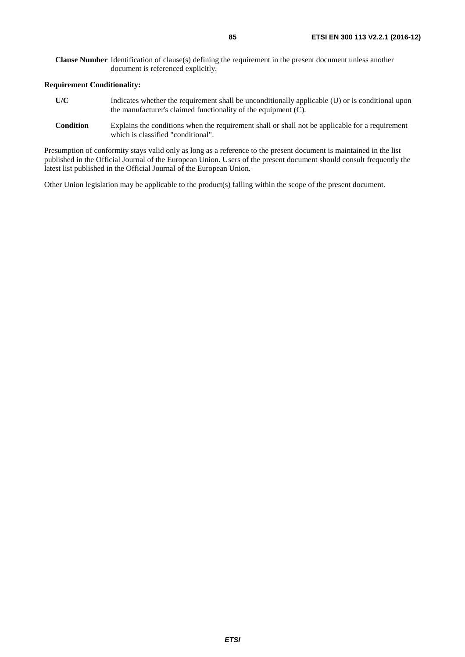**Clause Number** Identification of clause(s) defining the requirement in the present document unless another document is referenced explicitly.

#### **Requirement Conditionality:**

- **U/C** Indicates whether the requirement shall be unconditionally applicable (U) or is conditional upon the manufacturer's claimed functionality of the equipment (C).
- **Condition** Explains the conditions when the requirement shall or shall not be applicable for a requirement which is classified "conditional".

Presumption of conformity stays valid only as long as a reference to the present document is maintained in the list published in the Official Journal of the European Union. Users of the present document should consult frequently the latest list published in the Official Journal of the European Union.

Other Union legislation may be applicable to the product(s) falling within the scope of the present document.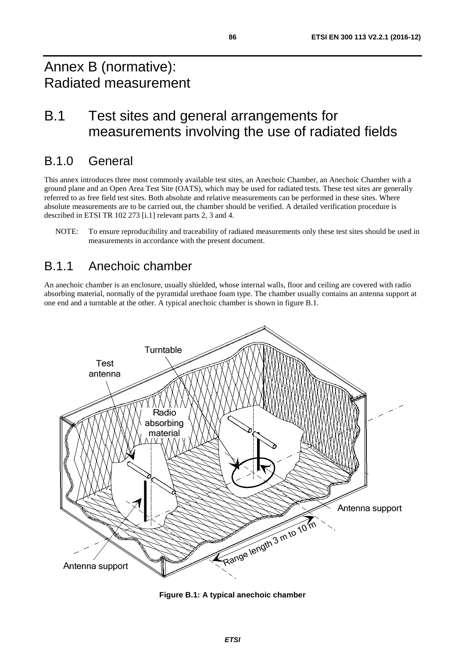## Annex B (normative): Radiated measurement

## B.1 Test sites and general arrangements for measurements involving the use of radiated fields

### B.1.0 General

This annex introduces three most commonly available test sites, an Anechoic Chamber, an Anechoic Chamber with a ground plane and an Open Area Test Site (OATS), which may be used for radiated tests. These test sites are generally referred to as free field test sites. Both absolute and relative measurements can be performed in these sites. Where absolute measurements are to be carried out, the chamber should be verified. A detailed verification procedure is described in ETSI TR 102 273 [[i.1](#page-9-0)] relevant parts 2, 3 and 4.

NOTE: To ensure reproducibility and traceability of radiated measurements only these test sites should be used in measurements in accordance with the present document.

## B.1.1 Anechoic chamber

An anechoic chamber is an enclosure, usually shielded, whose internal walls, floor and ceiling are covered with radio absorbing material, normally of the pyramidal urethane foam type. The chamber usually contains an antenna support at one end and a turntable at the other. A typical anechoic chamber is shown in figure B.1.



**Figure B.1: A typical anechoic chamber**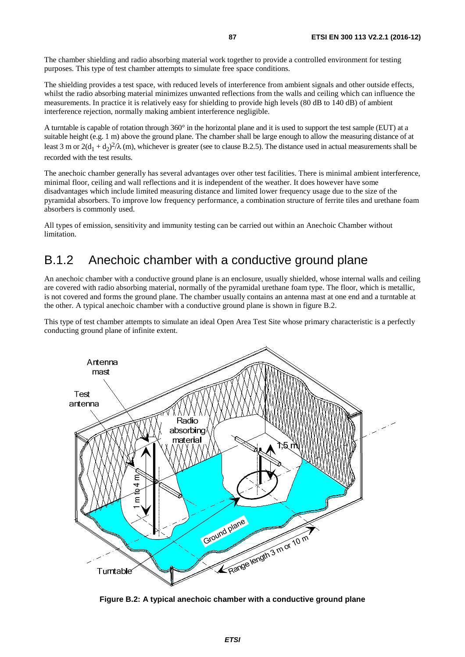The chamber shielding and radio absorbing material work together to provide a controlled environment for testing purposes. This type of test chamber attempts to simulate free space conditions.

The shielding provides a test space, with reduced levels of interference from ambient signals and other outside effects, whilst the radio absorbing material minimizes unwanted reflections from the walls and ceiling which can influence the measurements. In practice it is relatively easy for shielding to provide high levels (80 dB to 140 dB) of ambient interference rejection, normally making ambient interference negligible.

A turntable is capable of rotation through 360° in the horizontal plane and it is used to support the test sample (EUT) at a suitable height (e.g. 1 m) above the ground plane. The chamber shall be large enough to allow the measuring distance of at least 3 m or  $2(d_1 + d_2)^2/\lambda$  (m), whichever is greater (see to clause B.2.5). The distance used in actual measurements shall be recorded with the test results.

The anechoic chamber generally has several advantages over other test facilities. There is minimal ambient interference, minimal floor, ceiling and wall reflections and it is independent of the weather. It does however have some disadvantages which include limited measuring distance and limited lower frequency usage due to the size of the pyramidal absorbers. To improve low frequency performance, a combination structure of ferrite tiles and urethane foam absorbers is commonly used.

All types of emission, sensitivity and immunity testing can be carried out within an Anechoic Chamber without limitation.

### B.1.2 Anechoic chamber with a conductive ground plane

An anechoic chamber with a conductive ground plane is an enclosure, usually shielded, whose internal walls and ceiling are covered with radio absorbing material, normally of the pyramidal urethane foam type. The floor, which is metallic, is not covered and forms the ground plane. The chamber usually contains an antenna mast at one end and a turntable at the other. A typical anechoic chamber with a conductive ground plane is shown in figure B.2.

This type of test chamber attempts to simulate an ideal Open Area Test Site whose primary characteristic is a perfectly conducting ground plane of infinite extent.



**Figure B.2: A typical anechoic chamber with a conductive ground plane**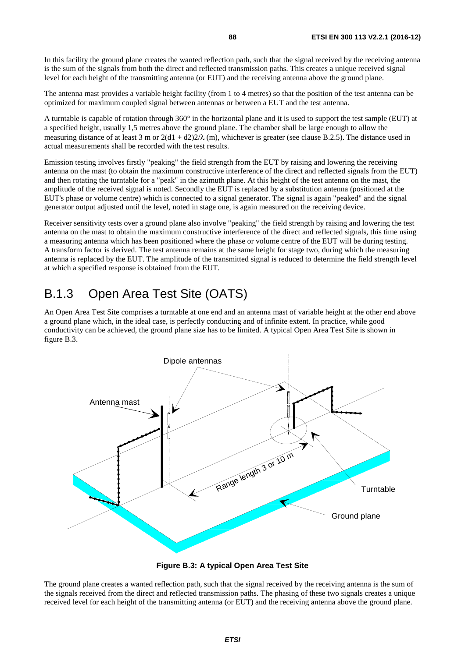In this facility the ground plane creates the wanted reflection path, such that the signal received by the receiving antenna is the sum of the signals from both the direct and reflected transmission paths. This creates a unique received signal level for each height of the transmitting antenna (or EUT) and the receiving antenna above the ground plane.

The antenna mast provides a variable height facility (from 1 to 4 metres) so that the position of the test antenna can be optimized for maximum coupled signal between antennas or between a EUT and the test antenna.

A turntable is capable of rotation through 360° in the horizontal plane and it is used to support the test sample (EUT) at a specified height, usually 1,5 metres above the ground plane. The chamber shall be large enough to allow the measuring distance of at least 3 m or  $2(d1 + d2)2/\lambda$  (m), whichever is greater (see clause B.2.5). The distance used in actual measurements shall be recorded with the test results.

Emission testing involves firstly "peaking" the field strength from the EUT by raising and lowering the receiving antenna on the mast (to obtain the maximum constructive interference of the direct and reflected signals from the EUT) and then rotating the turntable for a "peak" in the azimuth plane. At this height of the test antenna on the mast, the amplitude of the received signal is noted. Secondly the EUT is replaced by a substitution antenna (positioned at the EUT's phase or volume centre) which is connected to a signal generator. The signal is again "peaked" and the signal generator output adjusted until the level, noted in stage one, is again measured on the receiving device.

Receiver sensitivity tests over a ground plane also involve "peaking" the field strength by raising and lowering the test antenna on the mast to obtain the maximum constructive interference of the direct and reflected signals, this time using a measuring antenna which has been positioned where the phase or volume centre of the EUT will be during testing. A transform factor is derived. The test antenna remains at the same height for stage two, during which the measuring antenna is replaced by the EUT. The amplitude of the transmitted signal is reduced to determine the field strength level at which a specified response is obtained from the EUT.

### B.1.3 Open Area Test Site (OATS)

An Open Area Test Site comprises a turntable at one end and an antenna mast of variable height at the other end above a ground plane which, in the ideal case, is perfectly conducting and of infinite extent. In practice, while good conductivity can be achieved, the ground plane size has to be limited. A typical Open Area Test Site is shown in figure B.3.



**Figure B.3: A typical Open Area Test Site** 

The ground plane creates a wanted reflection path, such that the signal received by the receiving antenna is the sum of the signals received from the direct and reflected transmission paths. The phasing of these two signals creates a unique received level for each height of the transmitting antenna (or EUT) and the receiving antenna above the ground plane.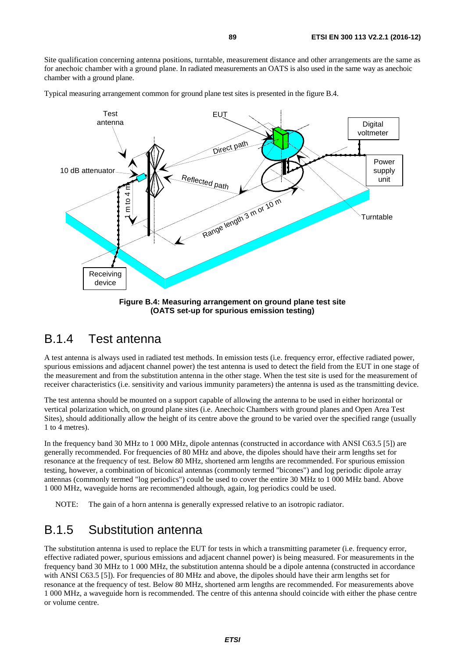Site qualification concerning antenna positions, turntable, measurement distance and other arrangements are the same as for anechoic chamber with a ground plane. In radiated measurements an OATS is also used in the same way as anechoic chamber with a ground plane.

Typical measuring arrangement common for ground plane test sites is presented in the figure B.4.



**Figure B.4: Measuring arrangement on ground plane test site (OATS set-up for spurious emission testing)** 

#### B.1.4 Test antenna

A test antenna is always used in radiated test methods. In emission tests (i.e. frequency error, effective radiated power, spurious emissions and adjacent channel power) the test antenna is used to detect the field from the EUT in one stage of the measurement and from the substitution antenna in the other stage. When the test site is used for the measurement of receiver characteristics (i.e. sensitivity and various immunity parameters) the antenna is used as the transmitting device.

The test antenna should be mounted on a support capable of allowing the antenna to be used in either horizontal or vertical polarization which, on ground plane sites (i.e. Anechoic Chambers with ground planes and Open Area Test Sites), should additionally allow the height of its centre above the ground to be varied over the specified range (usually 1 to 4 metres).

In the frequency band 30 MHz to 1 000 MHz, dipole antennas (constructed in accordance with ANSI C63.5 [[5\]](#page-9-0)) are generally recommended. For frequencies of 80 MHz and above, the dipoles should have their arm lengths set for resonance at the frequency of test. Below 80 MHz, shortened arm lengths are recommended. For spurious emission testing, however, a combination of biconical antennas (commonly termed "bicones") and log periodic dipole array antennas (commonly termed "log periodics") could be used to cover the entire 30 MHz to 1 000 MHz band. Above 1 000 MHz, waveguide horns are recommended although, again, log periodics could be used.

NOTE: The gain of a horn antenna is generally expressed relative to an isotropic radiator.

#### B.1.5 Substitution antenna

The substitution antenna is used to replace the EUT for tests in which a transmitting parameter (i.e. frequency error, effective radiated power, spurious emissions and adjacent channel power) is being measured. For measurements in the frequency band 30 MHz to 1 000 MHz, the substitution antenna should be a dipole antenna (constructed in accordance with ANSI C63.5 [[5\]](#page-9-0)). For frequencies of 80 MHz and above, the dipoles should have their arm lengths set for resonance at the frequency of test. Below 80 MHz, shortened arm lengths are recommended. For measurements above 1 000 MHz, a waveguide horn is recommended. The centre of this antenna should coincide with either the phase centre or volume centre.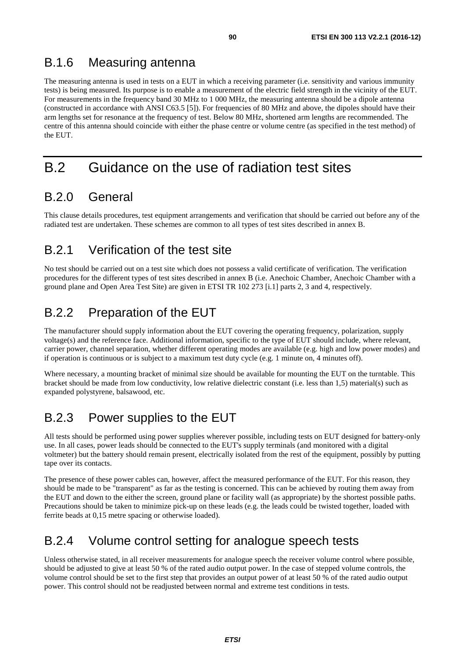### B.1.6 Measuring antenna

The measuring antenna is used in tests on a EUT in which a receiving parameter (i.e. sensitivity and various immunity tests) is being measured. Its purpose is to enable a measurement of the electric field strength in the vicinity of the EUT. For measurements in the frequency band 30 MHz to 1 000 MHz, the measuring antenna should be a dipole antenna (constructed in accordance with ANSI C63.5 [\[5](#page-9-0)]). For frequencies of 80 MHz and above, the dipoles should have their arm lengths set for resonance at the frequency of test. Below 80 MHz, shortened arm lengths are recommended. The centre of this antenna should coincide with either the phase centre or volume centre (as specified in the test method) of the EUT.

## B.2 Guidance on the use of radiation test sites

## B.2.0 General

This clause details procedures, test equipment arrangements and verification that should be carried out before any of the radiated test are undertaken. These schemes are common to all types of test sites described in annex B.

## B.2.1 Verification of the test site

No test should be carried out on a test site which does not possess a valid certificate of verification. The verification procedures for the different types of test sites described in annex B (i.e. Anechoic Chamber, Anechoic Chamber with a ground plane and Open Area Test Site) are given in ETSI TR 102 273 [[i.1\]](#page-9-0) parts 2, 3 and 4, respectively.

## B.2.2 Preparation of the EUT

The manufacturer should supply information about the EUT covering the operating frequency, polarization, supply voltage(s) and the reference face. Additional information, specific to the type of EUT should include, where relevant, carrier power, channel separation, whether different operating modes are available (e.g. high and low power modes) and if operation is continuous or is subject to a maximum test duty cycle (e.g. 1 minute on, 4 minutes off).

Where necessary, a mounting bracket of minimal size should be available for mounting the EUT on the turntable. This bracket should be made from low conductivity, low relative dielectric constant (i.e. less than 1,5) material(s) such as expanded polystyrene, balsawood, etc.

## B.2.3 Power supplies to the EUT

All tests should be performed using power supplies wherever possible, including tests on EUT designed for battery-only use. In all cases, power leads should be connected to the EUT's supply terminals (and monitored with a digital voltmeter) but the battery should remain present, electrically isolated from the rest of the equipment, possibly by putting tape over its contacts.

The presence of these power cables can, however, affect the measured performance of the EUT. For this reason, they should be made to be "transparent" as far as the testing is concerned. This can be achieved by routing them away from the EUT and down to the either the screen, ground plane or facility wall (as appropriate) by the shortest possible paths. Precautions should be taken to minimize pick-up on these leads (e.g. the leads could be twisted together, loaded with ferrite beads at 0,15 metre spacing or otherwise loaded).

## B.2.4 Volume control setting for analogue speech tests

Unless otherwise stated, in all receiver measurements for analogue speech the receiver volume control where possible, should be adjusted to give at least 50 % of the rated audio output power. In the case of stepped volume controls, the volume control should be set to the first step that provides an output power of at least 50 % of the rated audio output power. This control should not be readjusted between normal and extreme test conditions in tests.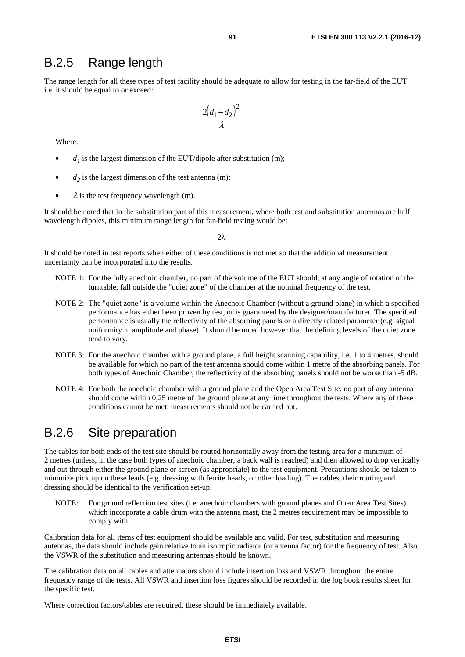#### B.2.5 Range length

The range length for all these types of test facility should be adequate to allow for testing in the far-field of the EUT i.e. it should be equal to or exceed:

$$
\frac{2\left(d_1+d_2\right)^2}{\lambda}
$$

Where:

- $d_1$  is the largest dimension of the EUT/dipole after substitution (m);
- $d_2$  is the largest dimension of the test antenna (m);
- $\lambda$  is the test frequency wavelength (m).

It should be noted that in the substitution part of this measurement, where both test and substitution antennas are half wavelength dipoles, this minimum range length for far-field testing would be:

 $2λ$ 

It should be noted in test reports when either of these conditions is not met so that the additional measurement uncertainty can be incorporated into the results.

- NOTE 1: For the fully anechoic chamber, no part of the volume of the EUT should, at any angle of rotation of the turntable, fall outside the "quiet zone" of the chamber at the nominal frequency of the test.
- NOTE 2: The "quiet zone" is a volume within the Anechoic Chamber (without a ground plane) in which a specified performance has either been proven by test, or is guaranteed by the designer/manufacturer. The specified performance is usually the reflectivity of the absorbing panels or a directly related parameter (e.g. signal uniformity in amplitude and phase). It should be noted however that the defining levels of the quiet zone tend to vary.
- NOTE 3: For the anechoic chamber with a ground plane, a full height scanning capability, i.e. 1 to 4 metres, should be available for which no part of the test antenna should come within 1 metre of the absorbing panels. For both types of Anechoic Chamber, the reflectivity of the absorbing panels should not be worse than -5 dB.
- NOTE 4: For both the anechoic chamber with a ground plane and the Open Area Test Site, no part of any antenna should come within 0,25 metre of the ground plane at any time throughout the tests. Where any of these conditions cannot be met, measurements should not be carried out.

#### B.2.6 Site preparation

The cables for both ends of the test site should be routed horizontally away from the testing area for a minimum of 2 metres (unless, in the case both types of anechoic chamber, a back wall is reached) and then allowed to drop vertically and out through either the ground plane or screen (as appropriate) to the test equipment. Precautions should be taken to minimize pick up on these leads (e.g. dressing with ferrite beads, or other loading). The cables, their routing and dressing should be identical to the verification set-up.

NOTE: For ground reflection test sites (i.e. anechoic chambers with ground planes and Open Area Test Sites) which incorporate a cable drum with the antenna mast, the 2 metres requirement may be impossible to comply with.

Calibration data for all items of test equipment should be available and valid. For test, substitution and measuring antennas, the data should include gain relative to an isotropic radiator (or antenna factor) for the frequency of test. Also, the VSWR of the substitution and measuring antennas should be known.

The calibration data on all cables and attenuators should include insertion loss and VSWR throughout the entire frequency range of the tests. All VSWR and insertion loss figures should be recorded in the log book results sheet for the specific test.

Where correction factors/tables are required, these should be immediately available.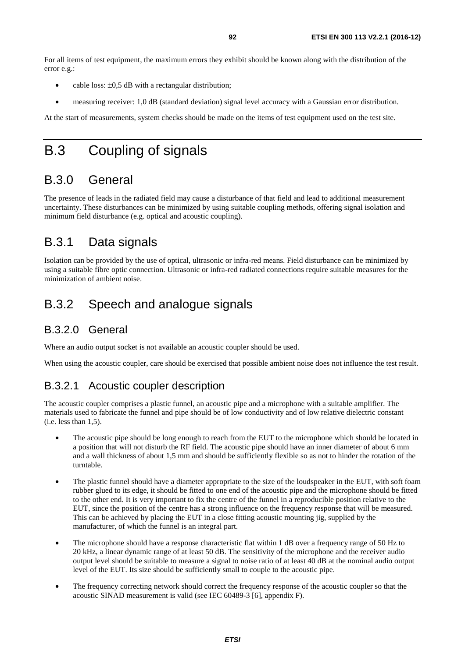For all items of test equipment, the maximum errors they exhibit should be known along with the distribution of the error e.g.:

- cable loss:  $\pm 0.5$  dB with a rectangular distribution;
- measuring receiver: 1,0 dB (standard deviation) signal level accuracy with a Gaussian error distribution.

At the start of measurements, system checks should be made on the items of test equipment used on the test site.

## B.3 Coupling of signals

## B.3.0 General

The presence of leads in the radiated field may cause a disturbance of that field and lead to additional measurement uncertainty. These disturbances can be minimized by using suitable coupling methods, offering signal isolation and minimum field disturbance (e.g. optical and acoustic coupling).

## B.3.1 Data signals

Isolation can be provided by the use of optical, ultrasonic or infra-red means. Field disturbance can be minimized by using a suitable fibre optic connection. Ultrasonic or infra-red radiated connections require suitable measures for the minimization of ambient noise.

## B.3.2 Speech and analogue signals

#### B.3.2.0 General

Where an audio output socket is not available an acoustic coupler should be used.

When using the acoustic coupler, care should be exercised that possible ambient noise does not influence the test result.

#### B.3.2.1 Acoustic coupler description

The acoustic coupler comprises a plastic funnel, an acoustic pipe and a microphone with a suitable amplifier. The materials used to fabricate the funnel and pipe should be of low conductivity and of low relative dielectric constant (i.e. less than 1,5).

- The acoustic pipe should be long enough to reach from the EUT to the microphone which should be located in a position that will not disturb the RF field. The acoustic pipe should have an inner diameter of about 6 mm and a wall thickness of about 1,5 mm and should be sufficiently flexible so as not to hinder the rotation of the turntable.
- The plastic funnel should have a diameter appropriate to the size of the loudspeaker in the EUT, with soft foam rubber glued to its edge, it should be fitted to one end of the acoustic pipe and the microphone should be fitted to the other end. It is very important to fix the centre of the funnel in a reproducible position relative to the EUT, since the position of the centre has a strong influence on the frequency response that will be measured. This can be achieved by placing the EUT in a close fitting acoustic mounting jig, supplied by the manufacturer, of which the funnel is an integral part.
- The microphone should have a response characteristic flat within 1 dB over a frequency range of 50 Hz to 20 kHz, a linear dynamic range of at least 50 dB. The sensitivity of the microphone and the receiver audio output level should be suitable to measure a signal to noise ratio of at least 40 dB at the nominal audio output level of the EUT. Its size should be sufficiently small to couple to the acoustic pipe.
- The frequency correcting network should correct the frequency response of the acoustic coupler so that the acoustic SINAD measurement is valid (see IEC 60489-3 [[6\]](#page-9-0), appendix F).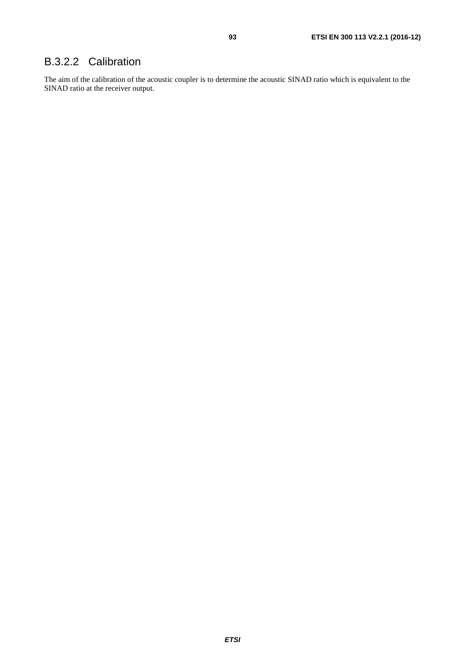#### B.3.2.2 Calibration

The aim of the calibration of the acoustic coupler is to determine the acoustic SINAD ratio which is equivalent to the SINAD ratio at the receiver output.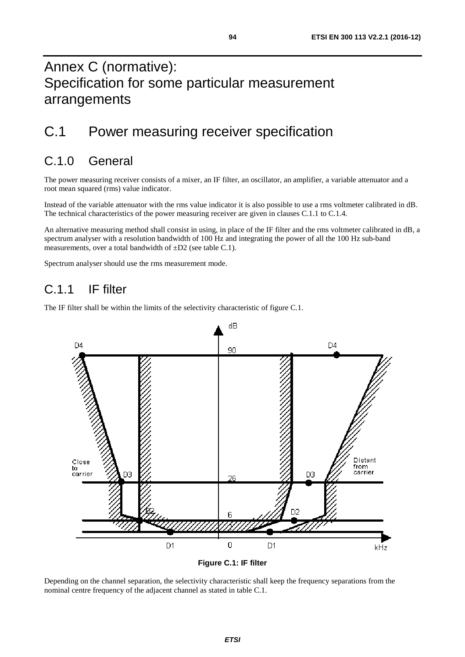## Annex C (normative): Specification for some particular measurement arrangements

## C.1 Power measuring receiver specification

## C.1.0 General

The power measuring receiver consists of a mixer, an IF filter, an oscillator, an amplifier, a variable attenuator and a root mean squared (rms) value indicator.

Instead of the variable attenuator with the rms value indicator it is also possible to use a rms voltmeter calibrated in dB. The technical characteristics of the power measuring receiver are given in clauses C.1.1 to C.1.4.

An alternative measuring method shall consist in using, in place of the IF filter and the rms voltmeter calibrated in dB, a spectrum analyser with a resolution bandwidth of 100 Hz and integrating the power of all the 100 Hz sub-band measurements, over a total bandwidth of ±D2 (see table C.1).

Spectrum analyser should use the rms measurement mode.

#### C.11 IF filter

The IF filter shall be within the limits of the selectivity characteristic of figure C.1.



**Figure C.1: IF filter** 

Depending on the channel separation, the selectivity characteristic shall keep the frequency separations from the nominal centre frequency of the adjacent channel as stated in table C.1.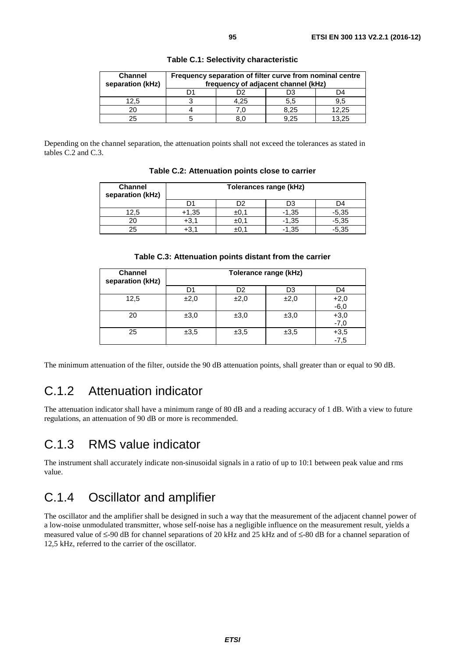| <b>Channel</b><br>separation (kHz) | Frequency separation of filter curve from nominal centre<br>frequency of adjacent channel (kHz) |      |      |       |
|------------------------------------|-------------------------------------------------------------------------------------------------|------|------|-------|
|                                    |                                                                                                 |      | D3   | D4    |
| 12.5                               |                                                                                                 | 4.25 | 5.5  | 9.5   |
|                                    |                                                                                                 |      | 8.25 | 12.25 |
| 25                                 |                                                                                                 |      | 9.25 | 13.25 |

**Table C.1: Selectivity characteristic** 

Depending on the channel separation, the attenuation points shall not exceed the tolerances as stated in tables C.2 and C.3.

| <b>Channel</b><br>separation (kHz) | Tolerances range (kHz) |      |         |         |
|------------------------------------|------------------------|------|---------|---------|
|                                    |                        | )2   | D3      | D4      |
| 12,5                               | $+1,35$                | ±0.1 | $-1,35$ | $-5,35$ |
|                                    | $+3,1$                 | ±0,1 | $-1,35$ | $-5,35$ |
| 25                                 |                        | ±υ   | $-1.35$ | $-5,35$ |

**Table C.2: Attenuation points close to carrier** 

|  | Table C.3: Attenuation points distant from the carrier |
|--|--------------------------------------------------------|
|--|--------------------------------------------------------|

| <b>Channel</b><br>separation (kHz) | Tolerance range (kHz) |                |      |                  |
|------------------------------------|-----------------------|----------------|------|------------------|
|                                    | D1                    | D <sub>2</sub> | D3   | D4               |
| 12,5                               | ±2,0                  | ±2,0           | ±2,0 | $+2,0$<br>$-6,0$ |
| 20                                 | ±3,0                  | ±3,0           | ±3,0 | $+3,0$<br>-7,0   |
| 25                                 | ±3.5                  | ±3.5           | ±3,5 | $+3,5$<br>$-7,5$ |

The minimum attenuation of the filter, outside the 90 dB attenuation points, shall greater than or equal to 90 dB.

## C.1.2 Attenuation indicator

The attenuation indicator shall have a minimum range of 80 dB and a reading accuracy of 1 dB. With a view to future regulations, an attenuation of 90 dB or more is recommended.

### C.1.3 RMS value indicator

The instrument shall accurately indicate non-sinusoidal signals in a ratio of up to 10:1 between peak value and rms value.

## C.1.4 Oscillator and amplifier

The oscillator and the amplifier shall be designed in such a way that the measurement of the adjacent channel power of a low-noise unmodulated transmitter, whose self-noise has a negligible influence on the measurement result, yields a measured value of ≤-90 dB for channel separations of 20 kHz and 25 kHz and of ≤-80 dB for a channel separation of 12,5 kHz, referred to the carrier of the oscillator.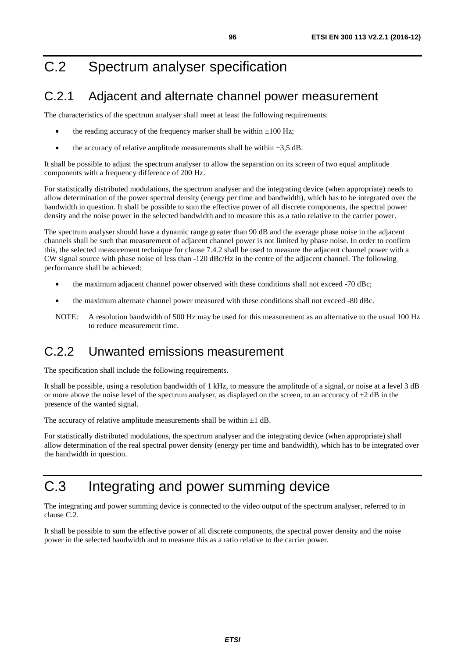## C.2 Spectrum analyser specification

## C.2.1 Adjacent and alternate channel power measurement

The characteristics of the spectrum analyser shall meet at least the following requirements:

- the reading accuracy of the frequency marker shall be within  $\pm 100$  Hz;
- the accuracy of relative amplitude measurements shall be within  $\pm 3.5$  dB.

It shall be possible to adjust the spectrum analyser to allow the separation on its screen of two equal amplitude components with a frequency difference of 200 Hz.

For statistically distributed modulations, the spectrum analyser and the integrating device (when appropriate) needs to allow determination of the power spectral density (energy per time and bandwidth), which has to be integrated over the bandwidth in question. It shall be possible to sum the effective power of all discrete components, the spectral power density and the noise power in the selected bandwidth and to measure this as a ratio relative to the carrier power.

The spectrum analyser should have a dynamic range greater than 90 dB and the average phase noise in the adjacent channels shall be such that measurement of adjacent channel power is not limited by phase noise. In order to confirm this, the selected measurement technique for clause 7.4.2 shall be used to measure the adjacent channel power with a CW signal source with phase noise of less than -120 dBc/Hz in the centre of the adjacent channel. The following performance shall be achieved:

- the maximum adjacent channel power observed with these conditions shall not exceed -70 dBc;
- the maximum alternate channel power measured with these conditions shall not exceed -80 dBc.
- NOTE: A resolution bandwidth of 500 Hz may be used for this measurement as an alternative to the usual 100 Hz to reduce measurement time.

### C.2.2 Unwanted emissions measurement

The specification shall include the following requirements.

It shall be possible, using a resolution bandwidth of 1 kHz, to measure the amplitude of a signal, or noise at a level 3 dB or more above the noise level of the spectrum analyser, as displayed on the screen, to an accuracy of  $\pm 2$  dB in the presence of the wanted signal.

The accuracy of relative amplitude measurements shall be within  $\pm 1$  dB.

For statistically distributed modulations, the spectrum analyser and the integrating device (when appropriate) shall allow determination of the real spectral power density (energy per time and bandwidth), which has to be integrated over the bandwidth in question.

## C.3 Integrating and power summing device

The integrating and power summing device is connected to the video output of the spectrum analyser, referred to in clause C.2.

It shall be possible to sum the effective power of all discrete components, the spectral power density and the noise power in the selected bandwidth and to measure this as a ratio relative to the carrier power.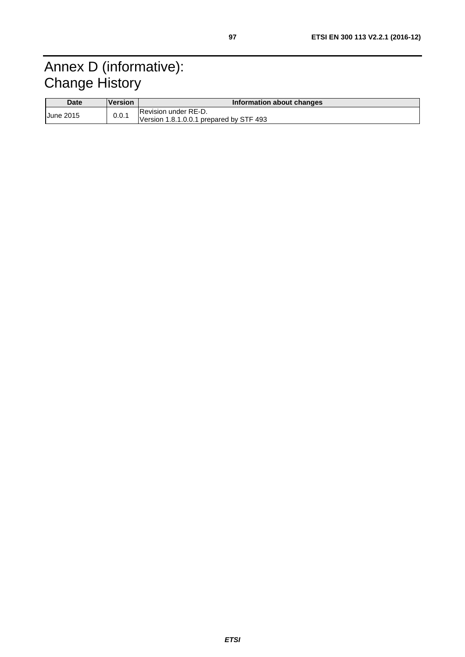## Annex D (informative): Change History

| <b>Date</b>      | <u>IVersion</u> | <b>Information about changes</b>                                       |  |  |
|------------------|-----------------|------------------------------------------------------------------------|--|--|
| <b>June 2015</b> | 0.0.1           | <b>Revision under RE-D.</b><br>Version 1.8.1.0.0.1 prepared by STF 493 |  |  |